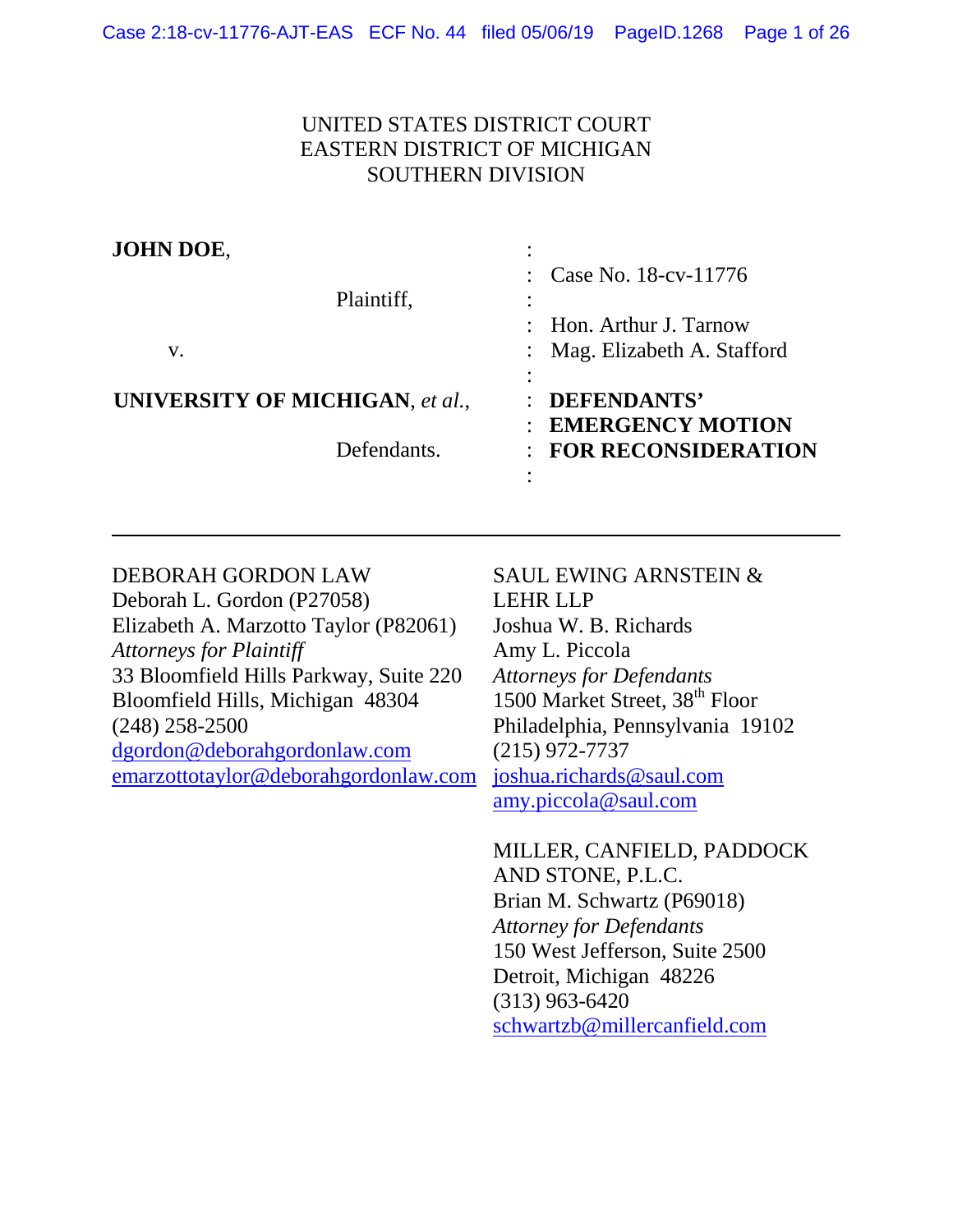# UNITED STATES DISTRICT COURT EASTERN DISTRICT OF MICHIGAN SOUTHERN DIVISION

| JOHN DOE,<br>Plaintiff,<br>V.   | : Case No. $18$ -cv- $11776$<br>$\therefore$ Hon. Arthur J. Tarnow<br>Mag. Elizabeth A. Stafford |
|---------------------------------|--------------------------------------------------------------------------------------------------|
| UNIVERSITY OF MICHIGAN, et al., | DEFENDANTS'                                                                                      |
| Defendants.                     | <b>EMERGENCY MOTION</b><br><b>FOR RECONSIDERATION</b>                                            |

#### DEBORAH GORDON LAW Deborah L. Gordon (P27058) Elizabeth A. Marzotto Taylor (P82061) *Attorneys for Plaintiff* 33 Bloomfield Hills Parkway, Suite 220 Bloomfield Hills, Michigan 48304 (248) 258-2500 [dgordon@deborahgordonlaw.com](mailto:dgordon@deborahgordonlaw.com) [emarzottotaylor@deborahgordonlaw.com](mailto:emarzottotaylor@deborahgordonlaw.com) SAUL EWING ARNSTEIN & LEHR LLP Joshua W. B. Richards Amy L. Piccola *Attorneys for Defendants* 1500 Market Street, 38<sup>th</sup> Floor Philadelphia, Pennsylvania 19102 (215) 972-7737 [joshua.richards@saul.com](mailto:joshua.richards@saul.com) [amy.piccola@saul.com](mailto:amy.piccola@saul.com)

MILLER, CANFIELD, PADDOCK AND STONE, P.L.C. Brian M. Schwartz (P69018) *Attorney for Defendants* 150 West Jefferson, Suite 2500 Detroit, Michigan 48226 (313) 963-6420 [schwartzb@millercanfield.com](mailto:schwartzb@millercanfield.com)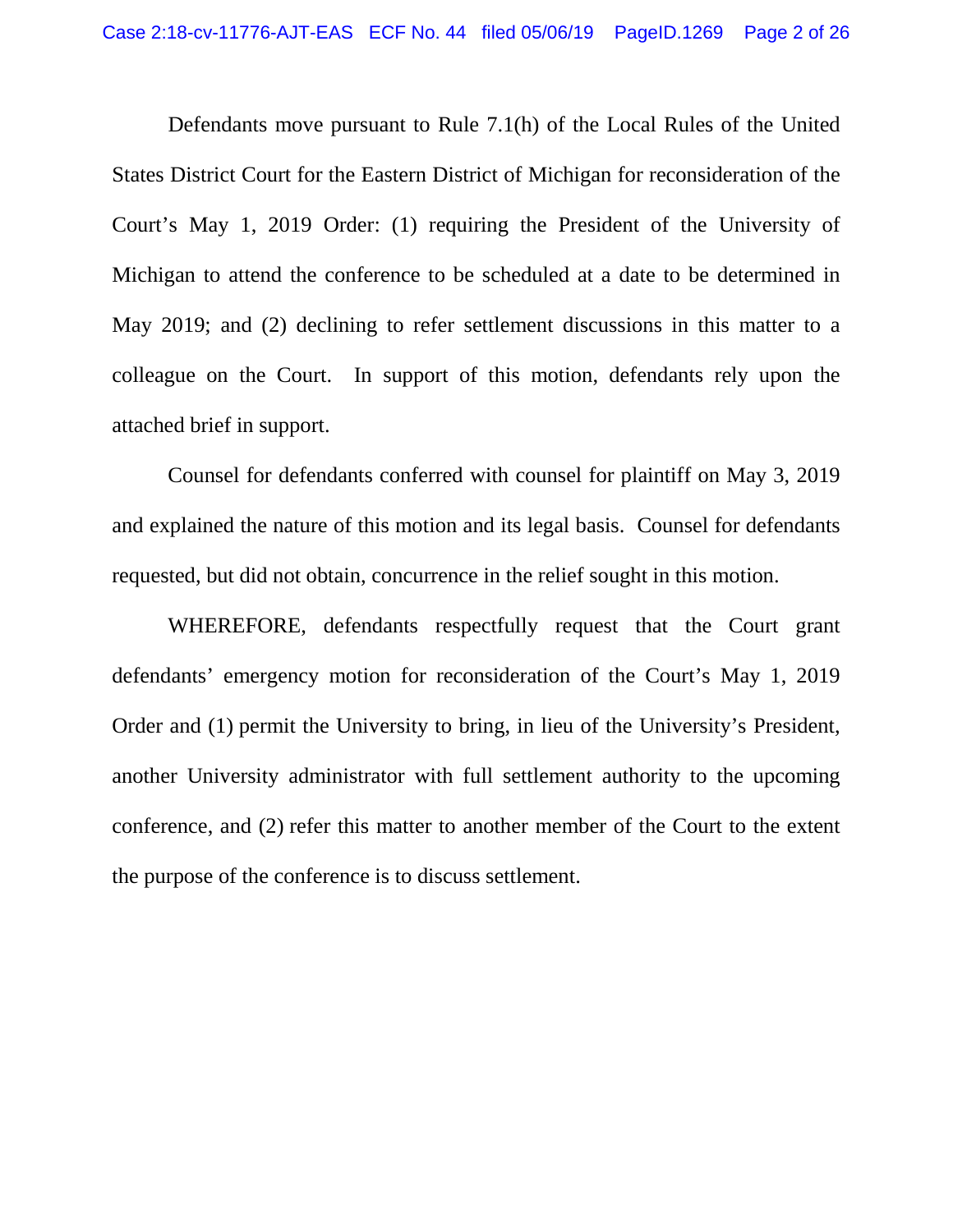Defendants move pursuant to Rule 7.1(h) of the Local Rules of the United States District Court for the Eastern District of Michigan for reconsideration of the Court's May 1, 2019 Order: (1) requiring the President of the University of Michigan to attend the conference to be scheduled at a date to be determined in May 2019; and (2) declining to refer settlement discussions in this matter to a colleague on the Court. In support of this motion, defendants rely upon the attached brief in support.

Counsel for defendants conferred with counsel for plaintiff on May 3, 2019 and explained the nature of this motion and its legal basis. Counsel for defendants requested, but did not obtain, concurrence in the relief sought in this motion.

WHEREFORE, defendants respectfully request that the Court grant defendants' emergency motion for reconsideration of the Court's May 1, 2019 Order and (1) permit the University to bring, in lieu of the University's President, another University administrator with full settlement authority to the upcoming conference, and (2) refer this matter to another member of the Court to the extent the purpose of the conference is to discuss settlement.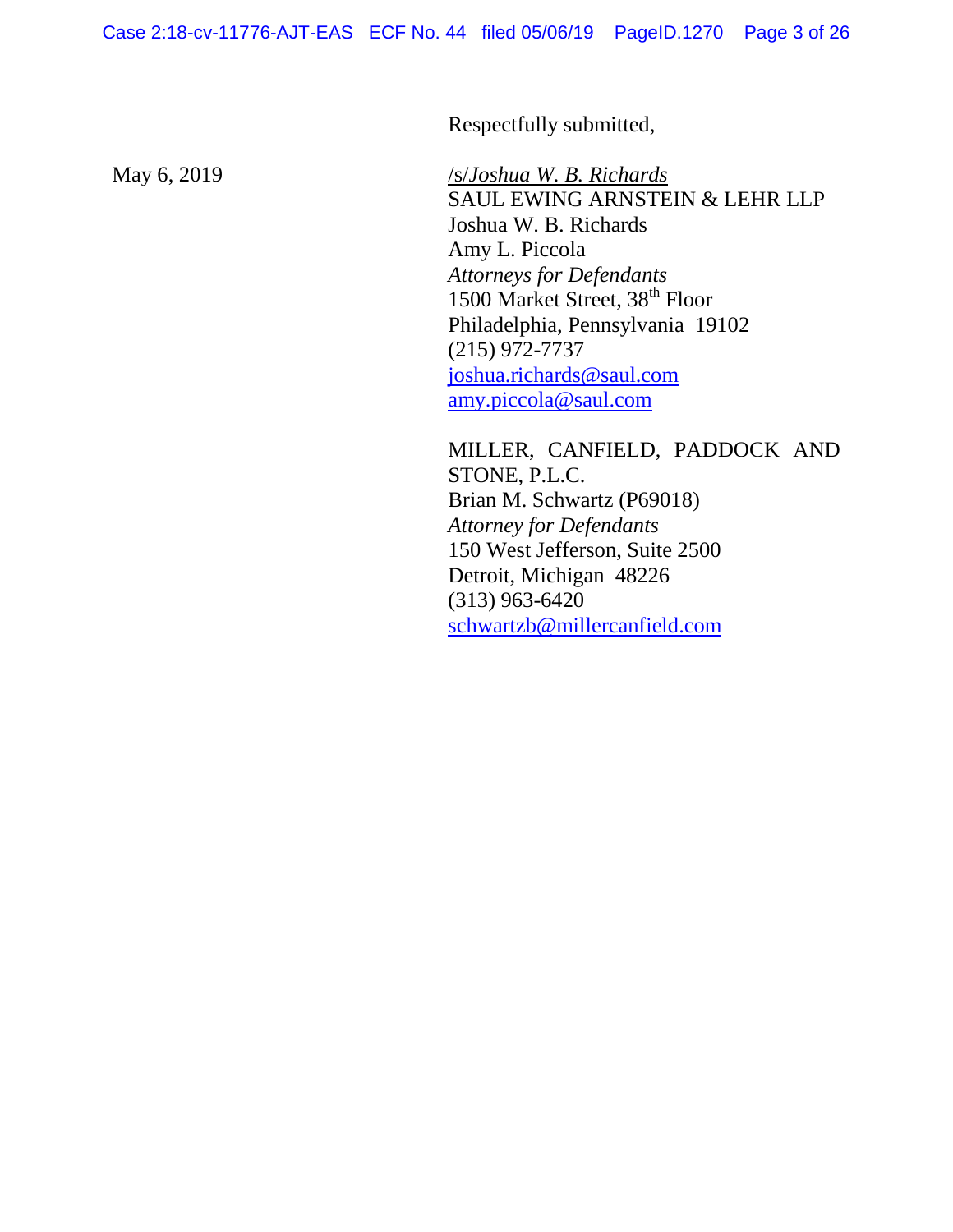Respectfully submitted,

May 6, 2019 /s/*Joshua W. B. Richards* SAUL EWING ARNSTEIN & LEHR LLP Joshua W. B. Richards Amy L. Piccola *Attorneys for Defendants* 1500 Market Street, 38<sup>th</sup> Floor Philadelphia, Pennsylvania 19102 (215) 972-7737 [joshua.richards@saul.com](mailto:joshua.richards@saul.com) [amy.piccola@saul.com](mailto:amy.piccola@saul.com)

> MILLER, CANFIELD, PADDOCK AND STONE, P.L.C. Brian M. Schwartz (P69018) *Attorney for Defendants* 150 West Jefferson, Suite 2500 Detroit, Michigan 48226 (313) 963-6420 [schwartzb@millercanfield.com](mailto:schwartzb@millercanfield.com)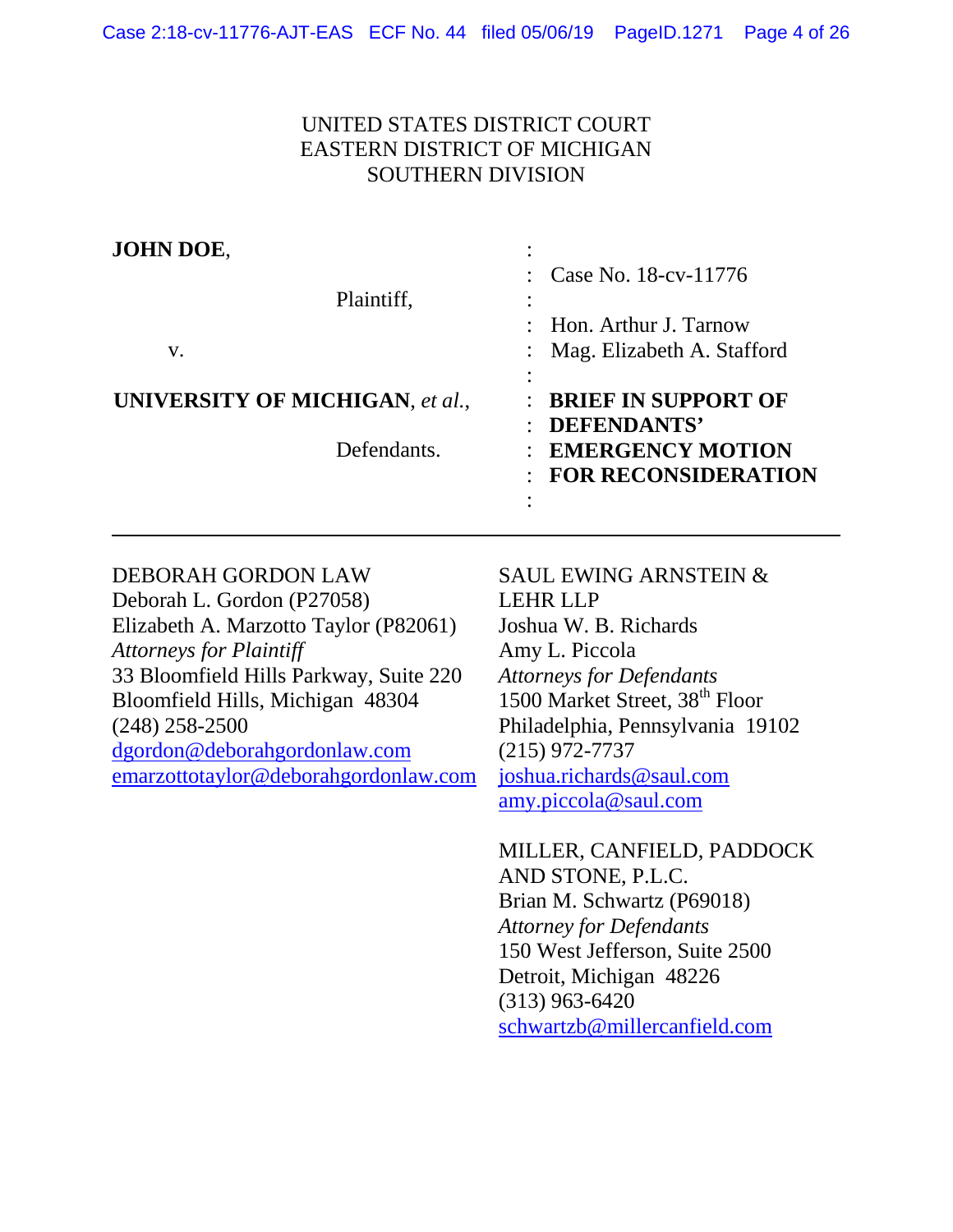# UNITED STATES DISTRICT COURT EASTERN DISTRICT OF MICHIGAN SOUTHERN DIVISION

| JOHN DOE,                              |                                                                  |
|----------------------------------------|------------------------------------------------------------------|
| Plaintiff,                             | : Case No. $18$ -cv- $11776$                                     |
| V.                                     | $\therefore$ Hon. Arthur J. Tarnow<br>Mag. Elizabeth A. Stafford |
|                                        |                                                                  |
| <b>UNIVERSITY OF MICHIGAN, et al.,</b> | : BRIEF IN SUPPORT OF<br><b>DEFENDANTS'</b>                      |
| Defendants.                            | : EMERGENCY MOTION<br><b>FOR RECONSIDERATION</b>                 |
|                                        |                                                                  |

## DEBORAH GORDON LAW

Deborah L. Gordon (P27058) Elizabeth A. Marzotto Taylor (P82061) *Attorneys for Plaintiff* 33 Bloomfield Hills Parkway, Suite 220 Bloomfield Hills, Michigan 48304 (248) 258-2500 [dgordon@deborahgordonlaw.com](mailto:dgordon@deborahgordonlaw.com) [emarzottotaylor@deborahgordonlaw.com](mailto:emarzottotaylor@deborahgordonlaw.com)

# SAUL EWING ARNSTEIN & LEHR LLP Joshua W. B. Richards Amy L. Piccola *Attorneys for Defendants* 1500 Market Street, 38<sup>th</sup> Floor Philadelphia, Pennsylvania 19102 (215) 972-7737 [joshua.richards@saul.com](mailto:joshua.richards@saul.com) [amy.piccola@saul.com](mailto:amy.piccola@saul.com)

MILLER, CANFIELD, PADDOCK AND STONE, P.L.C. Brian M. Schwartz (P69018) *Attorney for Defendants* 150 West Jefferson, Suite 2500 Detroit, Michigan 48226 (313) 963-6420 [schwartzb@millercanfield.com](mailto:schwartzb@millercanfield.com)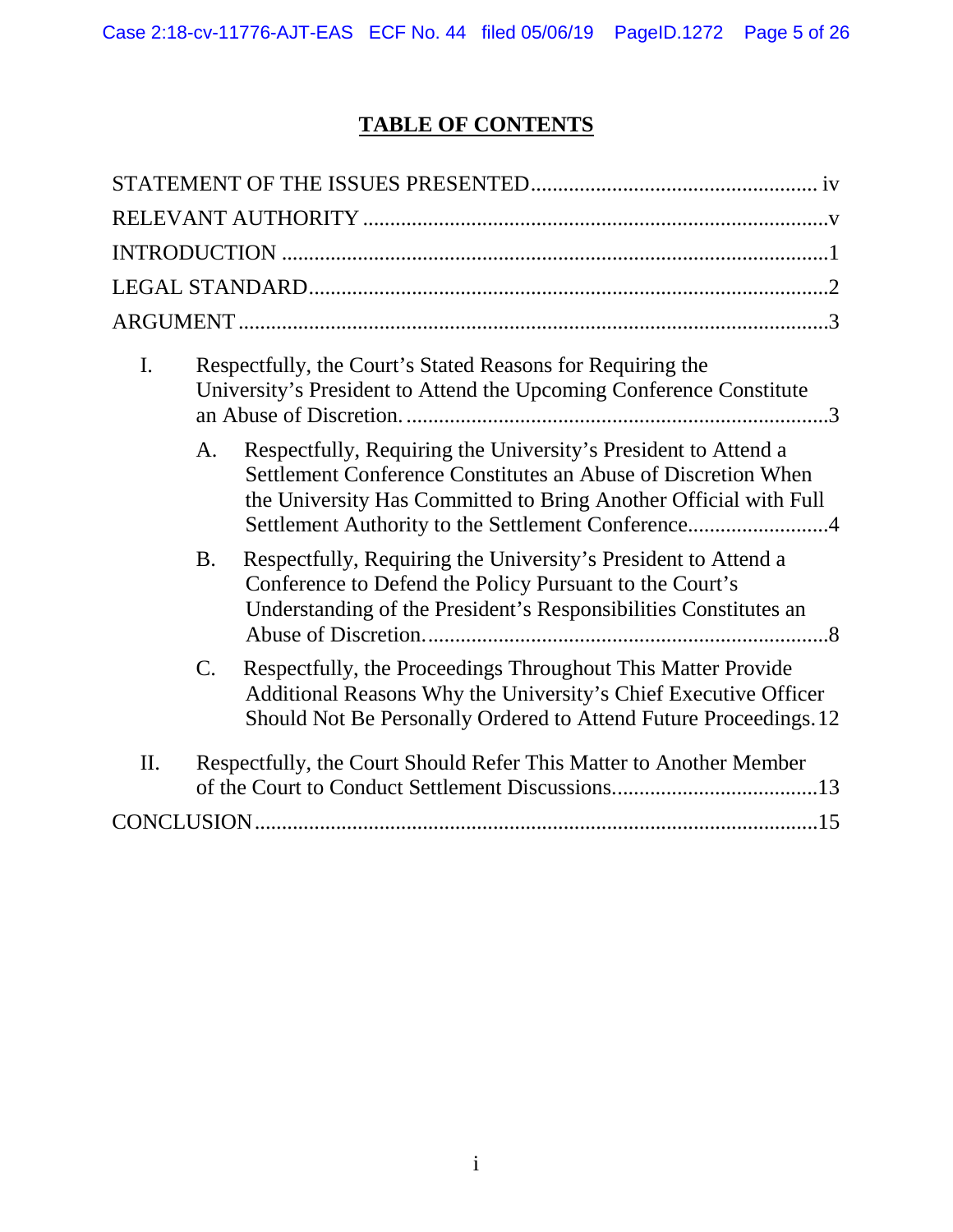# **TABLE OF CONTENTS**

| $\mathbf{I}$ . |                | Respectfully, the Court's Stated Reasons for Requiring the<br>University's President to Attend the Upcoming Conference Constitute                                                                                                                         |
|----------------|----------------|-----------------------------------------------------------------------------------------------------------------------------------------------------------------------------------------------------------------------------------------------------------|
|                | A.             | Respectfully, Requiring the University's President to Attend a<br>Settlement Conference Constitutes an Abuse of Discretion When<br>the University Has Committed to Bring Another Official with Full<br>Settlement Authority to the Settlement Conference4 |
|                | <b>B.</b>      | Respectfully, Requiring the University's President to Attend a<br>Conference to Defend the Policy Pursuant to the Court's<br>Understanding of the President's Responsibilities Constitutes an                                                             |
|                | $\mathbf{C}$ . | Respectfully, the Proceedings Throughout This Matter Provide<br>Additional Reasons Why the University's Chief Executive Officer<br>Should Not Be Personally Ordered to Attend Future Proceedings. 12                                                      |
| II.            |                | Respectfully, the Court Should Refer This Matter to Another Member                                                                                                                                                                                        |
|                |                |                                                                                                                                                                                                                                                           |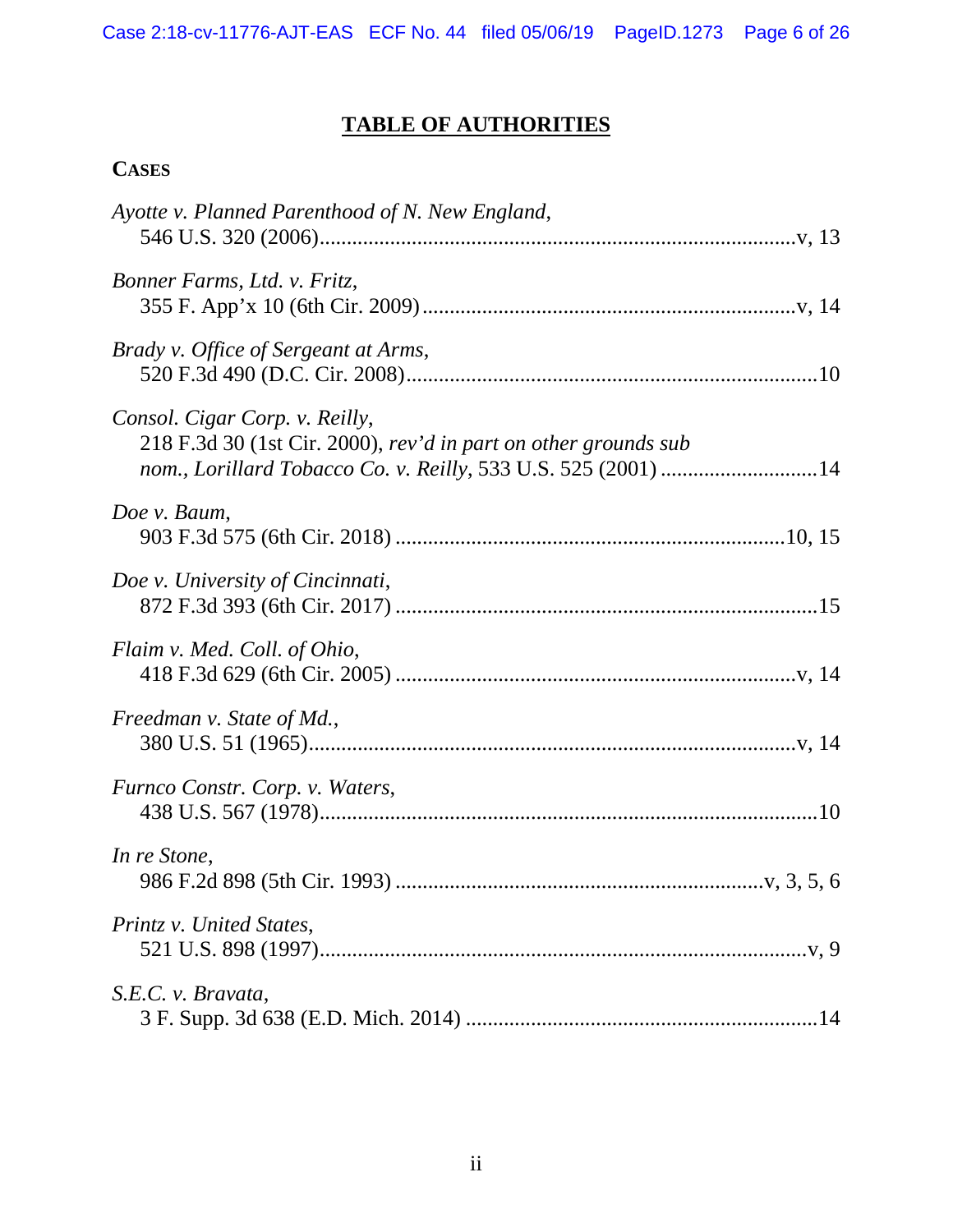# **TABLE OF AUTHORITIES**

# **CASES**

| Ayotte v. Planned Parenthood of N. New England,                                                                                                                    |
|--------------------------------------------------------------------------------------------------------------------------------------------------------------------|
| Bonner Farms, Ltd. v. Fritz,                                                                                                                                       |
| Brady v. Office of Sergeant at Arms,                                                                                                                               |
| Consol. Cigar Corp. v. Reilly,<br>218 F.3d 30 (1st Cir. 2000), rev'd in part on other grounds sub<br>nom., Lorillard Tobacco Co. v. Reilly, 533 U.S. 525 (2001) 14 |
| Doe v. Baum,                                                                                                                                                       |
| Doe v. University of Cincinnati,                                                                                                                                   |
| Flaim v. Med. Coll. of Ohio,                                                                                                                                       |
| Freedman v. State of Md.,                                                                                                                                          |
| Furnco Constr. Corp. v. Waters,                                                                                                                                    |
| In re Stone,                                                                                                                                                       |
| Printz v. United States,                                                                                                                                           |
| S.E.C. v. Bravata,                                                                                                                                                 |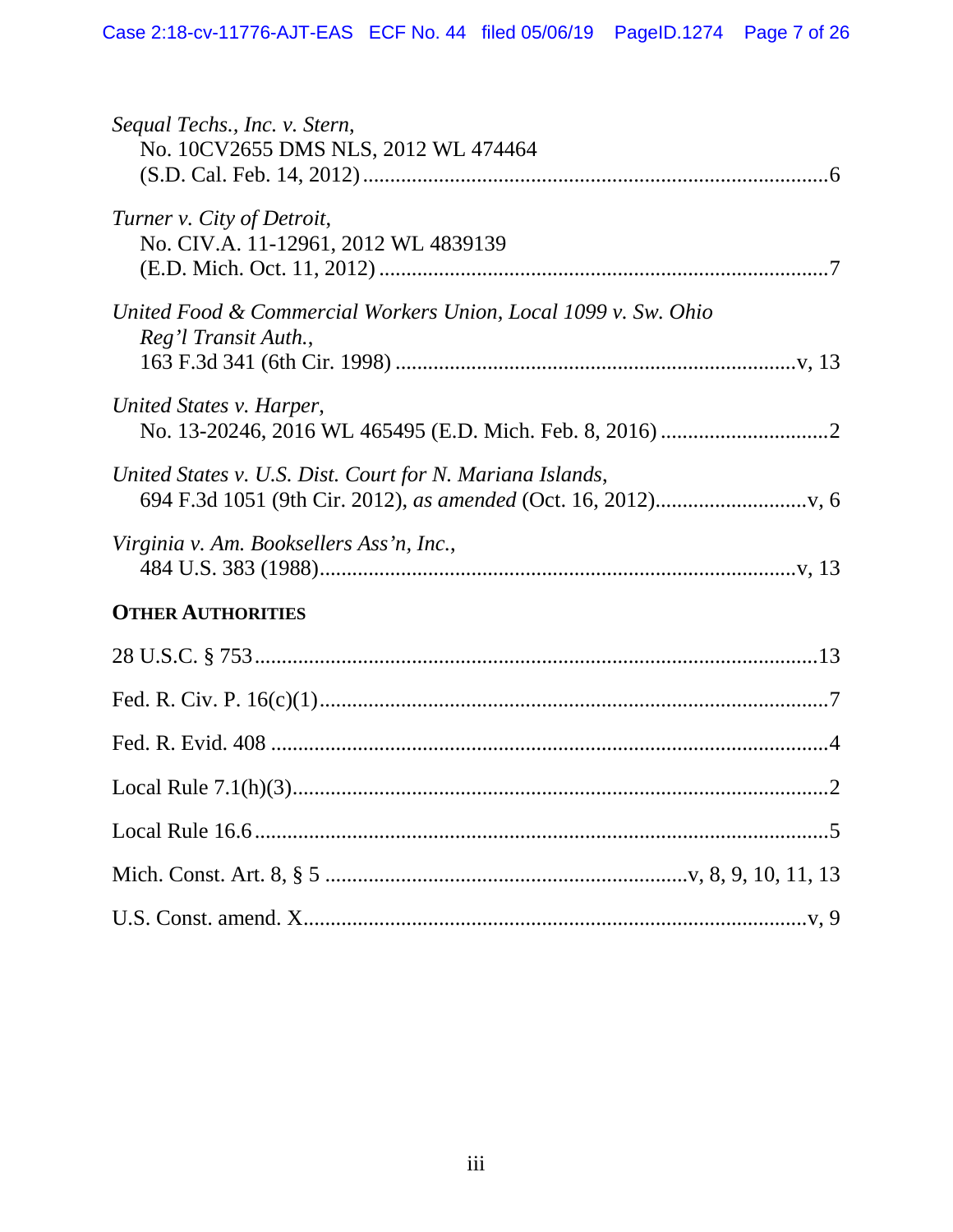| Sequal Techs., Inc. v. Stern,<br>No. 10CV2655 DMS NLS, 2012 WL 474464                  |
|----------------------------------------------------------------------------------------|
| Turner v. City of Detroit,<br>No. CIV.A. 11-12961, 2012 WL 4839139                     |
| United Food & Commercial Workers Union, Local 1099 v. Sw. Ohio<br>Reg'l Transit Auth., |
| United States v. Harper,                                                               |
| United States v. U.S. Dist. Court for N. Mariana Islands,                              |
| Virginia v. Am. Booksellers Ass'n, Inc.,                                               |
| <b>OTHER AUTHORITIES</b>                                                               |
|                                                                                        |
|                                                                                        |
|                                                                                        |
|                                                                                        |
|                                                                                        |
|                                                                                        |
|                                                                                        |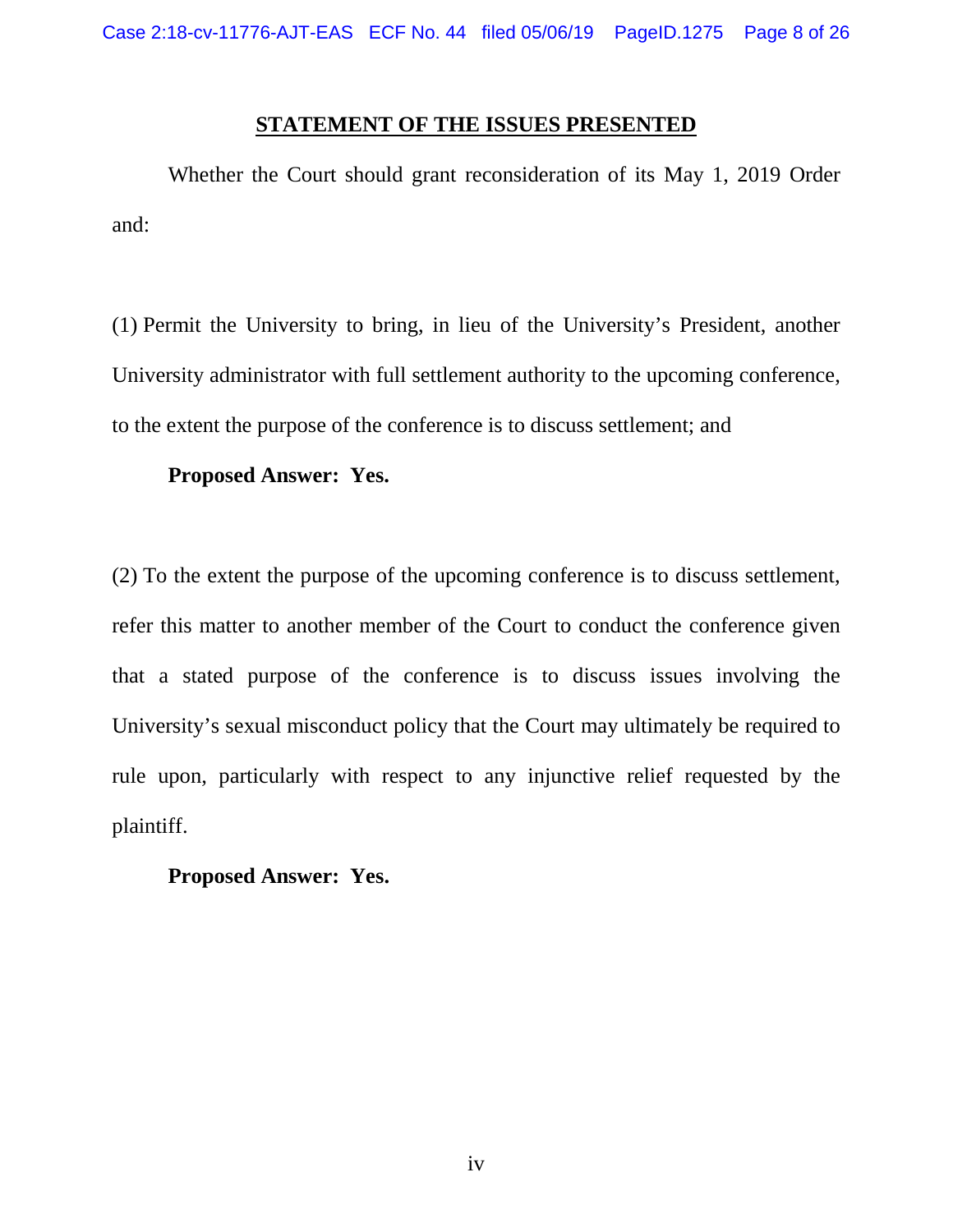## **STATEMENT OF THE ISSUES PRESENTED**

<span id="page-7-0"></span>Whether the Court should grant reconsideration of its May 1, 2019 Order and:

(1) Permit the University to bring, in lieu of the University's President, another University administrator with full settlement authority to the upcoming conference, to the extent the purpose of the conference is to discuss settlement; and

## **Proposed Answer: Yes.**

(2) To the extent the purpose of the upcoming conference is to discuss settlement, refer this matter to another member of the Court to conduct the conference given that a stated purpose of the conference is to discuss issues involving the University's sexual misconduct policy that the Court may ultimately be required to rule upon, particularly with respect to any injunctive relief requested by the plaintiff.

# **Proposed Answer: Yes.**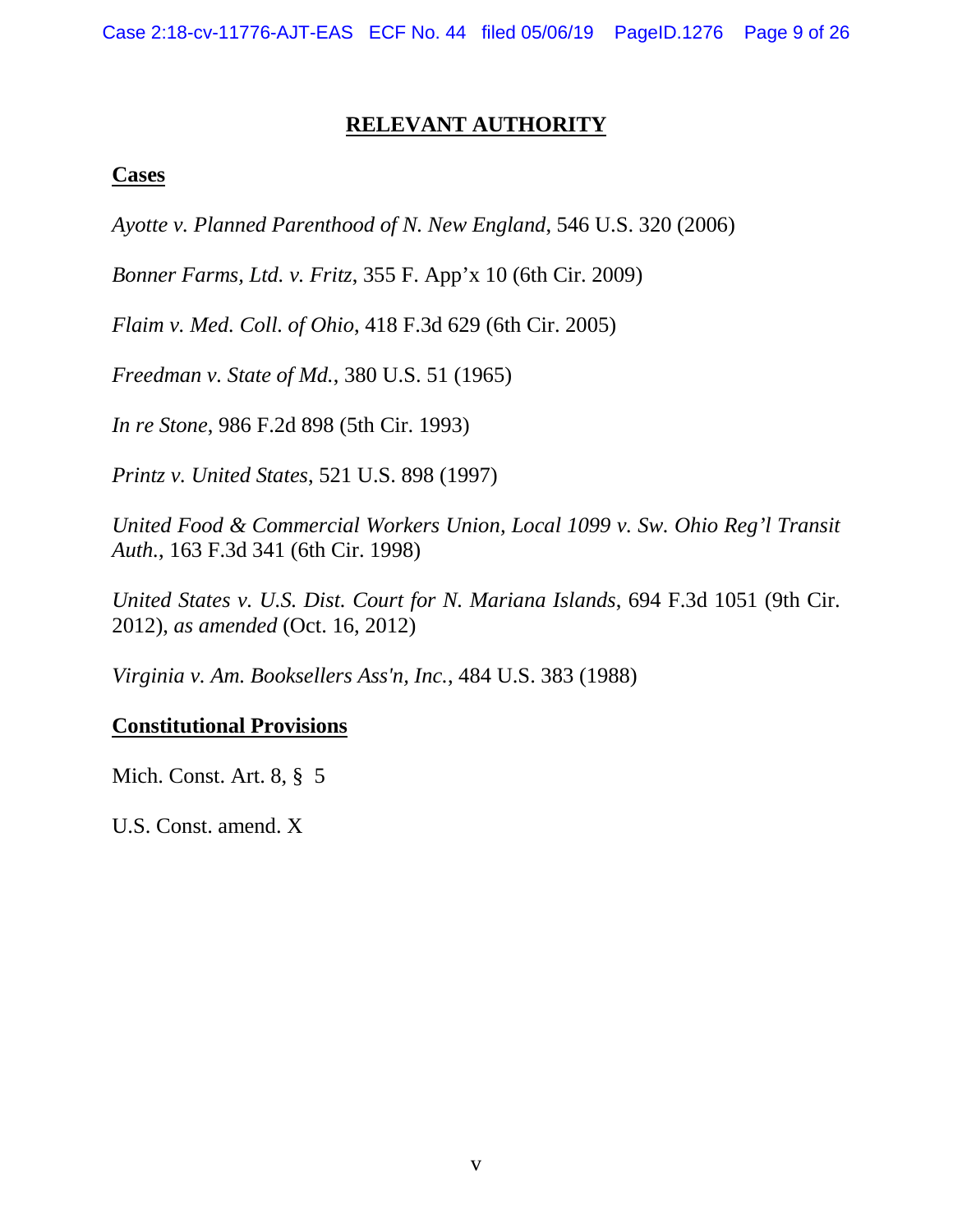# **RELEVANT AUTHORITY**

## <span id="page-8-0"></span>**Cases**

*Ayotte v. Planned Parenthood of N. New England*, 546 U.S. 320 (2006)

*Bonner Farms, Ltd. v. Fritz*, 355 F. App'x 10 (6th Cir. 2009)

*Flaim v. Med. Coll. of Ohio*, 418 F.3d 629 (6th Cir. 2005)

*Freedman v. State of Md.*, 380 U.S. 51 (1965)

*In re Stone*, 986 F.2d 898 (5th Cir. 1993)

*Printz v. United States*, 521 U.S. 898 (1997)

*United Food & Commercial Workers Union, Local 1099 v. Sw. Ohio Reg'l Transit Auth.*, 163 F.3d 341 (6th Cir. 1998)

*United States v. U.S. Dist. Court for N. Mariana Islands*, 694 F.3d 1051 (9th Cir. 2012), *as amended* (Oct. 16, 2012)

*Virginia v. Am. Booksellers Ass'n, Inc.*, 484 U.S. 383 (1988)

# **Constitutional Provisions**

Mich. Const. Art. 8, § 5

U.S. Const. amend. X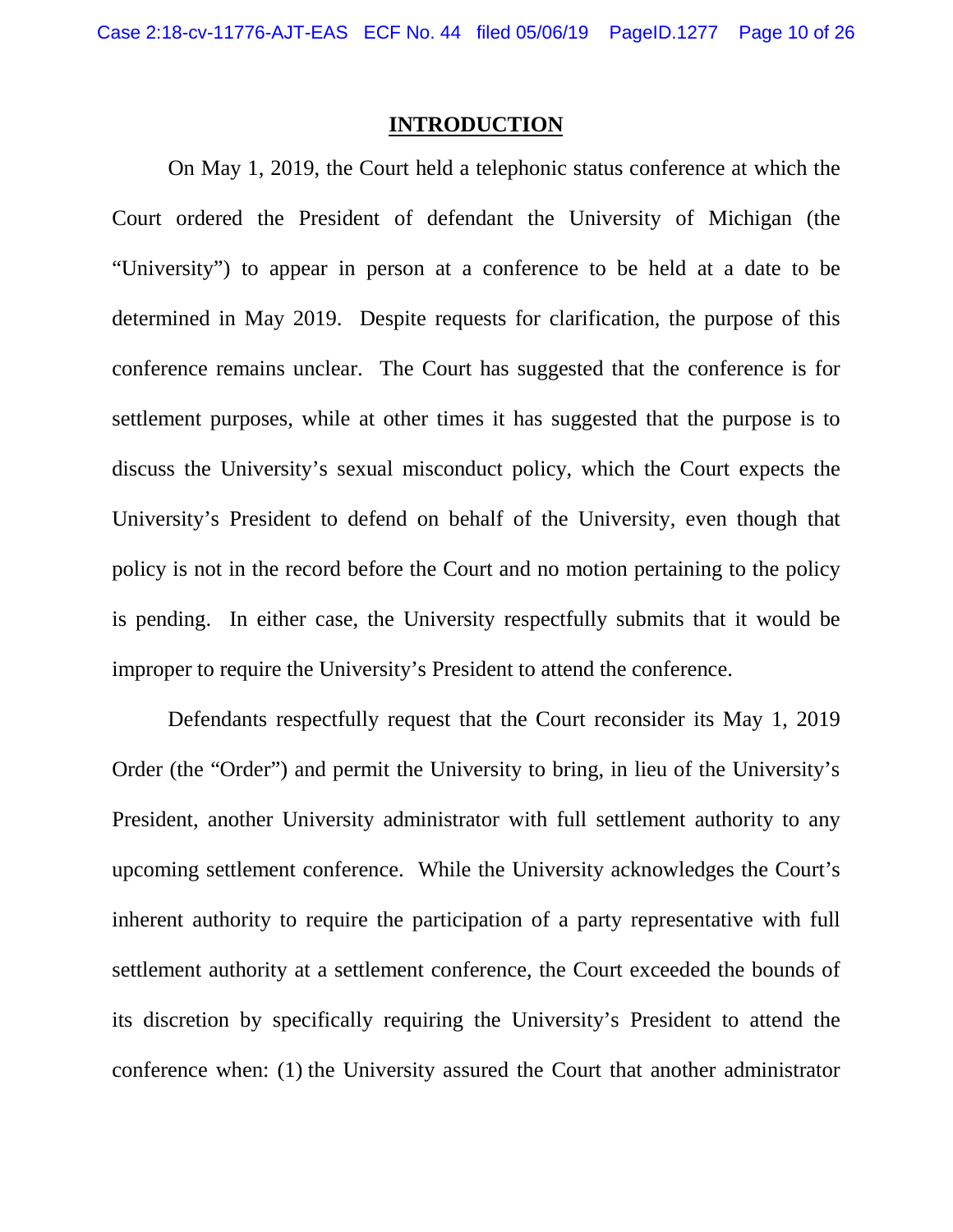## **INTRODUCTION**

<span id="page-9-0"></span>On May 1, 2019, the Court held a telephonic status conference at which the Court ordered the President of defendant the University of Michigan (the "University") to appear in person at a conference to be held at a date to be determined in May 2019. Despite requests for clarification, the purpose of this conference remains unclear. The Court has suggested that the conference is for settlement purposes, while at other times it has suggested that the purpose is to discuss the University's sexual misconduct policy, which the Court expects the University's President to defend on behalf of the University, even though that policy is not in the record before the Court and no motion pertaining to the policy is pending. In either case, the University respectfully submits that it would be improper to require the University's President to attend the conference.

Defendants respectfully request that the Court reconsider its May 1, 2019 Order (the "Order") and permit the University to bring, in lieu of the University's President, another University administrator with full settlement authority to any upcoming settlement conference. While the University acknowledges the Court's inherent authority to require the participation of a party representative with full settlement authority at a settlement conference, the Court exceeded the bounds of its discretion by specifically requiring the University's President to attend the conference when: (1) the University assured the Court that another administrator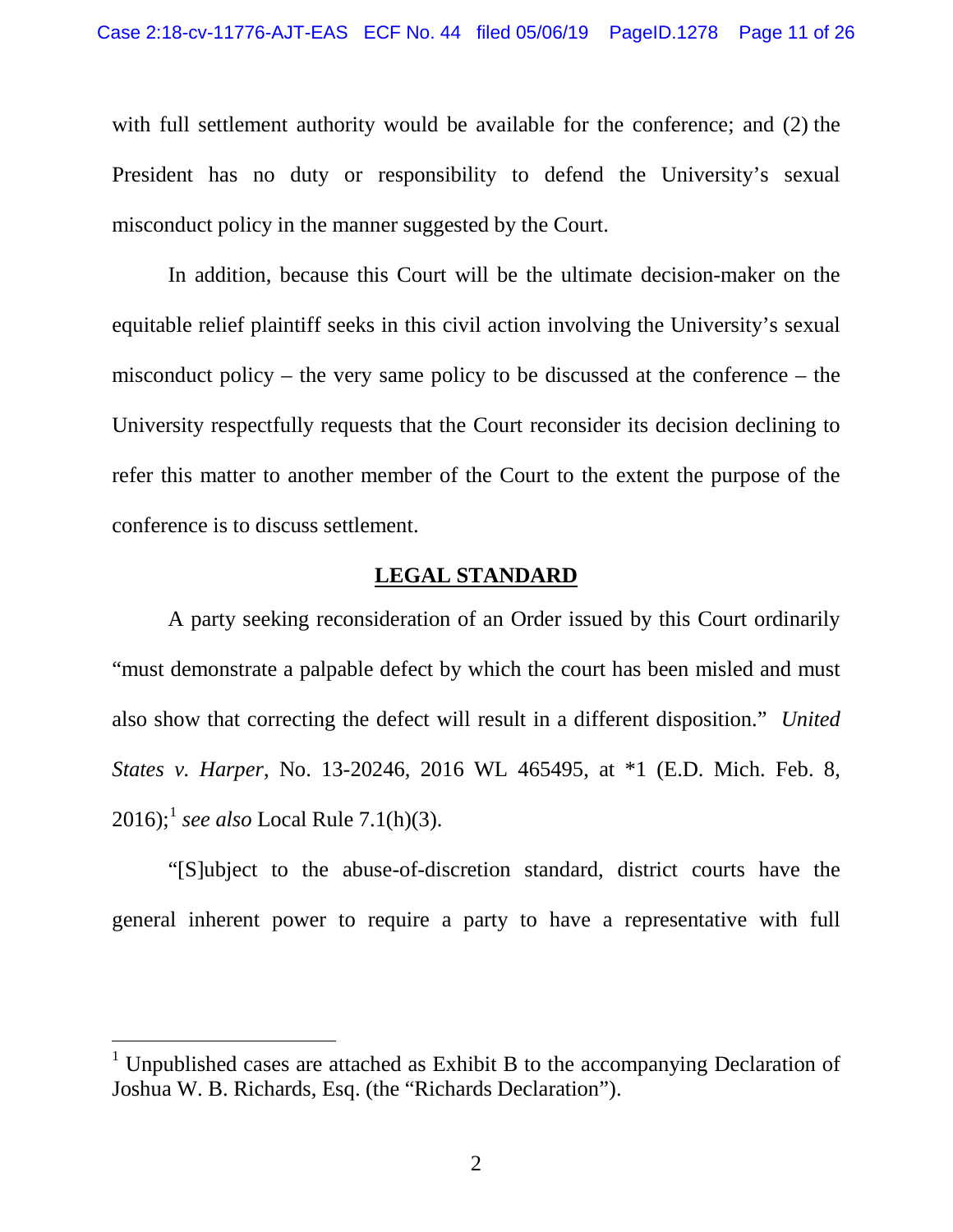with full settlement authority would be available for the conference; and (2) the President has no duty or responsibility to defend the University's sexual misconduct policy in the manner suggested by the Court.

In addition, because this Court will be the ultimate decision-maker on the equitable relief plaintiff seeks in this civil action involving the University's sexual misconduct policy – the very same policy to be discussed at the conference – the University respectfully requests that the Court reconsider its decision declining to refer this matter to another member of the Court to the extent the purpose of the conference is to discuss settlement.

## **LEGAL STANDARD**

<span id="page-10-0"></span>A party seeking reconsideration of an Order issued by this Court ordinarily "must demonstrate a palpable defect by which the court has been misled and must also show that correcting the defect will result in a different disposition." *United States v. Harper*, No. 13-20246, 2016 WL 465495, at \*1 (E.D. Mich. Feb. 8, 20[1](#page-10-1)6);<sup>1</sup> *see also* Local Rule 7.1(h)(3).

"[S]ubject to the abuse-of-discretion standard, district courts have the general inherent power to require a party to have a representative with full

<span id="page-10-1"></span><sup>&</sup>lt;sup>1</sup> Unpublished cases are attached as Exhibit B to the accompanying Declaration of Joshua W. B. Richards, Esq. (the "Richards Declaration").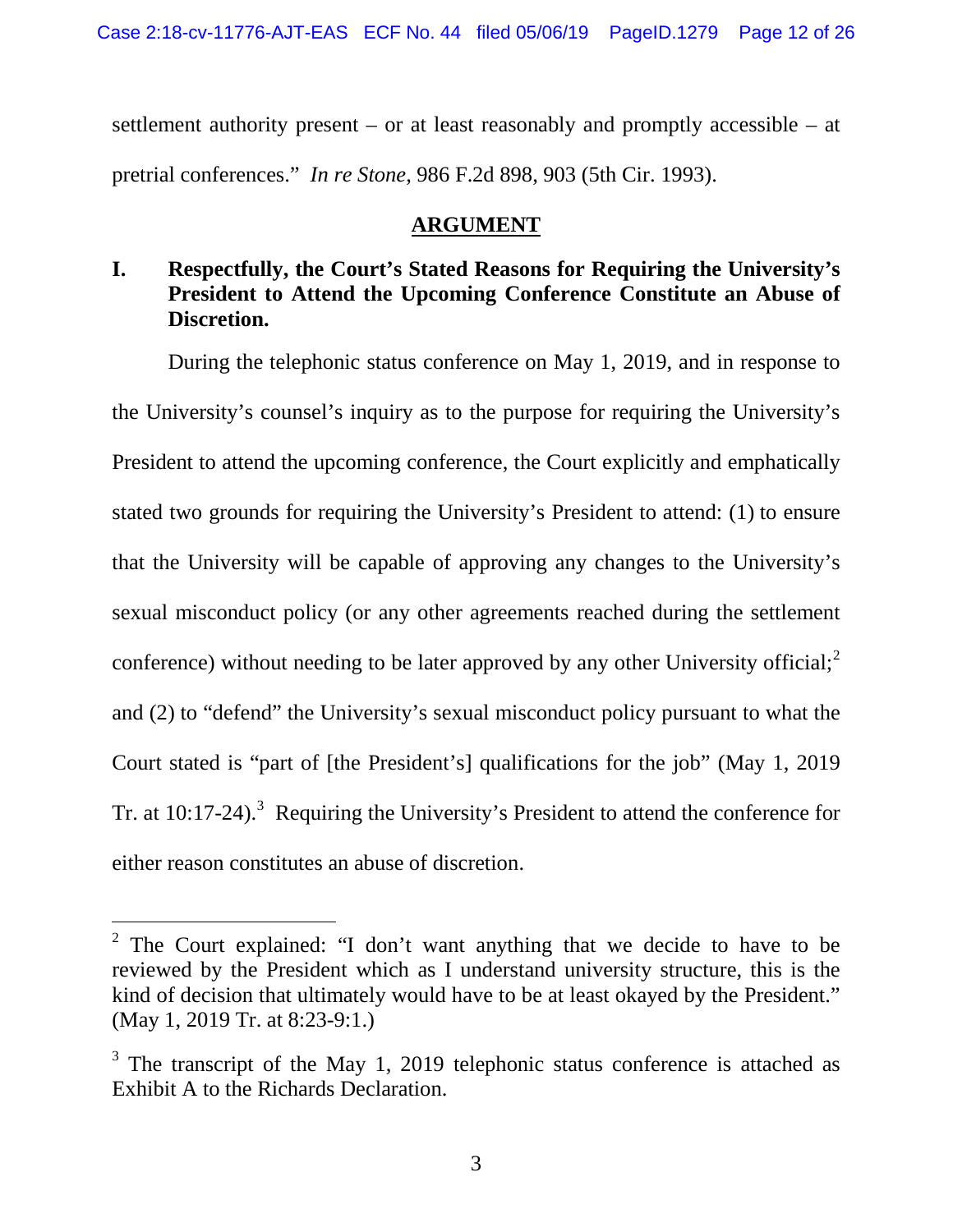settlement authority present – or at least reasonably and promptly accessible – at pretrial conferences." *In re Stone*, 986 F.2d 898, 903 (5th Cir. 1993).

# **ARGUMENT**

# <span id="page-11-1"></span><span id="page-11-0"></span>**I. Respectfully, the Court's Stated Reasons for Requiring the University's President to Attend the Upcoming Conference Constitute an Abuse of Discretion.**

During the telephonic status conference on May 1, 2019, and in response to the University's counsel's inquiry as to the purpose for requiring the University's President to attend the upcoming conference, the Court explicitly and emphatically stated two grounds for requiring the University's President to attend: (1) to ensure that the University will be capable of approving any changes to the University's sexual misconduct policy (or any other agreements reached during the settlement conference) without needing to be later approved by any other University official;<sup>[2](#page-11-2)</sup> and (2) to "defend" the University's sexual misconduct policy pursuant to what the Court stated is "part of [the President's] qualifications for the job" (May 1, 2019 Tr. at  $10:17-24$ ).<sup>[3](#page-11-3)</sup> Requiring the University's President to attend the conference for either reason constitutes an abuse of discretion.

<span id="page-11-2"></span><sup>&</sup>lt;sup>2</sup> The Court explained: "I don't want anything that we decide to have to be reviewed by the President which as I understand university structure, this is the kind of decision that ultimately would have to be at least okayed by the President." (May 1, 2019 Tr. at 8:23-9:1.)

<span id="page-11-3"></span> $3$  The transcript of the May 1, 2019 telephonic status conference is attached as Exhibit A to the Richards Declaration.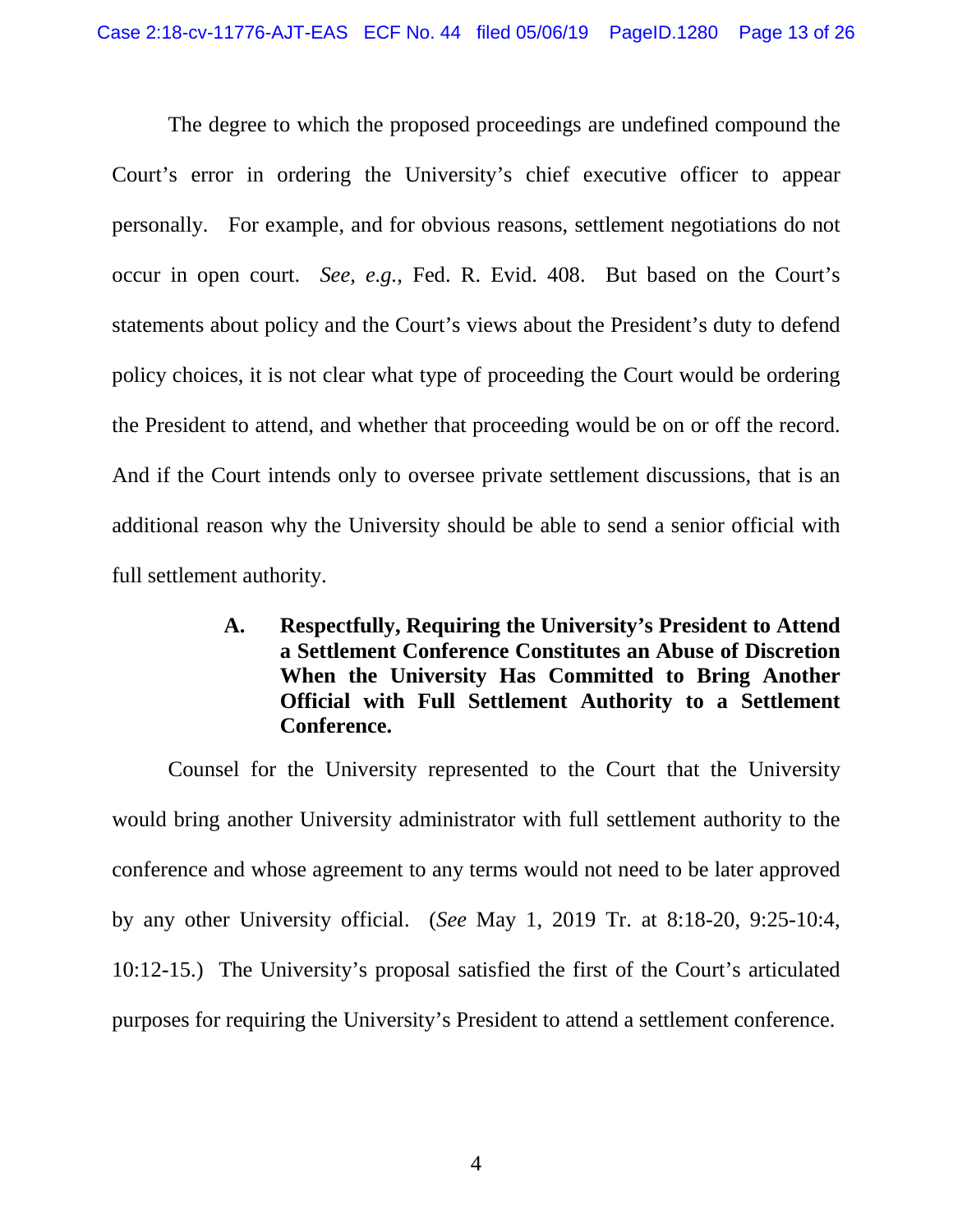The degree to which the proposed proceedings are undefined compound the Court's error in ordering the University's chief executive officer to appear personally. For example, and for obvious reasons, settlement negotiations do not occur in open court. *See, e.g.*, Fed. R. Evid. 408. But based on the Court's statements about policy and the Court's views about the President's duty to defend policy choices, it is not clear what type of proceeding the Court would be ordering the President to attend, and whether that proceeding would be on or off the record. And if the Court intends only to oversee private settlement discussions, that is an additional reason why the University should be able to send a senior official with full settlement authority.

> <span id="page-12-0"></span>**A. Respectfully, Requiring the University's President to Attend a Settlement Conference Constitutes an Abuse of Discretion When the University Has Committed to Bring Another Official with Full Settlement Authority to a Settlement Conference.**

Counsel for the University represented to the Court that the University would bring another University administrator with full settlement authority to the conference and whose agreement to any terms would not need to be later approved by any other University official. (*See* May 1, 2019 Tr. at 8:18-20, 9:25-10:4, 10:12-15.) The University's proposal satisfied the first of the Court's articulated purposes for requiring the University's President to attend a settlement conference.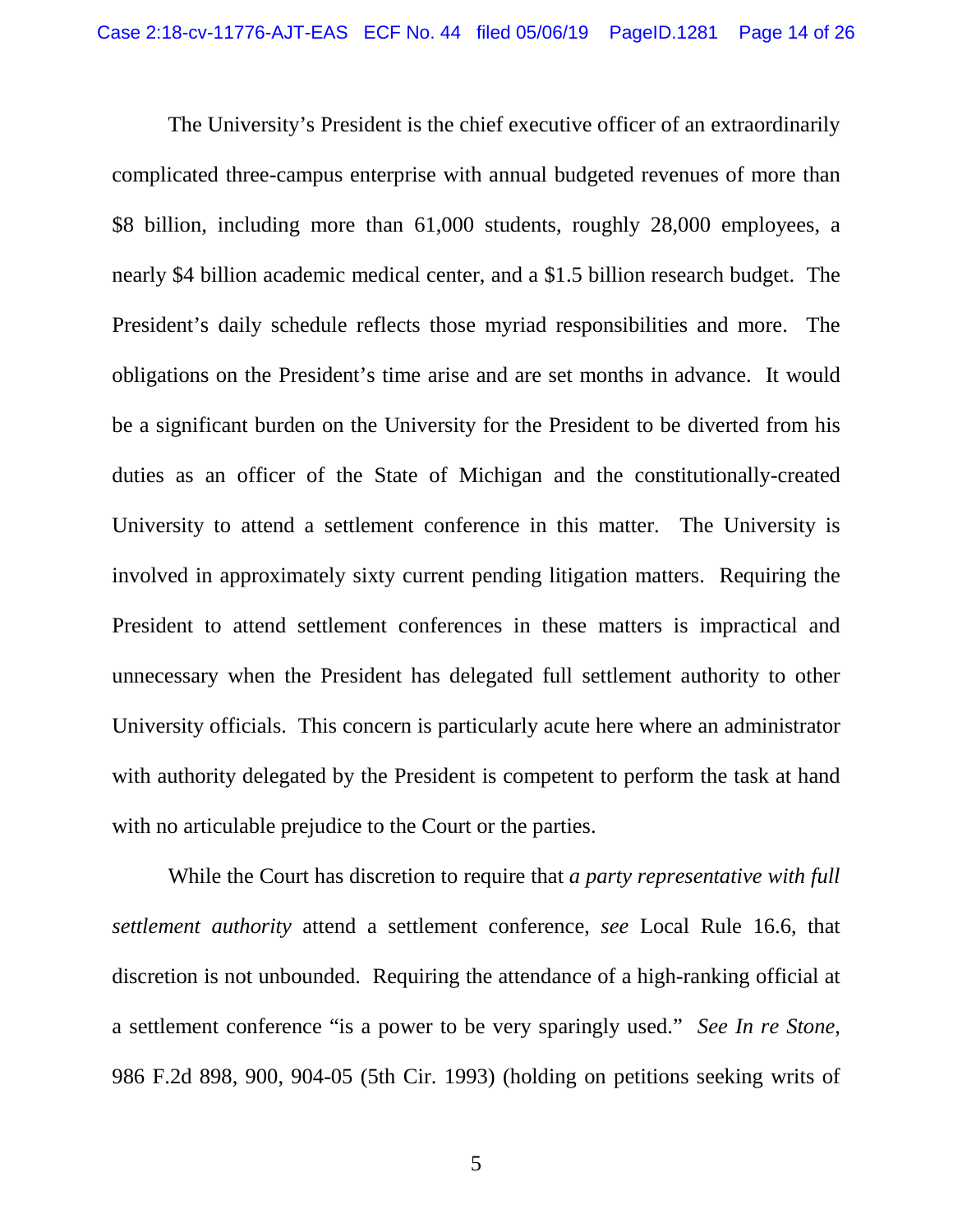The University's President is the chief executive officer of an extraordinarily complicated three-campus enterprise with annual budgeted revenues of more than \$8 billion, including more than 61,000 students, roughly 28,000 employees, a nearly \$4 billion academic medical center, and a \$1.5 billion research budget. The President's daily schedule reflects those myriad responsibilities and more. The obligations on the President's time arise and are set months in advance. It would be a significant burden on the University for the President to be diverted from his duties as an officer of the State of Michigan and the constitutionally-created University to attend a settlement conference in this matter. The University is involved in approximately sixty current pending litigation matters. Requiring the President to attend settlement conferences in these matters is impractical and unnecessary when the President has delegated full settlement authority to other University officials. This concern is particularly acute here where an administrator with authority delegated by the President is competent to perform the task at hand with no articulable prejudice to the Court or the parties.

While the Court has discretion to require that *a party representative with full settlement authority* attend a settlement conference, *see* Local Rule 16.6, that discretion is not unbounded. Requiring the attendance of a high-ranking official at a settlement conference "is a power to be very sparingly used." *See In re Stone*, 986 F.2d 898, 900, 904-05 (5th Cir. 1993) (holding on petitions seeking writs of

5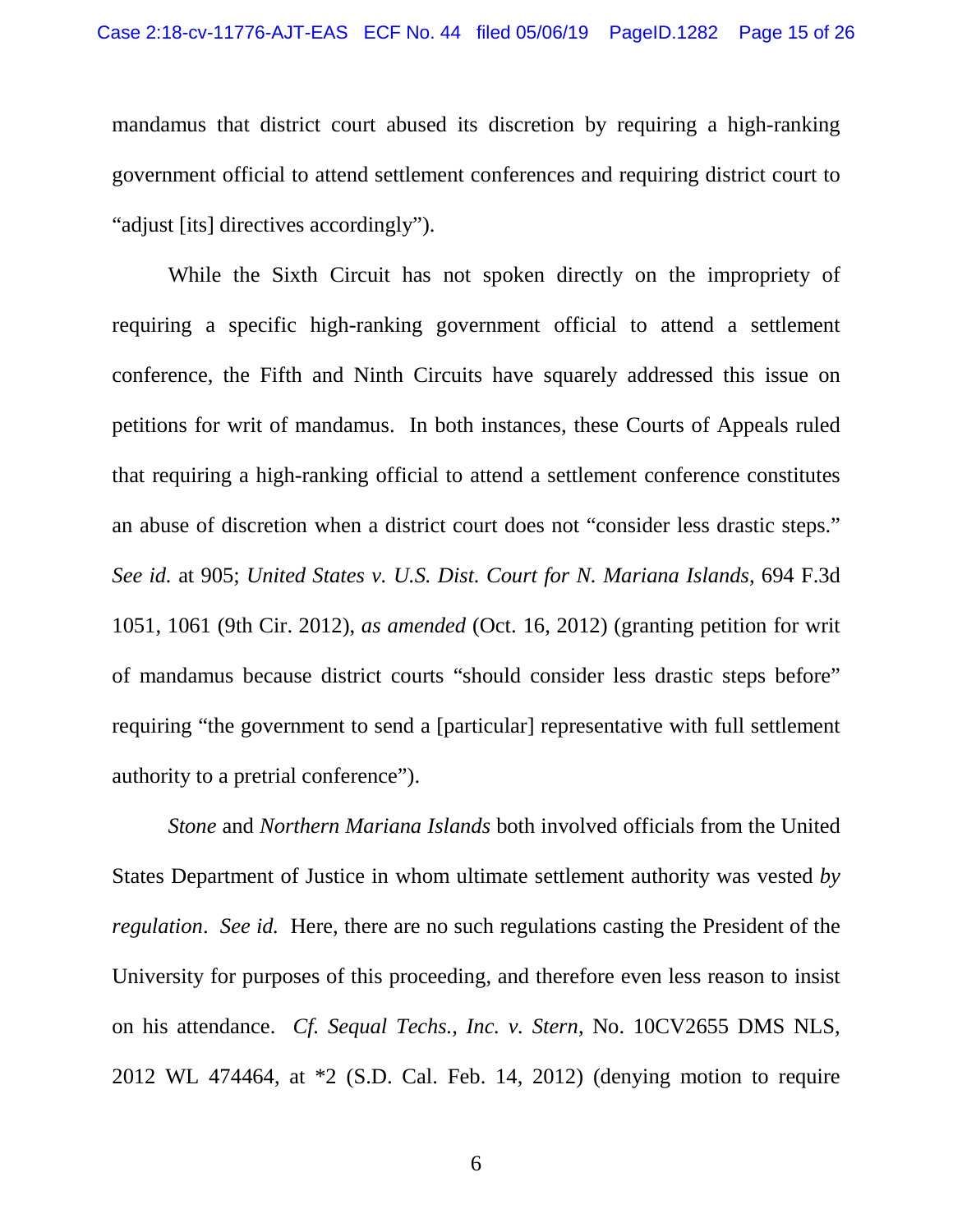mandamus that district court abused its discretion by requiring a high-ranking government official to attend settlement conferences and requiring district court to "adjust [its] directives accordingly").

While the Sixth Circuit has not spoken directly on the impropriety of requiring a specific high-ranking government official to attend a settlement conference, the Fifth and Ninth Circuits have squarely addressed this issue on petitions for writ of mandamus. In both instances, these Courts of Appeals ruled that requiring a high-ranking official to attend a settlement conference constitutes an abuse of discretion when a district court does not "consider less drastic steps." *See id.* at 905; *United States v. U.S. Dist. Court for N. Mariana Islands*, 694 F.3d 1051, 1061 (9th Cir. 2012), *as amended* (Oct. 16, 2012) (granting petition for writ of mandamus because district courts "should consider less drastic steps before" requiring "the government to send a [particular] representative with full settlement authority to a pretrial conference").

*Stone* and *Northern Mariana Islands* both involved officials from the United States Department of Justice in whom ultimate settlement authority was vested *by regulation*. *See id.* Here, there are no such regulations casting the President of the University for purposes of this proceeding, and therefore even less reason to insist on his attendance. *Cf. Sequal Techs., Inc. v. Stern*, No. 10CV2655 DMS NLS, 2012 WL 474464, at \*2 (S.D. Cal. Feb. 14, 2012) (denying motion to require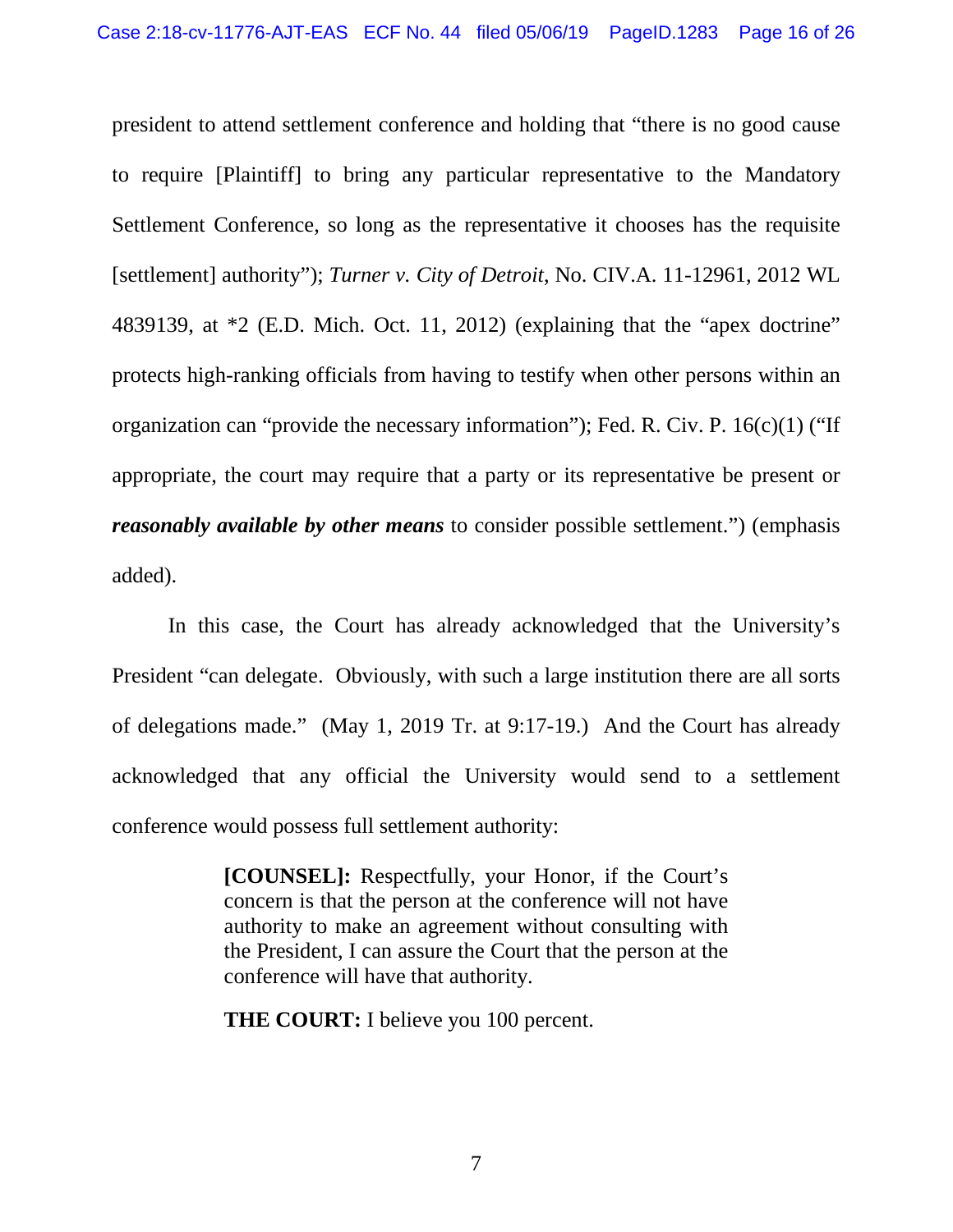president to attend settlement conference and holding that "there is no good cause to require [Plaintiff] to bring any particular representative to the Mandatory Settlement Conference, so long as the representative it chooses has the requisite [settlement] authority"); *Turner v. City of Detroit*, No. CIV.A. 11-12961, 2012 WL 4839139, at \*2 (E.D. Mich. Oct. 11, 2012) (explaining that the "apex doctrine" protects high-ranking officials from having to testify when other persons within an organization can "provide the necessary information"); Fed. R. Civ. P. 16(c)(1) ("If appropriate, the court may require that a party or its representative be present or *reasonably available by other means* to consider possible settlement.") (emphasis added).

In this case, the Court has already acknowledged that the University's President "can delegate. Obviously, with such a large institution there are all sorts of delegations made." (May 1, 2019 Tr. at 9:17-19.) And the Court has already acknowledged that any official the University would send to a settlement conference would possess full settlement authority:

> **[COUNSEL]:** Respectfully, your Honor, if the Court's concern is that the person at the conference will not have authority to make an agreement without consulting with the President, I can assure the Court that the person at the conference will have that authority.

**THE COURT:** I believe you 100 percent.

7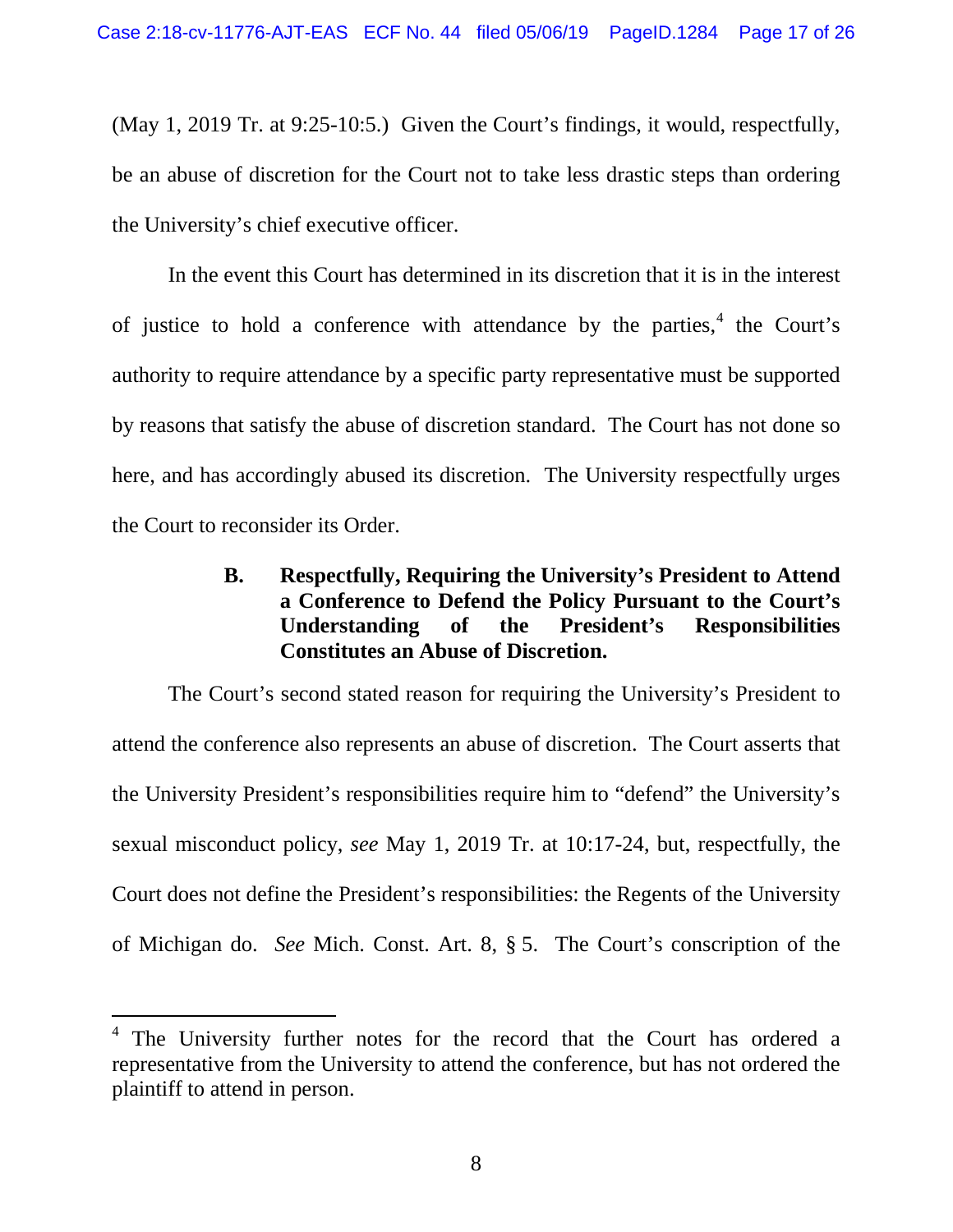(May 1, 2019 Tr. at 9:25-10:5.) Given the Court's findings, it would, respectfully, be an abuse of discretion for the Court not to take less drastic steps than ordering the University's chief executive officer.

In the event this Court has determined in its discretion that it is in the interest of justice to hold a conference with attendance by the parties,  $4$  the Court's authority to require attendance by a specific party representative must be supported by reasons that satisfy the abuse of discretion standard. The Court has not done so here, and has accordingly abused its discretion. The University respectfully urges the Court to reconsider its Order.

# <span id="page-16-0"></span>**B. Respectfully, Requiring the University's President to Attend a Conference to Defend the Policy Pursuant to the Court's Understanding of the President's Responsibilities Constitutes an Abuse of Discretion.**

The Court's second stated reason for requiring the University's President to attend the conference also represents an abuse of discretion. The Court asserts that the University President's responsibilities require him to "defend" the University's sexual misconduct policy, *see* May 1, 2019 Tr. at 10:17-24, but, respectfully, the Court does not define the President's responsibilities: the Regents of the University of Michigan do. *See* Mich. Const. Art. 8, § 5. The Court's conscription of the

<span id="page-16-1"></span><sup>&</sup>lt;sup>4</sup> The University further notes for the record that the Court has ordered a representative from the University to attend the conference, but has not ordered the plaintiff to attend in person.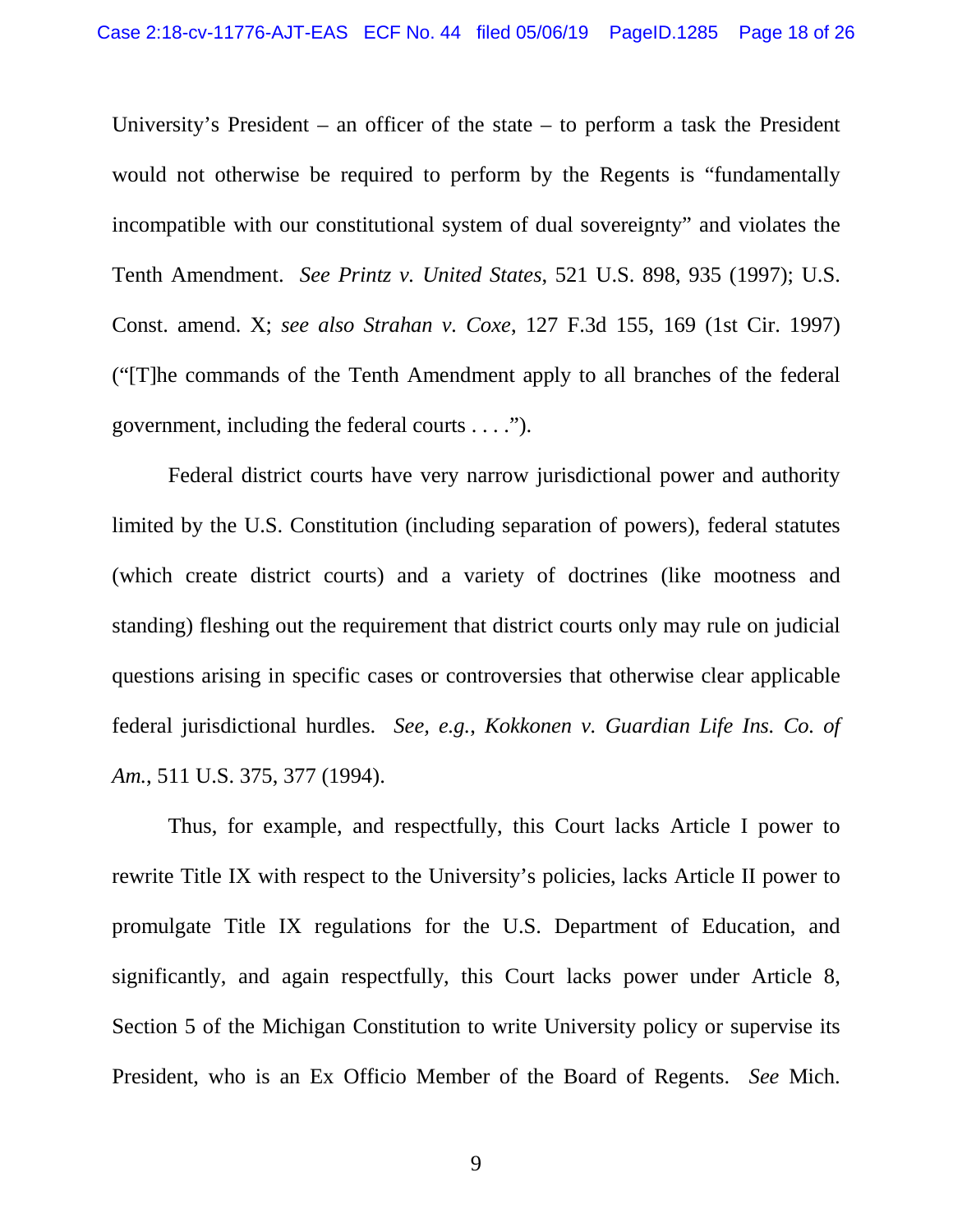University's President – an officer of the state – to perform a task the President would not otherwise be required to perform by the Regents is "fundamentally incompatible with our constitutional system of dual sovereignty" and violates the Tenth Amendment. *See Printz v. United States*, 521 U.S. 898, 935 (1997); U.S. Const. amend. X; *see also Strahan v. Coxe*, 127 F.3d 155, 169 (1st Cir. 1997) ("[T]he commands of the Tenth Amendment apply to all branches of the federal government, including the federal courts . . . .").

Federal district courts have very narrow jurisdictional power and authority limited by the U.S. Constitution (including separation of powers), federal statutes (which create district courts) and a variety of doctrines (like mootness and standing) fleshing out the requirement that district courts only may rule on judicial questions arising in specific cases or controversies that otherwise clear applicable federal jurisdictional hurdles. *See, e.g.*, *Kokkonen v. Guardian Life Ins. Co. of Am.*, 511 U.S. 375, 377 (1994).

Thus, for example, and respectfully, this Court lacks Article I power to rewrite Title IX with respect to the University's policies, lacks Article II power to promulgate Title IX regulations for the U.S. Department of Education, and significantly, and again respectfully, this Court lacks power under Article 8, Section 5 of the Michigan Constitution to write University policy or supervise its President, who is an Ex Officio Member of the Board of Regents. *See* Mich.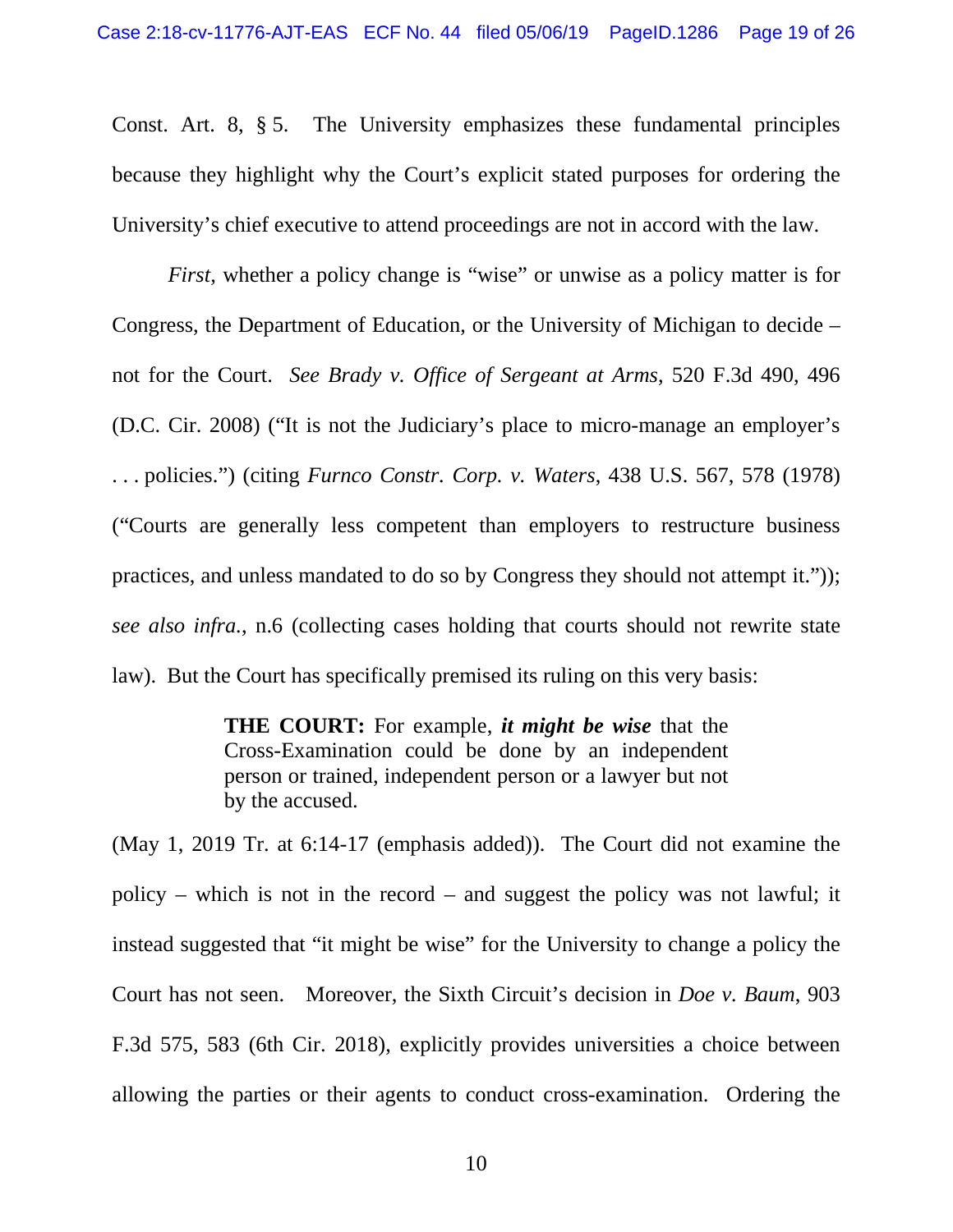Const. Art. 8, § 5. The University emphasizes these fundamental principles because they highlight why the Court's explicit stated purposes for ordering the University's chief executive to attend proceedings are not in accord with the law.

*First*, whether a policy change is "wise" or unwise as a policy matter is for Congress, the Department of Education, or the University of Michigan to decide – not for the Court. *See Brady v. Office of Sergeant at Arms*, 520 F.3d 490, 496 (D.C. Cir. 2008) ("It is not the Judiciary's place to micro-manage an employer's . . . policies.") (citing *Furnco Constr. Corp. v. Waters*, 438 U.S. 567, 578 (1978) ("Courts are generally less competent than employers to restructure business practices, and unless mandated to do so by Congress they should not attempt it.")); *see also infra.*, n.6 (collecting cases holding that courts should not rewrite state law). But the Court has specifically premised its ruling on this very basis:

> **THE COURT:** For example, *it might be wise* that the Cross-Examination could be done by an independent person or trained, independent person or a lawyer but not by the accused.

(May 1, 2019 Tr. at 6:14-17 (emphasis added)). The Court did not examine the policy – which is not in the record – and suggest the policy was not lawful; it instead suggested that "it might be wise" for the University to change a policy the Court has not seen. Moreover, the Sixth Circuit's decision in *Doe v. Baum*, 903 F.3d 575, 583 (6th Cir. 2018), explicitly provides universities a choice between allowing the parties or their agents to conduct cross-examination. Ordering the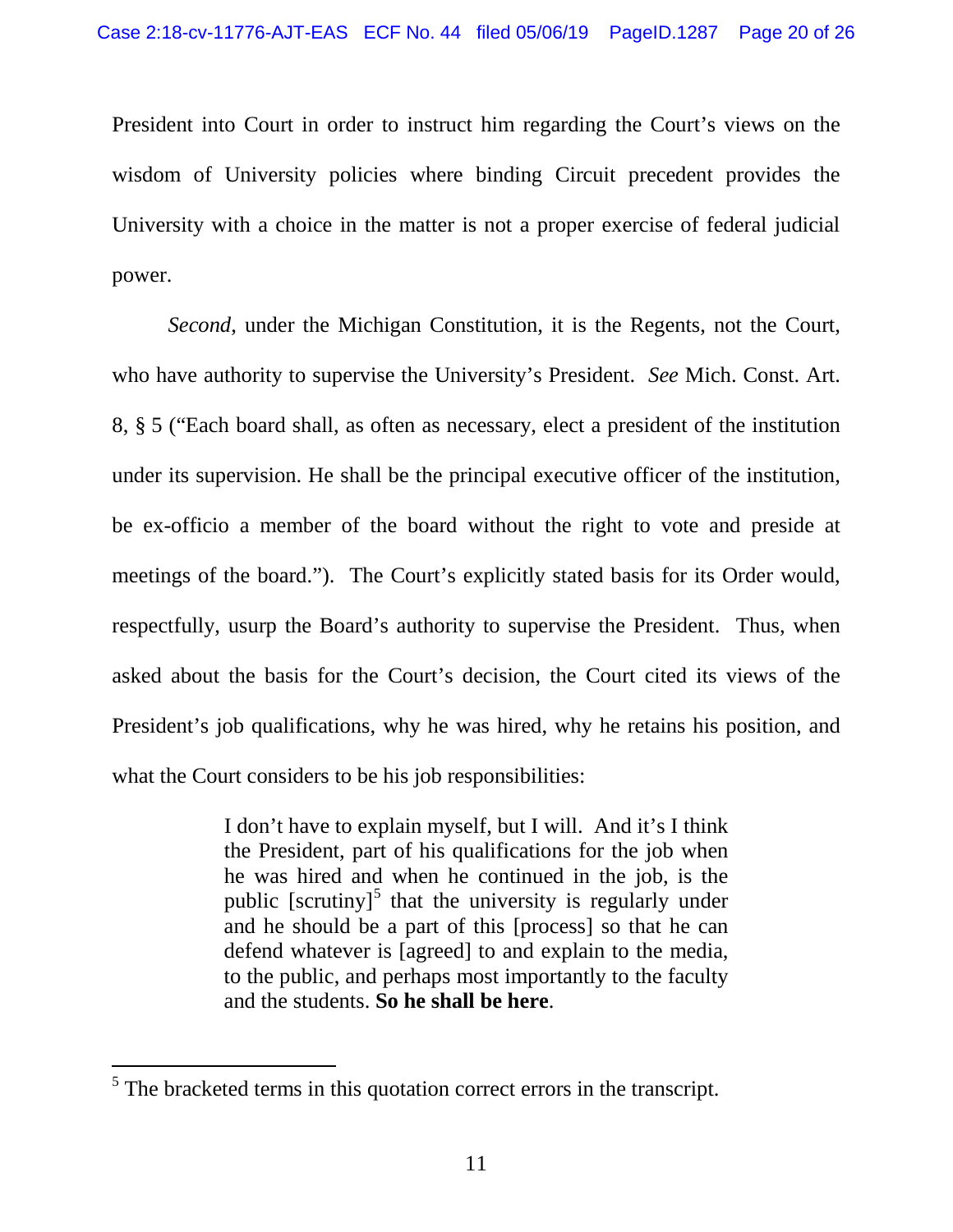President into Court in order to instruct him regarding the Court's views on the wisdom of University policies where binding Circuit precedent provides the University with a choice in the matter is not a proper exercise of federal judicial power.

*Second*, under the Michigan Constitution, it is the Regents, not the Court, who have authority to supervise the University's President. *See* Mich. Const. Art. 8, § 5 ("Each board shall, as often as necessary, elect a president of the institution under its supervision. He shall be the principal executive officer of the institution, be ex-officio a member of the board without the right to vote and preside at meetings of the board."). The Court's explicitly stated basis for its Order would, respectfully, usurp the Board's authority to supervise the President. Thus, when asked about the basis for the Court's decision, the Court cited its views of the President's job qualifications, why he was hired, why he retains his position, and what the Court considers to be his job responsibilities:

> I don't have to explain myself, but I will. And it's I think the President, part of his qualifications for the job when he was hired and when he continued in the job, is the public  $[scrutiny]$ <sup>[5](#page-19-0)</sup> that the university is regularly under and he should be a part of this [process] so that he can defend whatever is [agreed] to and explain to the media, to the public, and perhaps most importantly to the faculty and the students. **So he shall be here**.

<span id="page-19-0"></span> $<sup>5</sup>$  The bracketed terms in this quotation correct errors in the transcript.</sup>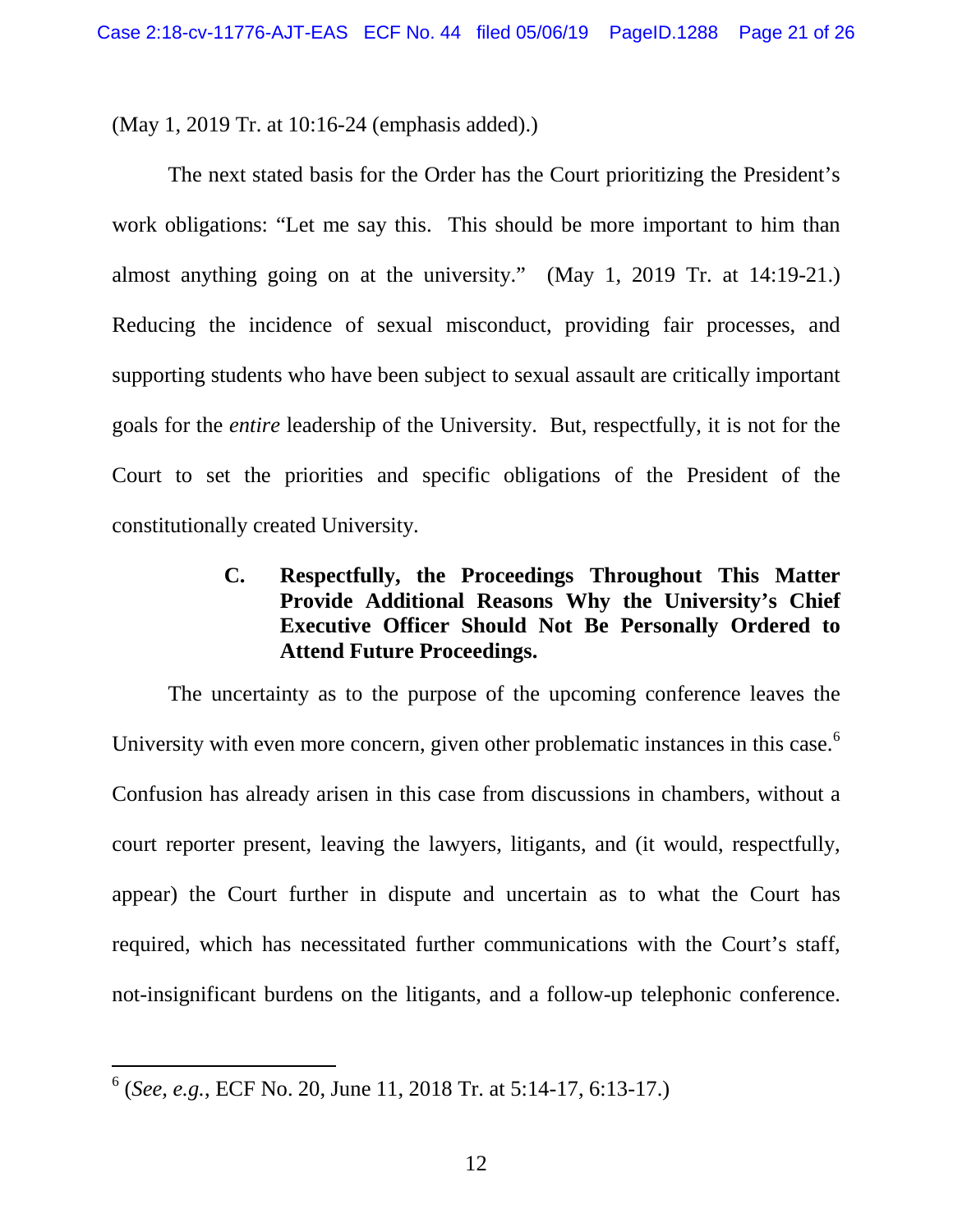(May 1, 2019 Tr. at 10:16-24 (emphasis added).)

The next stated basis for the Order has the Court prioritizing the President's work obligations: "Let me say this. This should be more important to him than almost anything going on at the university." (May 1, 2019 Tr. at 14:19-21.) Reducing the incidence of sexual misconduct, providing fair processes, and supporting students who have been subject to sexual assault are critically important goals for the *entire* leadership of the University. But, respectfully, it is not for the Court to set the priorities and specific obligations of the President of the constitutionally created University.

# <span id="page-20-0"></span>**C. Respectfully, the Proceedings Throughout This Matter Provide Additional Reasons Why the University's Chief Executive Officer Should Not Be Personally Ordered to Attend Future Proceedings.**

The uncertainty as to the purpose of the upcoming conference leaves the University with even more concern, given other problematic instances in this case.<sup>[6](#page-20-1)</sup> Confusion has already arisen in this case from discussions in chambers, without a court reporter present, leaving the lawyers, litigants, and (it would, respectfully, appear) the Court further in dispute and uncertain as to what the Court has required, which has necessitated further communications with the Court's staff, not-insignificant burdens on the litigants, and a follow-up telephonic conference.

<span id="page-20-1"></span> <sup>6</sup> (*See, e.g.*, ECF No. 20, June 11, 2018 Tr. at 5:14-17, 6:13-17.)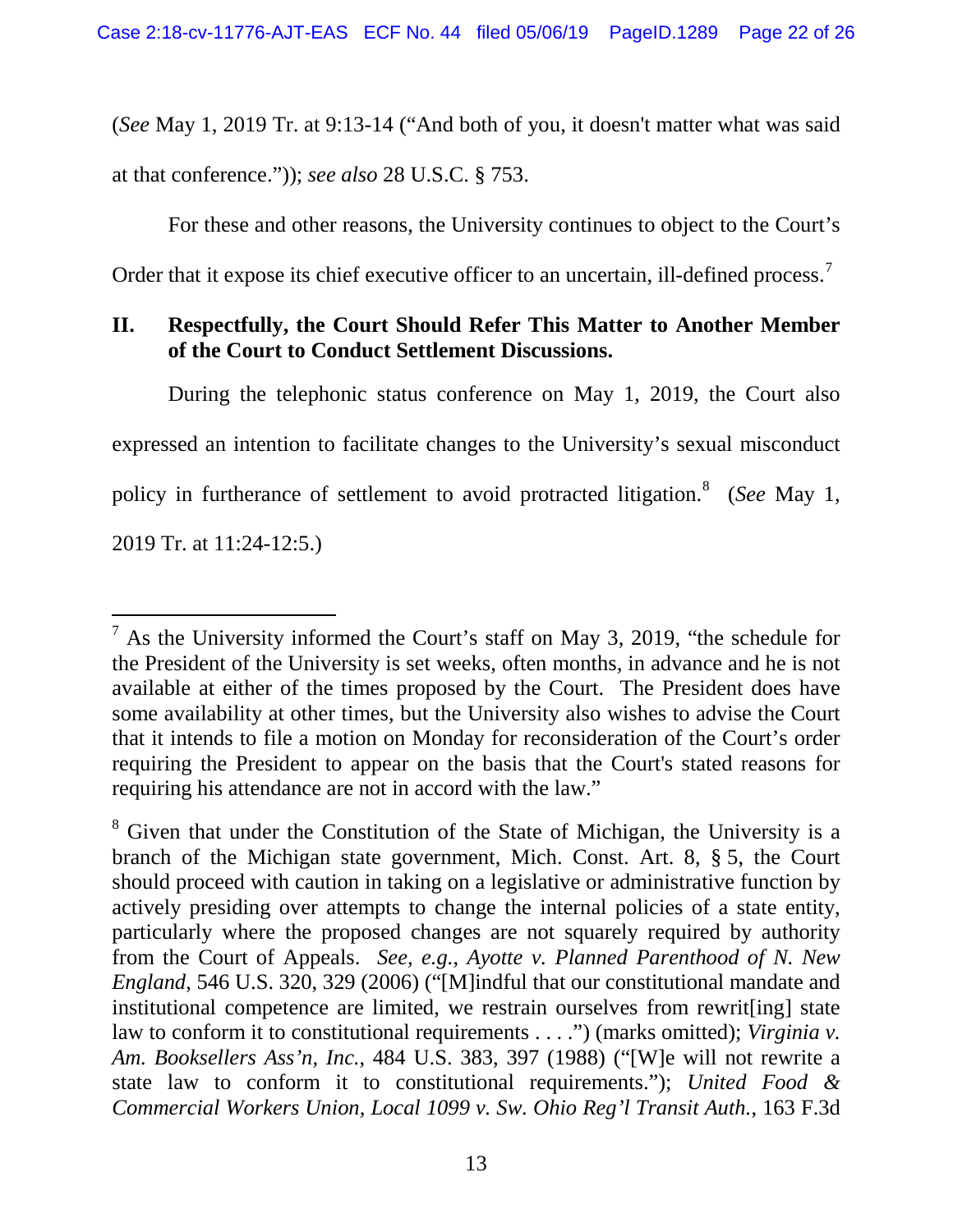(*See* May 1, 2019 Tr. at 9:13-14 ("And both of you, it doesn't matter what was said

at that conference.")); *see also* 28 U.S.C. § 753.

For these and other reasons, the University continues to object to the Court's

Order that it expose its chief executive officer to an uncertain, ill-defined process.<sup>[7](#page-21-1)</sup>

# <span id="page-21-0"></span>**II. Respectfully, the Court Should Refer This Matter to Another Member of the Court to Conduct Settlement Discussions.**

During the telephonic status conference on May 1, 2019, the Court also expressed an intention to facilitate changes to the University's sexual misconduct policy in furtherance of settlement to avoid protracted litigation. [8](#page-21-2) (*See* May 1, 2019 Tr. at 11:24-12:5.)

<span id="page-21-1"></span> $<sup>7</sup>$  As the University informed the Court's staff on May 3, 2019, "the schedule for</sup> the President of the University is set weeks, often months, in advance and he is not available at either of the times proposed by the Court. The President does have some availability at other times, but the University also wishes to advise the Court that it intends to file a motion on Monday for reconsideration of the Court's order requiring the President to appear on the basis that the Court's stated reasons for requiring his attendance are not in accord with the law."

<span id="page-21-2"></span><sup>&</sup>lt;sup>8</sup> Given that under the Constitution of the State of Michigan, the University is a branch of the Michigan state government, Mich. Const. Art. 8, § 5, the Court should proceed with caution in taking on a legislative or administrative function by actively presiding over attempts to change the internal policies of a state entity, particularly where the proposed changes are not squarely required by authority from the Court of Appeals. *See, e.g.*, *Ayotte v. Planned Parenthood of N. New England*, 546 U.S. 320, 329 (2006) ("[M]indful that our constitutional mandate and institutional competence are limited, we restrain ourselves from rewrit[ing] state law to conform it to constitutional requirements . . . .") (marks omitted); *Virginia v. Am. Booksellers Ass'n, Inc.*, 484 U.S. 383, 397 (1988) ("[W]e will not rewrite a state law to conform it to constitutional requirements."); *United Food & Commercial Workers Union, Local 1099 v. Sw. Ohio Reg'l Transit Auth.*, 163 F.3d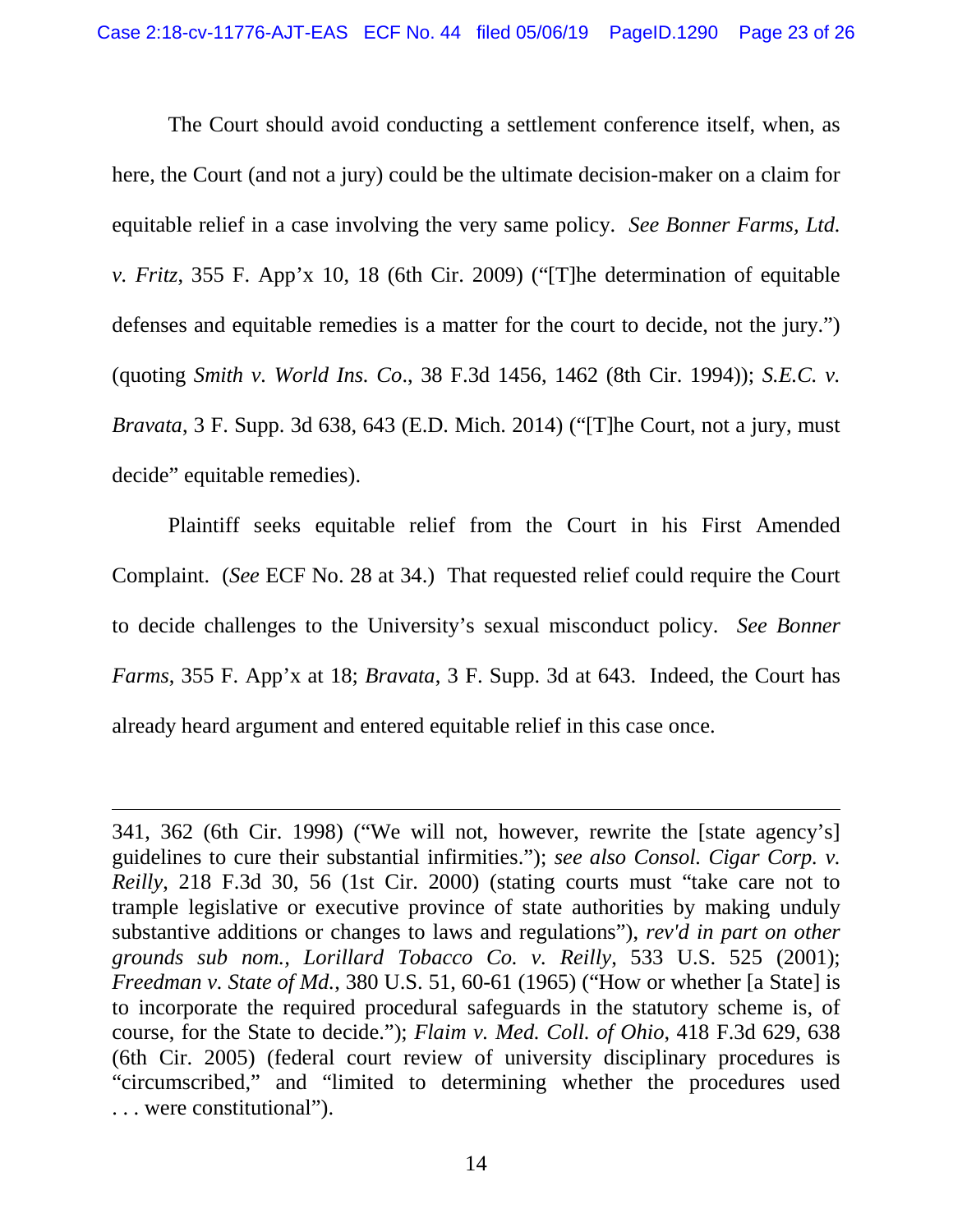The Court should avoid conducting a settlement conference itself, when, as here, the Court (and not a jury) could be the ultimate decision-maker on a claim for equitable relief in a case involving the very same policy. *See Bonner Farms, Ltd. v. Fritz*, 355 F. App'x 10, 18 (6th Cir. 2009) ("[T]he determination of equitable defenses and equitable remedies is a matter for the court to decide, not the jury.") (quoting *Smith v. World Ins. Co*., 38 F.3d 1456, 1462 (8th Cir. 1994)); *S.E.C. v. Bravata*, 3 F. Supp. 3d 638, 643 (E.D. Mich. 2014) ("[T]he Court, not a jury, must decide" equitable remedies).

Plaintiff seeks equitable relief from the Court in his First Amended Complaint. (*See* ECF No. 28 at 34.) That requested relief could require the Court to decide challenges to the University's sexual misconduct policy. *See Bonner Farms*, 355 F. App'x at 18; *Bravata*, 3 F. Supp. 3d at 643. Indeed, the Court has already heard argument and entered equitable relief in this case once.

 $\overline{a}$ 

<sup>341, 362 (6</sup>th Cir. 1998) ("We will not, however, rewrite the [state agency's] guidelines to cure their substantial infirmities."); *see also Consol. Cigar Corp. v. Reilly*, 218 F.3d 30, 56 (1st Cir. 2000) (stating courts must "take care not to trample legislative or executive province of state authorities by making unduly substantive additions or changes to laws and regulations"), *rev'd in part on other grounds sub nom., Lorillard Tobacco Co. v. Reilly*, 533 U.S. 525 (2001); *Freedman v. State of Md.*, 380 U.S. 51, 60-61 (1965) ("How or whether [a State] is to incorporate the required procedural safeguards in the statutory scheme is, of course, for the State to decide."); *Flaim v. Med. Coll. of Ohio*, 418 F.3d 629, 638 (6th Cir. 2005) (federal court review of university disciplinary procedures is "circumscribed," and "limited to determining whether the procedures used . . . were constitutional").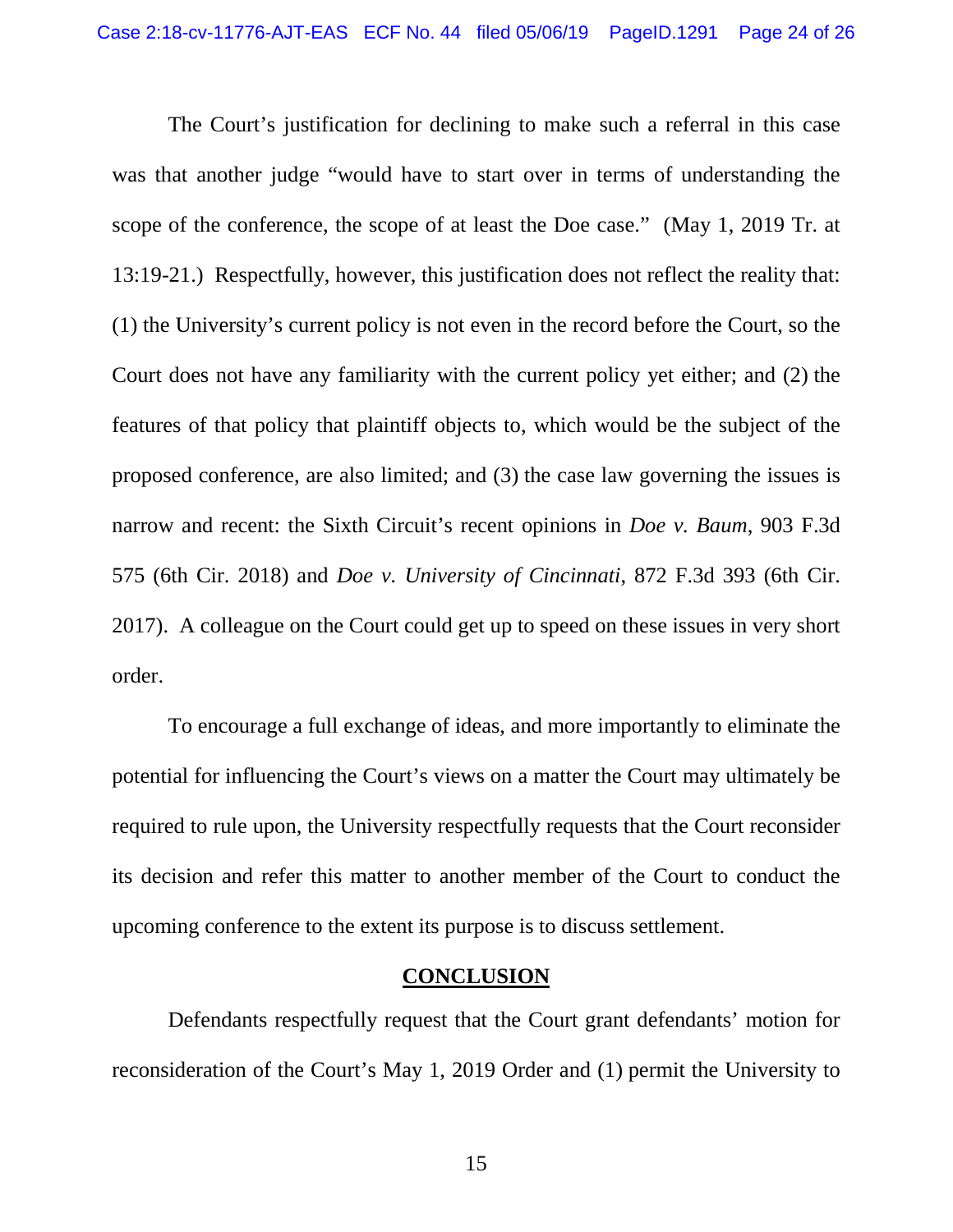The Court's justification for declining to make such a referral in this case was that another judge "would have to start over in terms of understanding the scope of the conference, the scope of at least the Doe case." (May 1, 2019 Tr. at 13:19-21.) Respectfully, however, this justification does not reflect the reality that: (1) the University's current policy is not even in the record before the Court, so the Court does not have any familiarity with the current policy yet either; and (2) the features of that policy that plaintiff objects to, which would be the subject of the proposed conference, are also limited; and (3) the case law governing the issues is narrow and recent: the Sixth Circuit's recent opinions in *Doe v. Baum*, 903 F.3d 575 (6th Cir. 2018) and *Doe v. University of Cincinnati*, 872 F.3d 393 (6th Cir. 2017). A colleague on the Court could get up to speed on these issues in very short order.

To encourage a full exchange of ideas, and more importantly to eliminate the potential for influencing the Court's views on a matter the Court may ultimately be required to rule upon, the University respectfully requests that the Court reconsider its decision and refer this matter to another member of the Court to conduct the upcoming conference to the extent its purpose is to discuss settlement.

## **CONCLUSION**

<span id="page-23-0"></span>Defendants respectfully request that the Court grant defendants' motion for reconsideration of the Court's May 1, 2019 Order and (1) permit the University to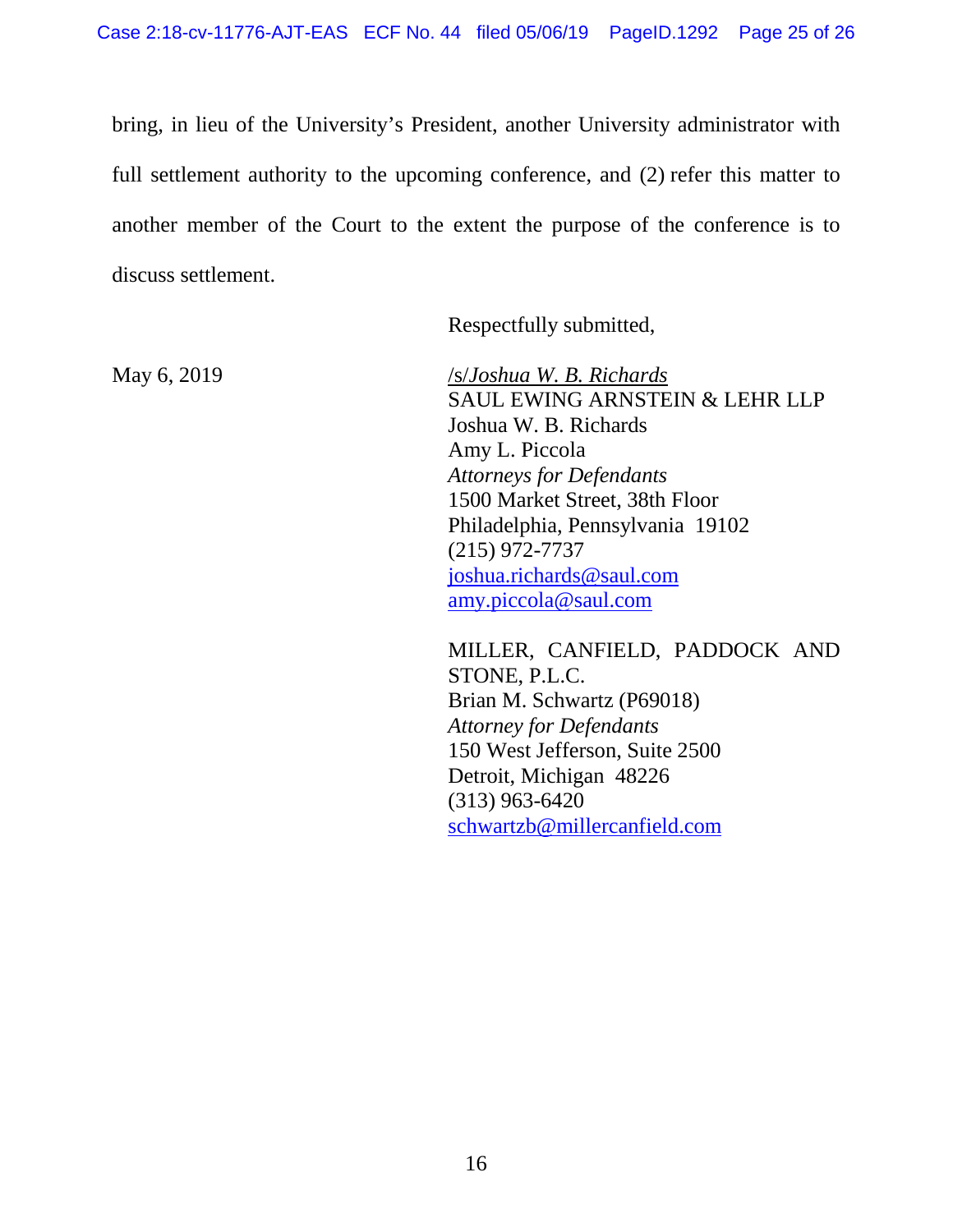bring, in lieu of the University's President, another University administrator with full settlement authority to the upcoming conference, and (2) refer this matter to another member of the Court to the extent the purpose of the conference is to discuss settlement.

Respectfully submitted,

May 6, 2019 /s/*Joshua W. B. Richards* SAUL EWING ARNSTEIN & LEHR LLP Joshua W. B. Richards Amy L. Piccola *Attorneys for Defendants* 1500 Market Street, 38th Floor Philadelphia, Pennsylvania 19102 (215) 972-7737 [joshua.richards@saul.com](mailto:joshua.richards@saul.com) [amy.piccola@saul.com](mailto:amy.piccola@saul.com)

> MILLER, CANFIELD, PADDOCK AND STONE, P.L.C. Brian M. Schwartz (P69018) *Attorney for Defendants* 150 West Jefferson, Suite 2500 Detroit, Michigan 48226 (313) 963-6420 [schwartzb@millercanfield.com](mailto:schwartzb@millercanfield.com)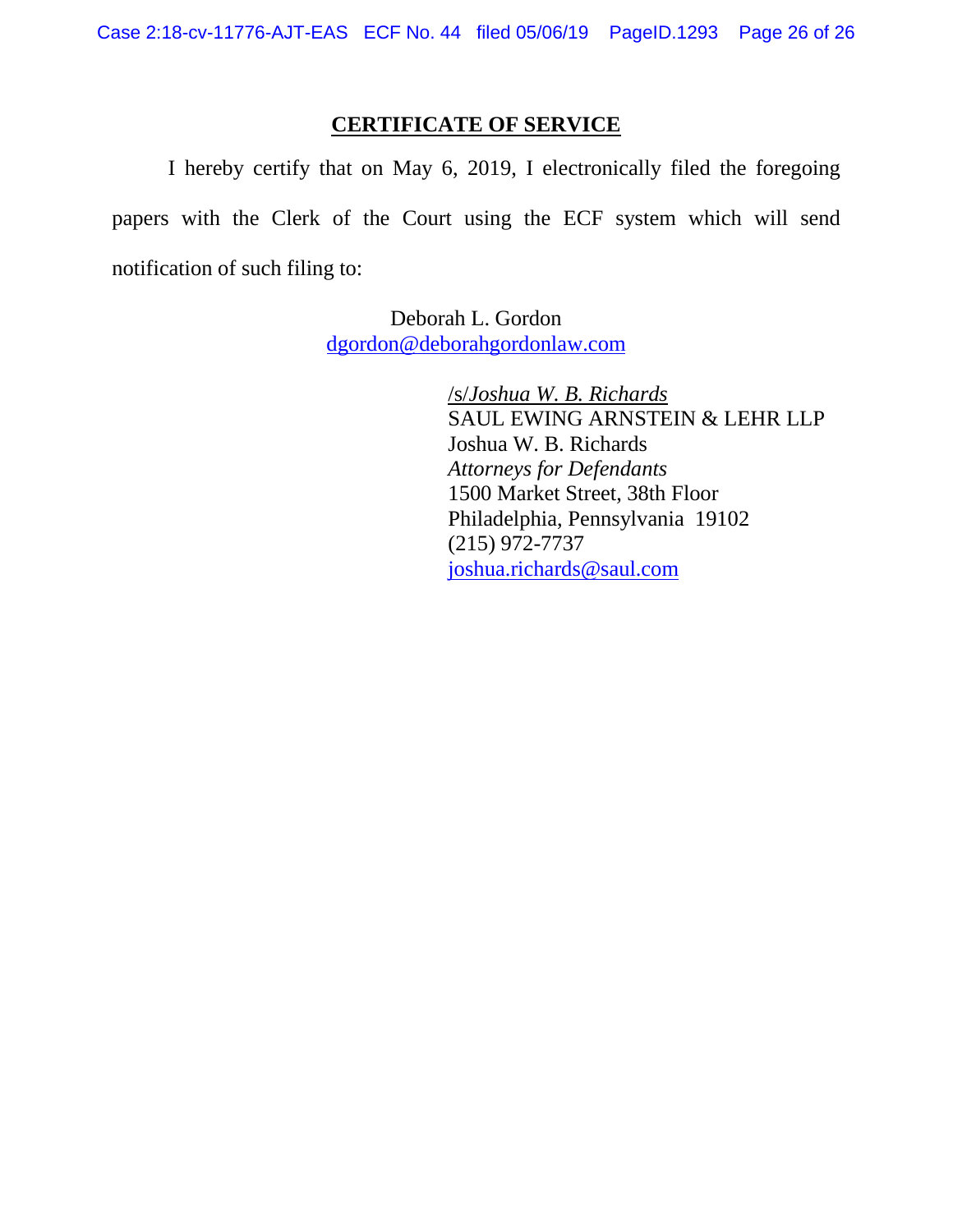## **CERTIFICATE OF SERVICE**

I hereby certify that on May 6, 2019, I electronically filed the foregoing papers with the Clerk of the Court using the ECF system which will send notification of such filing to:

> Deborah L. Gordon [dgordon@deborahgordonlaw.com](mailto:dgordon@deborahgordonlaw.com)

> > /s/*Joshua W. B. Richards* SAUL EWING ARNSTEIN & LEHR LLP Joshua W. B. Richards *Attorneys for Defendants* 1500 Market Street, 38th Floor Philadelphia, Pennsylvania 19102 (215) 972-7737 [joshua.richards@saul.com](mailto:joshua.richards@saul.com)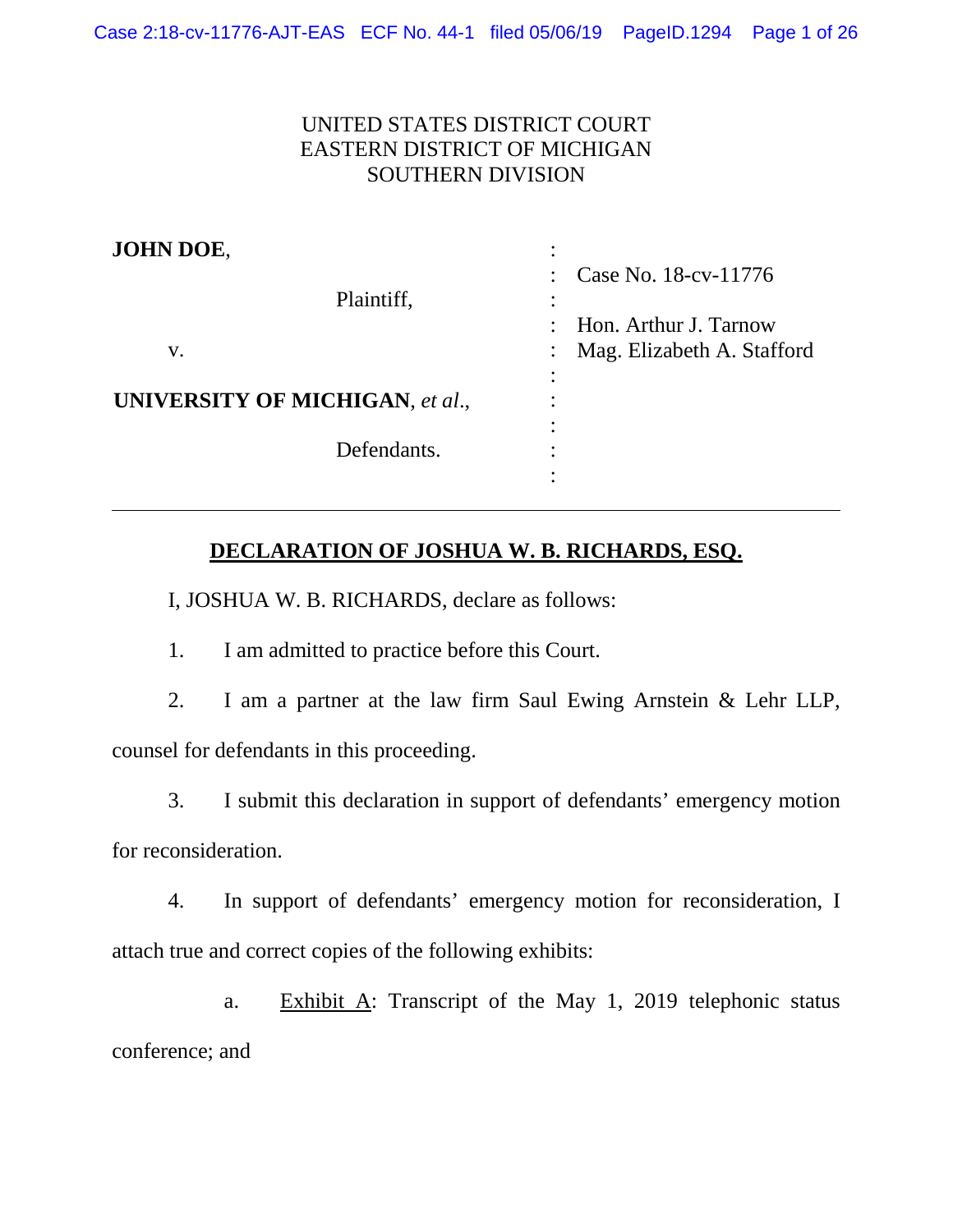# UNITED STATES DISTRICT COURT EASTERN DISTRICT OF MICHIGAN SOUTHERN DIVISION

| JOHN DOE,                       |                                     |
|---------------------------------|-------------------------------------|
|                                 | Case No. 18-cv-11776<br>$\bullet$ . |
| Plaintiff,                      |                                     |
|                                 | Hon. Arthur J. Tarnow               |
| V.                              | Mag. Elizabeth A. Stafford          |
|                                 | $\bullet$                           |
| UNIVERSITY OF MICHIGAN, et al., |                                     |
|                                 | ٠                                   |
| Defendants.                     |                                     |
|                                 |                                     |

# **DECLARATION OF JOSHUA W. B. RICHARDS, ESQ.**

I, JOSHUA W. B. RICHARDS, declare as follows:

1. I am admitted to practice before this Court.

2. I am a partner at the law firm Saul Ewing Arnstein & Lehr LLP, counsel for defendants in this proceeding.

3. I submit this declaration in support of defendants' emergency motion for reconsideration.

4. In support of defendants' emergency motion for reconsideration, I attach true and correct copies of the following exhibits:

a. Exhibit A: Transcript of the May 1, 2019 telephonic status conference; and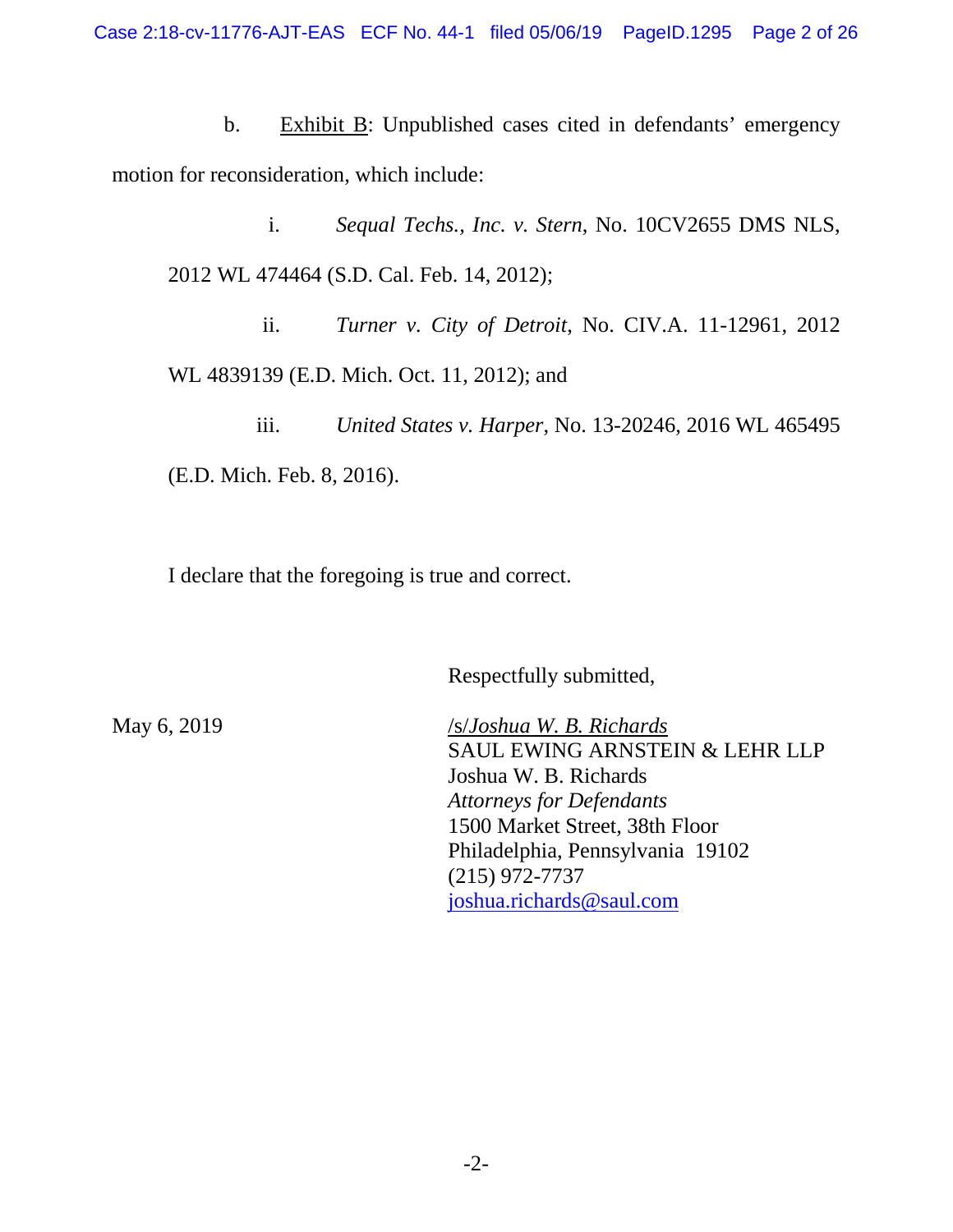b. Exhibit B: Unpublished cases cited in defendants' emergency motion for reconsideration, which include:

i. *Sequal Techs., Inc. v. Stern*, No. 10CV2655 DMS NLS, 2012 WL 474464 (S.D. Cal. Feb. 14, 2012);

ii. *Turner v. City of Detroit*, No. CIV.A. 11-12961, 2012 WL 4839139 (E.D. Mich. Oct. 11, 2012); and

iii. *United States v. Harper*, No. 13-20246, 2016 WL 465495 (E.D. Mich. Feb. 8, 2016).

I declare that the foregoing is true and correct.

Respectfully submitted,

May 6, 2019 /s/*Joshua W. B. Richards* SAUL EWING ARNSTEIN & LEHR LLP Joshua W. B. Richards *Attorneys for Defendants* 1500 Market Street, 38th Floor Philadelphia, Pennsylvania 19102 (215) 972-7737 [joshua.richards@saul.com](mailto:joshua.richards@saul.com)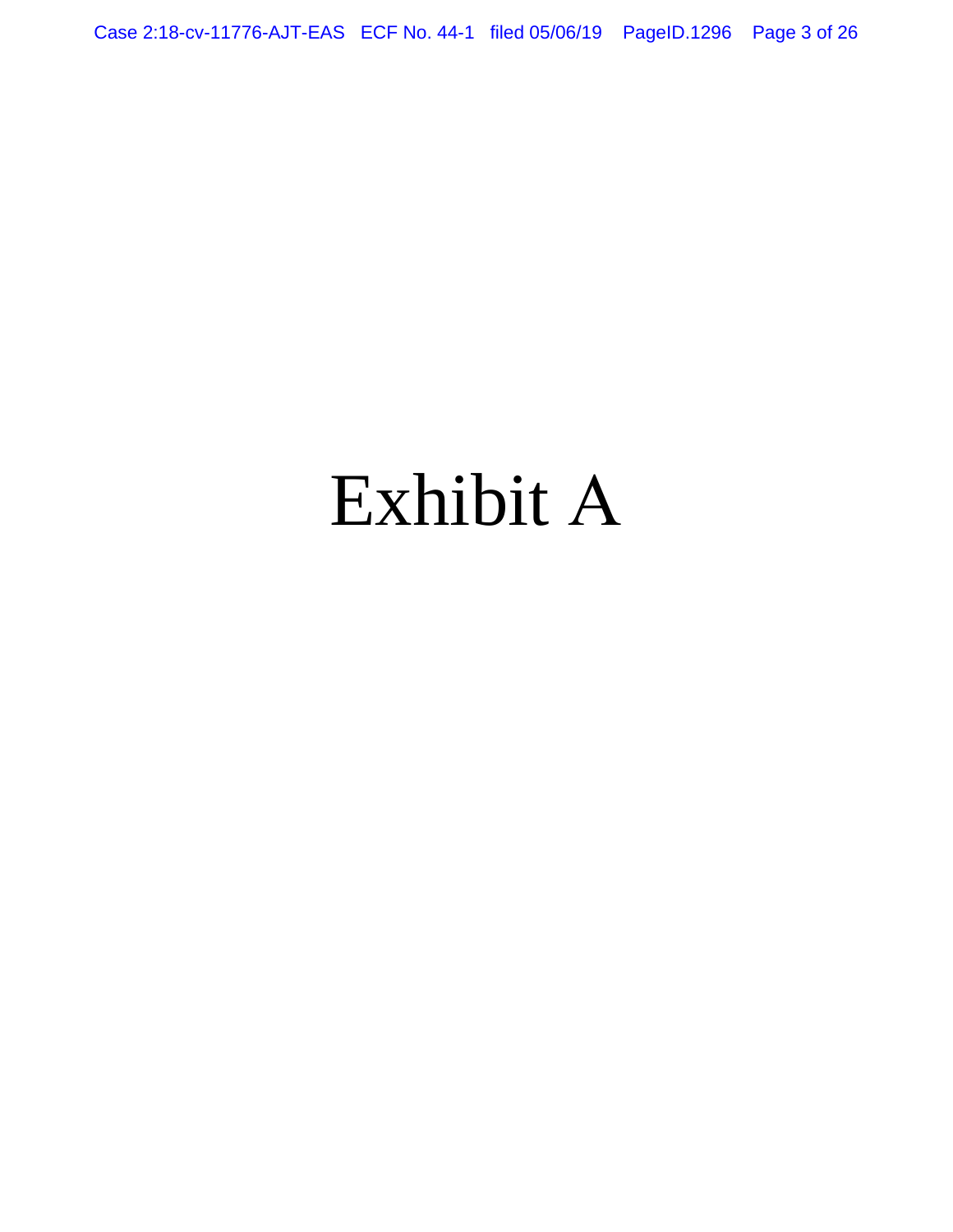Case 2:18-cv-11776-AJT-EAS ECF No. 44-1 filed 05/06/19 PageID.1296 Page 3 of 26

# Exhibit A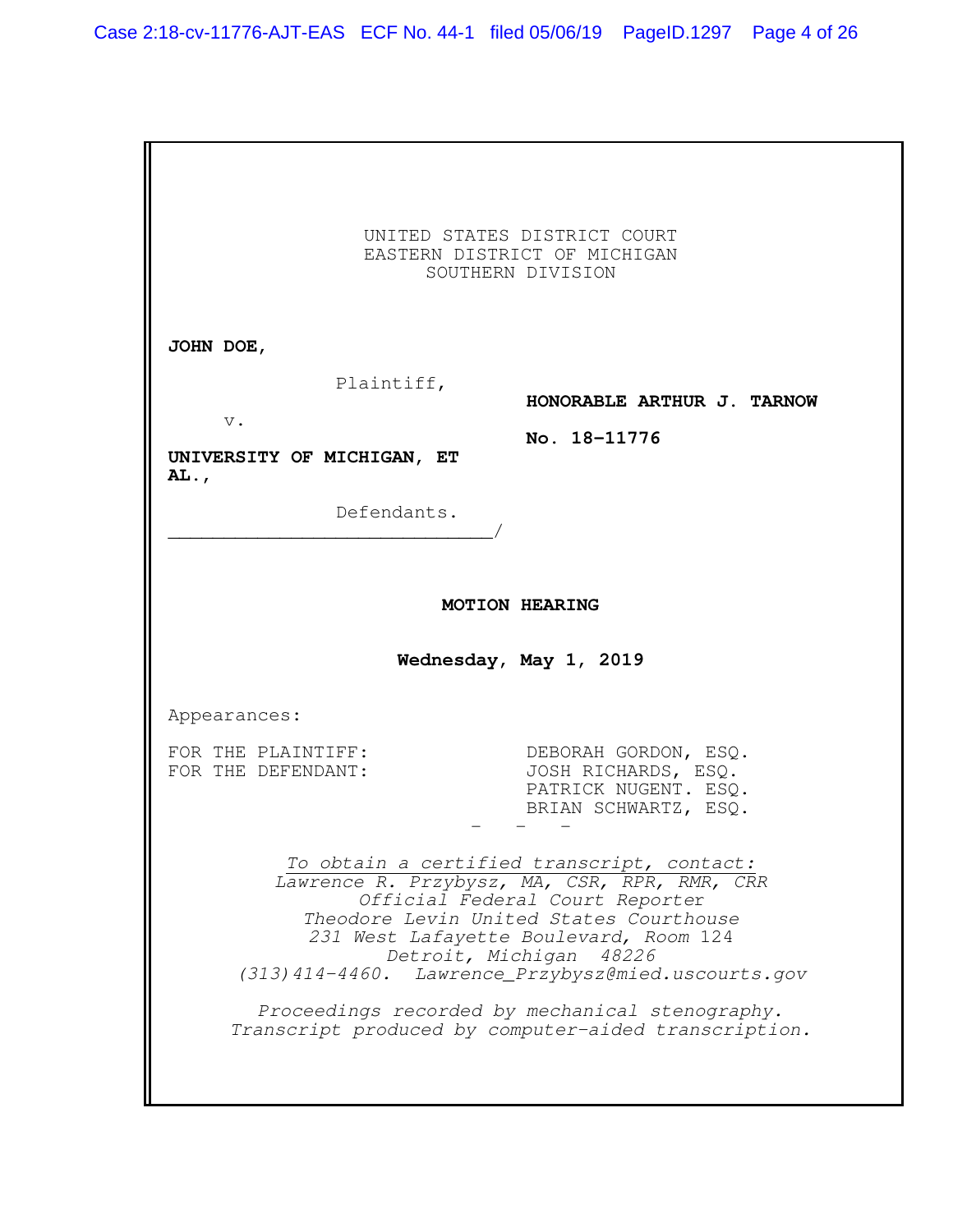|                                                                                | UNITED STATES DISTRICT COURT<br>EASTERN DISTRICT OF MICHIGAN<br>SOUTHERN DIVISION                                                                                                                                                                                                                                                                                                             |
|--------------------------------------------------------------------------------|-----------------------------------------------------------------------------------------------------------------------------------------------------------------------------------------------------------------------------------------------------------------------------------------------------------------------------------------------------------------------------------------------|
| JOHN DOE,<br>Plaintiff,<br>$\mathbf v$ .<br>UNIVERSITY OF MICHIGAN, ET<br>AL., | HONORABLE ARTHUR J. TARNOW<br>No. 18-11776                                                                                                                                                                                                                                                                                                                                                    |
| Defendants.                                                                    |                                                                                                                                                                                                                                                                                                                                                                                               |
|                                                                                | <b>MOTION HEARING</b><br>Wednesday, May 1, 2019                                                                                                                                                                                                                                                                                                                                               |
| Appearances:                                                                   |                                                                                                                                                                                                                                                                                                                                                                                               |
| FOR THE PLAINTIFF:<br>FOR THE DEFENDANT:                                       | DEBORAH GORDON, ESQ.<br>JOSH RICHARDS, ESQ.<br>PATRICK NUGENT. ESQ.<br>BRIAN SCHWARTZ, ESO.                                                                                                                                                                                                                                                                                                   |
| Detroit, Michigan                                                              | To obtain a certified transcript, contact:<br>Lawrence R. Przybysz, MA, CSR, RPR, RMR, CRR<br>Official Federal Court Reporter<br>Theodore Levin United States Courthouse<br>231 West Lafayette Boulevard, Room 124<br>48226<br>(313) 414-4460. Lawrence_Przybysz@mied.uscourts.gov<br>Proceedings recorded by mechanical stenography.<br>Transcript produced by computer-aided transcription. |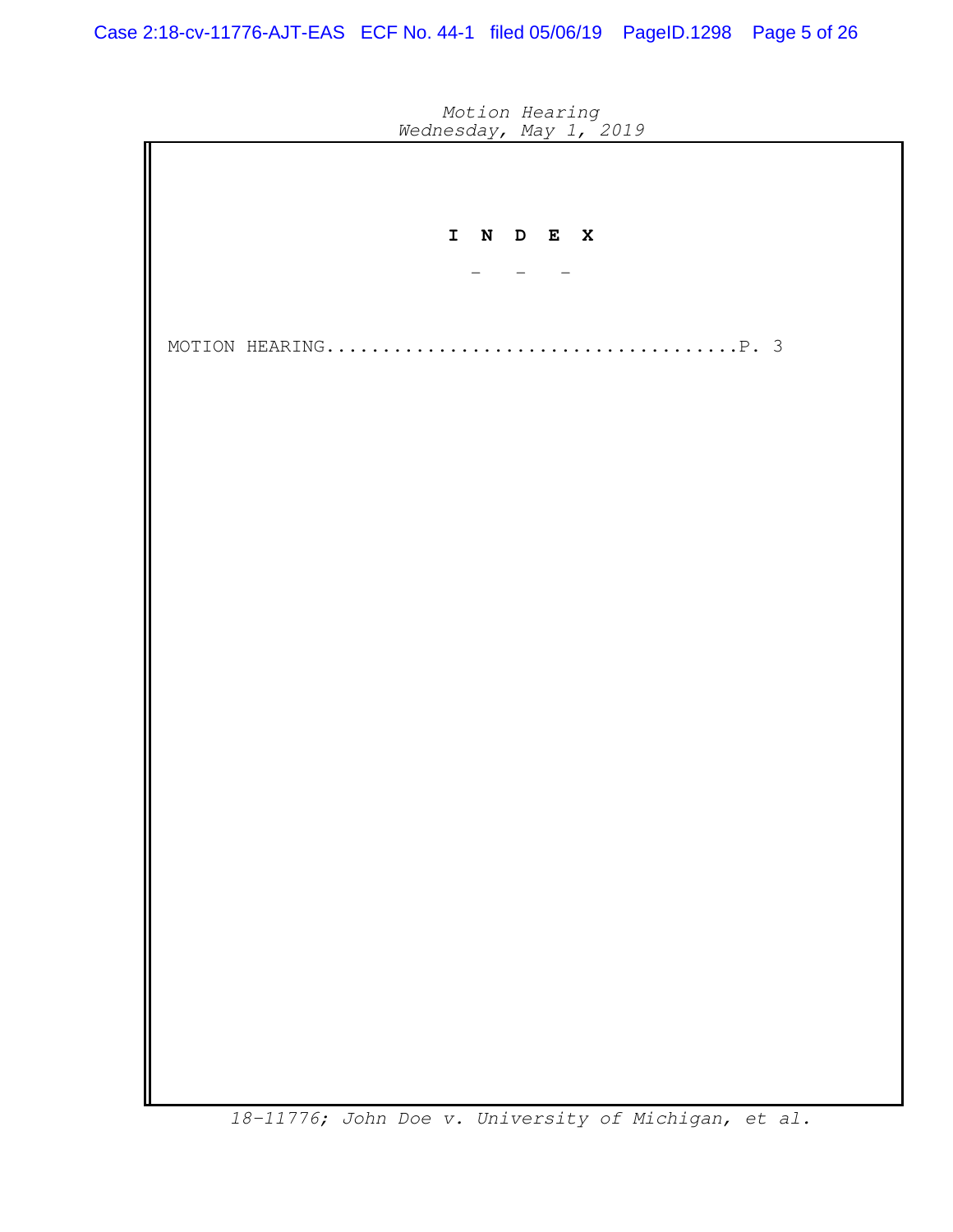| <i>Meditesday</i> , may 1, 2019                                                                                                                                                                                                                         |
|---------------------------------------------------------------------------------------------------------------------------------------------------------------------------------------------------------------------------------------------------------|
|                                                                                                                                                                                                                                                         |
|                                                                                                                                                                                                                                                         |
| I N D E X                                                                                                                                                                                                                                               |
|                                                                                                                                                                                                                                                         |
|                                                                                                                                                                                                                                                         |
|                                                                                                                                                                                                                                                         |
|                                                                                                                                                                                                                                                         |
|                                                                                                                                                                                                                                                         |
|                                                                                                                                                                                                                                                         |
|                                                                                                                                                                                                                                                         |
|                                                                                                                                                                                                                                                         |
|                                                                                                                                                                                                                                                         |
|                                                                                                                                                                                                                                                         |
|                                                                                                                                                                                                                                                         |
|                                                                                                                                                                                                                                                         |
|                                                                                                                                                                                                                                                         |
|                                                                                                                                                                                                                                                         |
|                                                                                                                                                                                                                                                         |
|                                                                                                                                                                                                                                                         |
|                                                                                                                                                                                                                                                         |
|                                                                                                                                                                                                                                                         |
|                                                                                                                                                                                                                                                         |
|                                                                                                                                                                                                                                                         |
| $\begin{array}{c} \n\mathbf{1} & \mathbf{1} & \mathbf{1} & \mathbf{1} & \mathbf{1} & \mathbf{1} \\ \mathbf{1} & \mathbf{1} & \mathbf{1} & \mathbf{1} & \mathbf{1} & \mathbf{1} & \mathbf{1}\n\end{array}$<br>$\cdot$<br>$\cdot$ .<br>$\cdot$<br>$\cdot$ |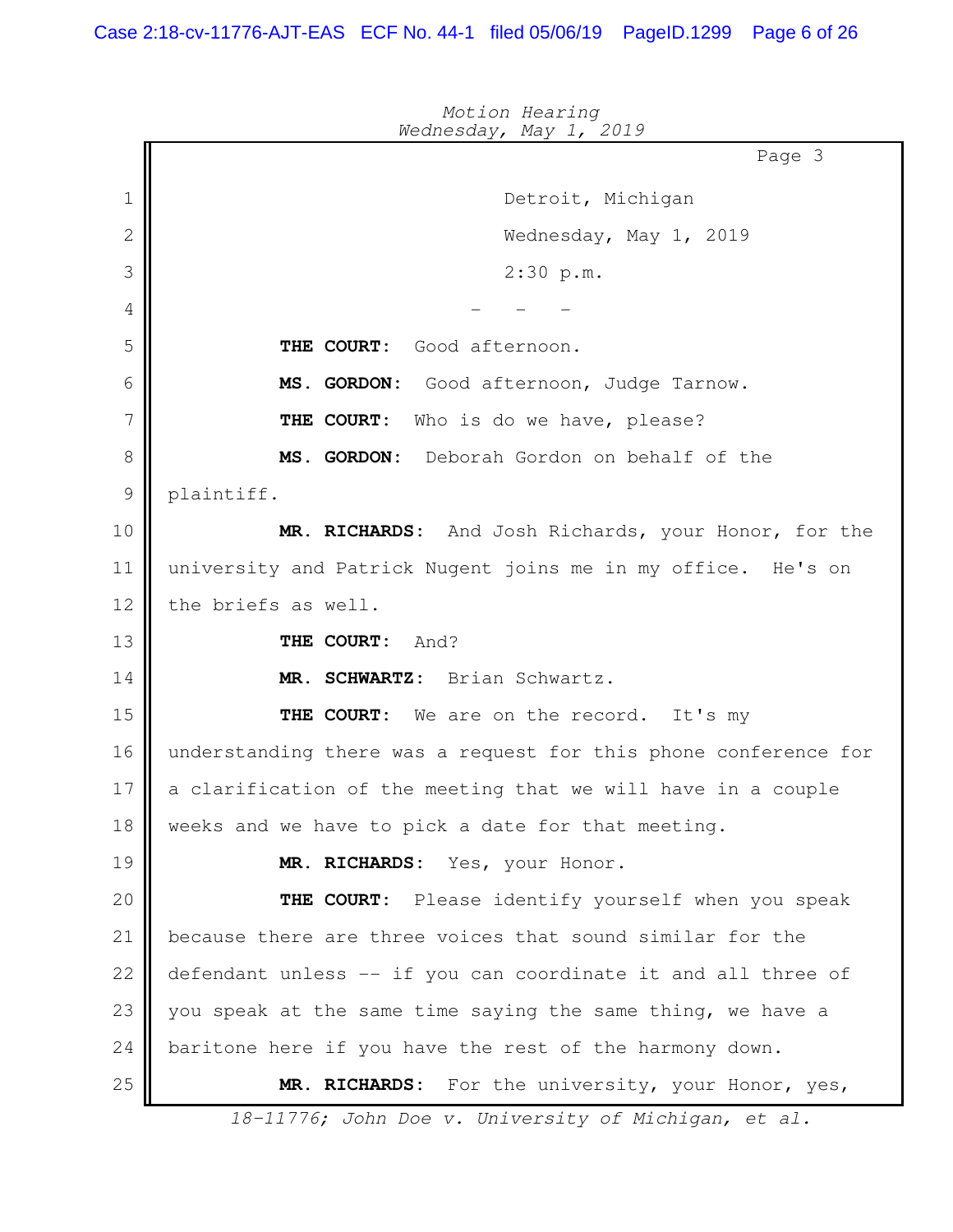Page 3 *Wednesday, May 1, 2019* Detroit, Michigan Wednesday, May 1, 2019 2:30 p.m. - - - **THE COURT:** Good afternoon. **MS. GORDON:** Good afternoon, Judge Tarnow. **THE COURT:** Who is do we have, please? **MS. GORDON:** Deborah Gordon on behalf of the plaintiff. **MR. RICHARDS:** And Josh Richards, your Honor, for the university and Patrick Nugent joins me in my office. He's on the briefs as well. **THE COURT:** And? **MR. SCHWARTZ:** Brian Schwartz. **THE COURT:** We are on the record. It's my understanding there was a request for this phone conference for a clarification of the meeting that we will have in a couple weeks and we have to pick a date for that meeting. **MR. RICHARDS:** Yes, your Honor. **THE COURT:** Please identify yourself when you speak because there are three voices that sound similar for the defendant unless -- if you can coordinate it and all three of you speak at the same time saying the same thing, we have a baritone here if you have the rest of the harmony down. **MR. RICHARDS:** For the university, your Honor, yes, *18-11776; John Doe v. University of Michigan, et al.* 1 2 3 4 5 6 7 8 9 10 11 12 13 14 15 16 17 18 19 20 21 22 23 24 25

*Motion Hearing*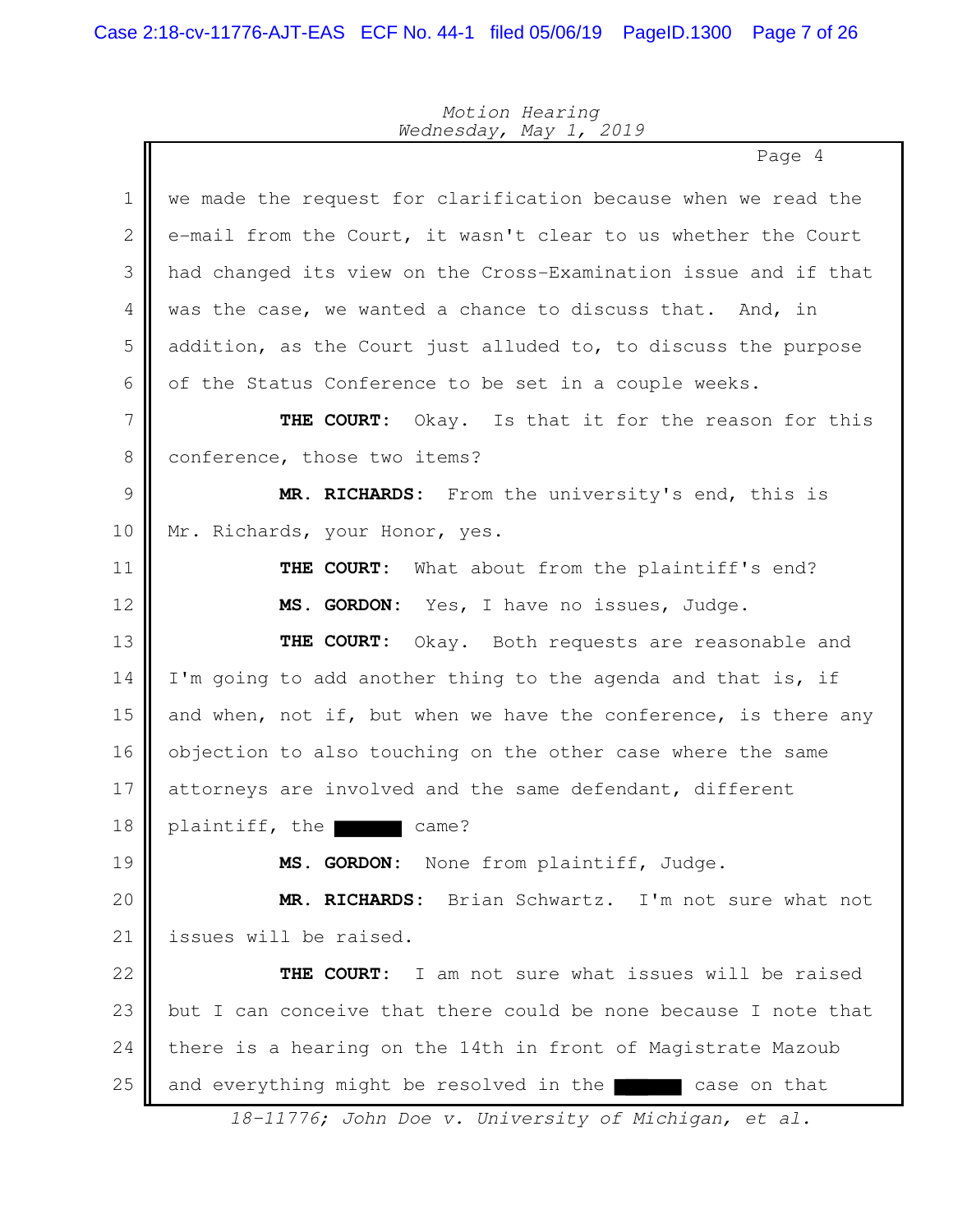Page 4 we made the request for clarification because when we read the e-mail from the Court, it wasn't clear to us whether the Court had changed its view on the Cross-Examination issue and if that was the case, we wanted a chance to discuss that. And, in addition, as the Court just alluded to, to discuss the purpose of the Status Conference to be set in a couple weeks. **THE COURT:** Okay. Is that it for the reason for this conference, those two items? **MR. RICHARDS:** From the university's end, this is Mr. Richards, your Honor, yes. **THE COURT:** What about from the plaintiff's end? **MS. GORDON:** Yes, I have no issues, Judge. **THE COURT:** Okay. Both requests are reasonable and I'm going to add another thing to the agenda and that is, if and when, not if, but when we have the conference, is there any objection to also touching on the other case where the same attorneys are involved and the same defendant, different plaintiff, the came? **MS. GORDON:** None from plaintiff, Judge. **MR. RICHARDS:** Brian Schwartz. I'm not sure what not issues will be raised. **THE COURT:** I am not sure what issues will be raised but I can conceive that there could be none because I note that there is a hearing on the 14th in front of Magistrate Mazoub and everything might be resolved in the case on that *18-11776; John Doe v. University of Michigan, et al.* 1 2 3 4 5 6 7 8 9 10 11 12 13 14 15 16 17 18 19 20 21 22 23 24 25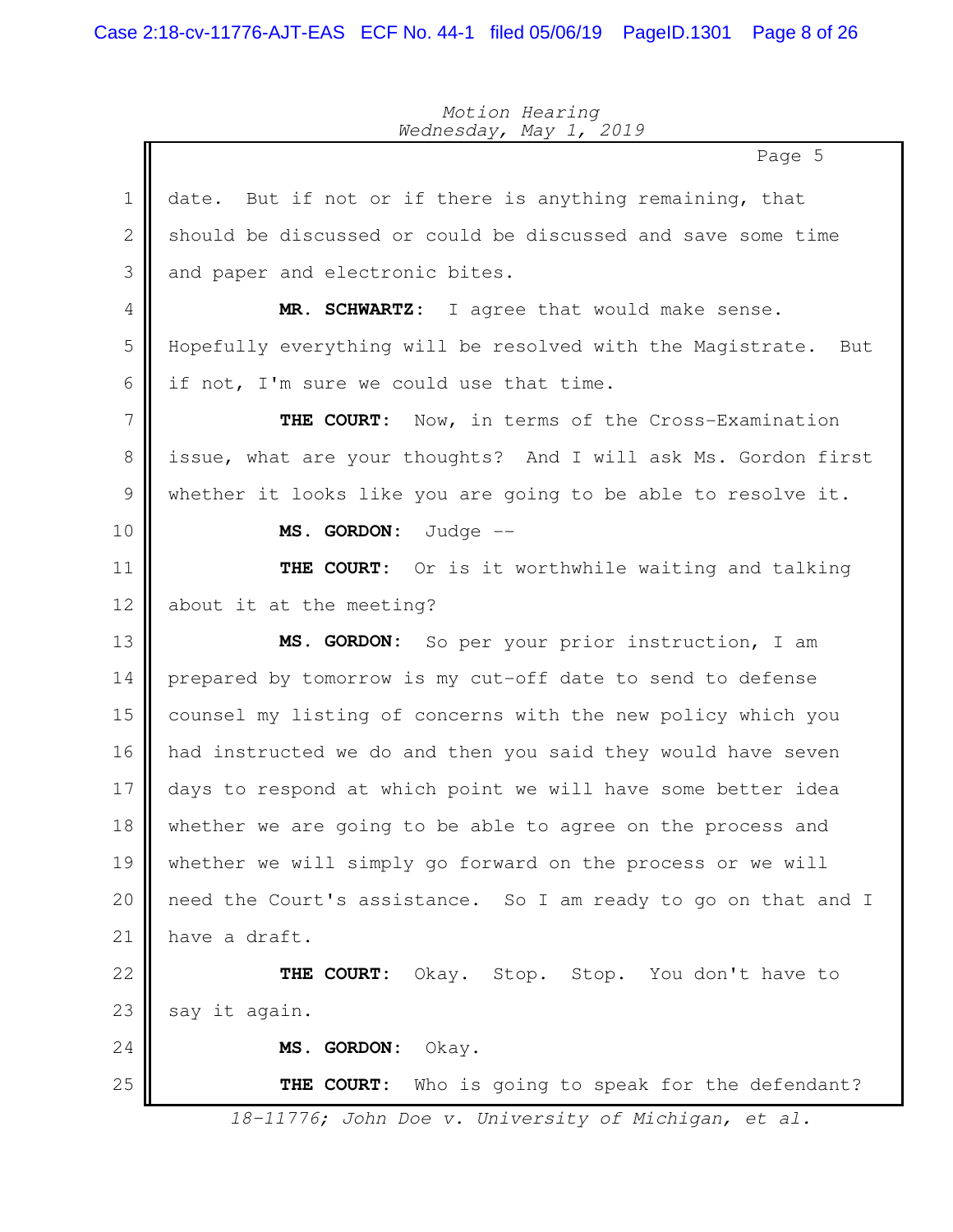|                | Page 5                                                            |
|----------------|-------------------------------------------------------------------|
| $\mathbf 1$    | But if not or if there is anything remaining, that<br>date.       |
| $\mathbf{2}$   | should be discussed or could be discussed and save some time      |
| 3              | and paper and electronic bites.                                   |
| 4              | MR. SCHWARTZ: I agree that would make sense.                      |
| 5              | Hopefully everything will be resolved with the Magistrate.<br>But |
| 6              | if not, I'm sure we could use that time.                          |
| $\overline{7}$ | THE COURT: Now, in terms of the Cross-Examination                 |
| $8\,$          | issue, what are your thoughts? And I will ask Ms. Gordon first    |
| $\mathcal{G}$  | whether it looks like you are going to be able to resolve it.     |
| 10             | MS. GORDON: Judge --                                              |
| 11             | THE COURT: Or is it worthwhile waiting and talking                |
| 12             | about it at the meeting?                                          |
| 13             | MS. GORDON: So per your prior instruction, I am                   |
| 14             | prepared by tomorrow is my cut-off date to send to defense        |
| 15             | counsel my listing of concerns with the new policy which you      |
| 16             | had instructed we do and then you said they would have seven      |
| 17             | days to respond at which point we will have some better idea      |
| 18             | whether we are going to be able to agree on the process and       |
| 19             | whether we will simply go forward on the process or we will       |
| 20             | need the Court's assistance. So I am ready to go on that and I    |
| 21             | have a draft.                                                     |
| 22             | THE COURT: Okay. Stop. Stop. You don't have to                    |
| 23             | say it again.                                                     |
| 24             | MS. GORDON:<br>Okay.                                              |
| 25             | THE COURT: Who is going to speak for the defendant?               |
|                | 18-11776; John Doe v. University of Michigan, et al.              |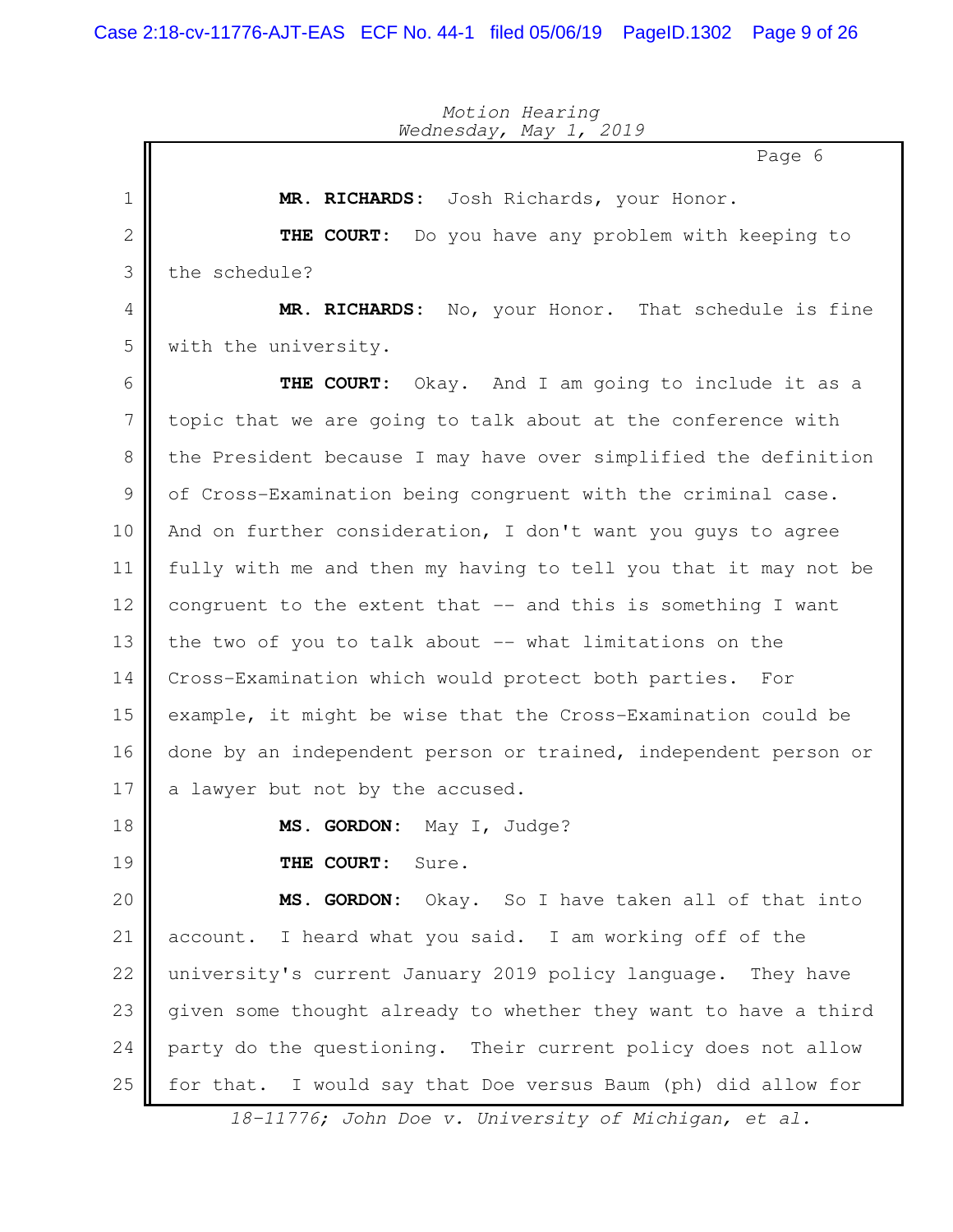|              | $ \prime$<br>Page 6                                             |
|--------------|-----------------------------------------------------------------|
| 1            | MR. RICHARDS: Josh Richards, your Honor.                        |
| $\mathbf{2}$ | THE COURT: Do you have any problem with keeping to              |
| 3            | the schedule?                                                   |
| 4            | MR. RICHARDS: No, your Honor. That schedule is fine             |
| 5            | with the university.                                            |
| 6            | THE COURT: Okay. And I am going to include it as a              |
| 7            | topic that we are going to talk about at the conference with    |
| 8            | the President because I may have over simplified the definition |
| 9            | of Cross-Examination being congruent with the criminal case.    |
| 10           | And on further consideration, I don't want you quys to agree    |
| 11           | fully with me and then my having to tell you that it may not be |
| 12           | congruent to the extent that -- and this is something I want    |
| 13           | the two of you to talk about -- what limitations on the         |
| 14           | Cross-Examination which would protect both parties.<br>For      |
| 15           | example, it might be wise that the Cross-Examination could be   |
| 16           | done by an independent person or trained, independent person or |
| 17           | a lawyer but not by the accused.                                |
| 18           | MS. GORDON: May I, Judge?                                       |
| 19           | THE COURT:<br>Sure.                                             |
| 20           | MS. GORDON: Okay. So I have taken all of that into              |
| 21           | account. I heard what you said. I am working off of the         |
| 22           | university's current January 2019 policy language. They have    |
| 23           | given some thought already to whether they want to have a third |
| 24           | party do the questioning. Their current policy does not allow   |
| 25           | for that. I would say that Doe versus Baum (ph) did allow for   |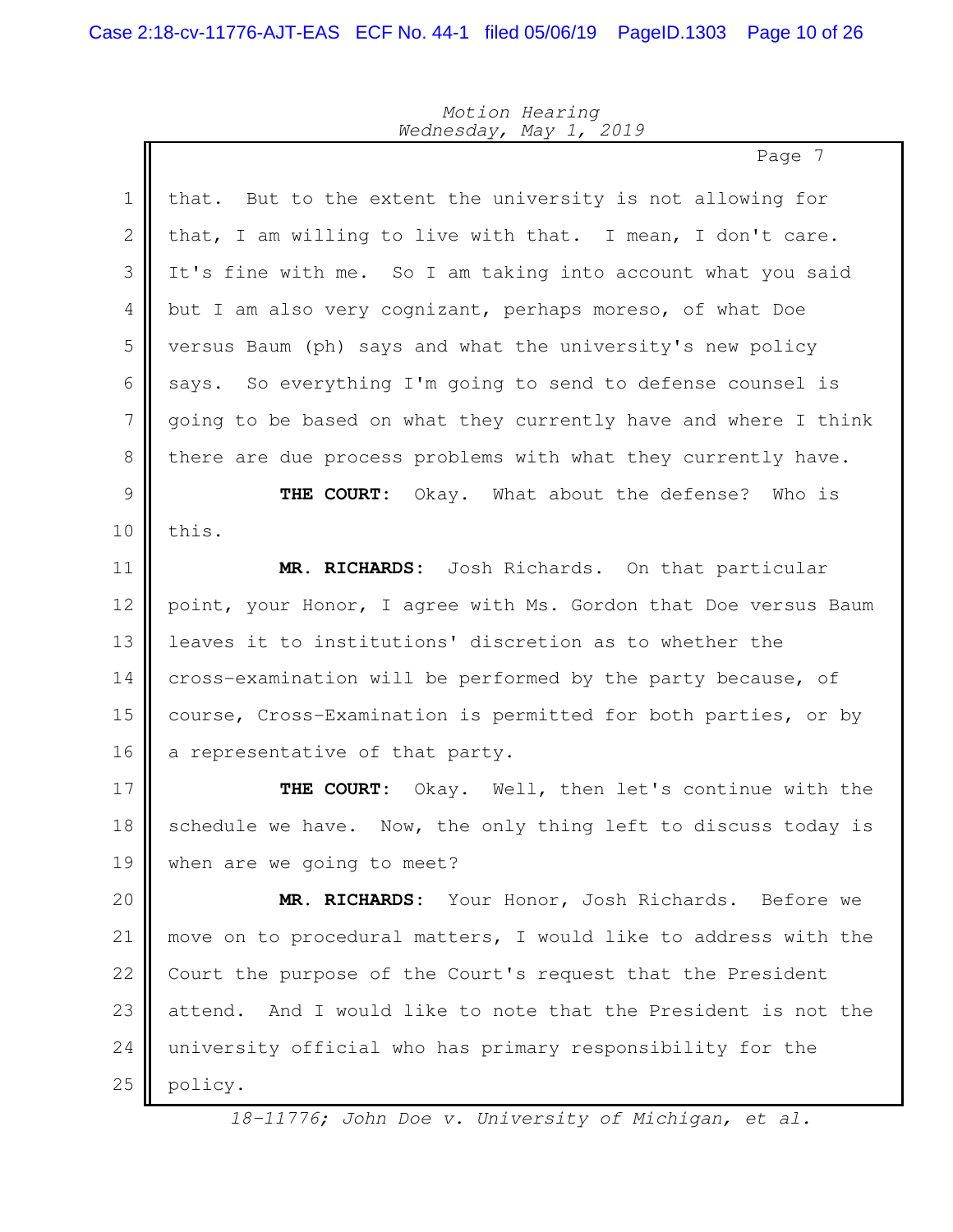II

## *Motion Hearing Wednesday, May 1, 2019*

Page 7

| $\mathbf 1$  | But to the extent the university is not allowing for<br>that.     |
|--------------|-------------------------------------------------------------------|
| $\mathbf{2}$ | that, I am willing to live with that. I mean, I don't care.       |
| 3            | It's fine with me. So I am taking into account what you said      |
| 4            | but I am also very cognizant, perhaps moreso, of what Doe         |
| 5            | versus Baum (ph) says and what the university's new policy        |
| 6            | So everything I'm going to send to defense counsel is<br>says.    |
| 7            | going to be based on what they currently have and where I think   |
| $8\,$        | there are due process problems with what they currently have.     |
| 9            | Okay. What about the defense? Who is<br>THE COURT:                |
| 10           | this.                                                             |
| 11           | MR. RICHARDS: Josh Richards. On that particular                   |
| 12           | point, your Honor, I agree with Ms. Gordon that Doe versus Baum   |
| 13           | leaves it to institutions' discretion as to whether the           |
| 14           | cross-examination will be performed by the party because, of      |
| 15           | course, Cross-Examination is permitted for both parties, or by    |
| 16           | a representative of that party.                                   |
| 17           | THE COURT:<br>Okay. Well, then let's continue with the            |
| 18           | schedule we have. Now, the only thing left to discuss today is    |
| 19           | when are we going to meet?                                        |
| 20           | MR. RICHARDS: Your Honor, Josh Richards. Before we                |
| 21           | move on to procedural matters, I would like to address with the   |
| 22           | Court the purpose of the Court's request that the President       |
| 23           | And I would like to note that the President is not the<br>attend. |
| 24           | university official who has primary responsibility for the        |
| 25           | policy.                                                           |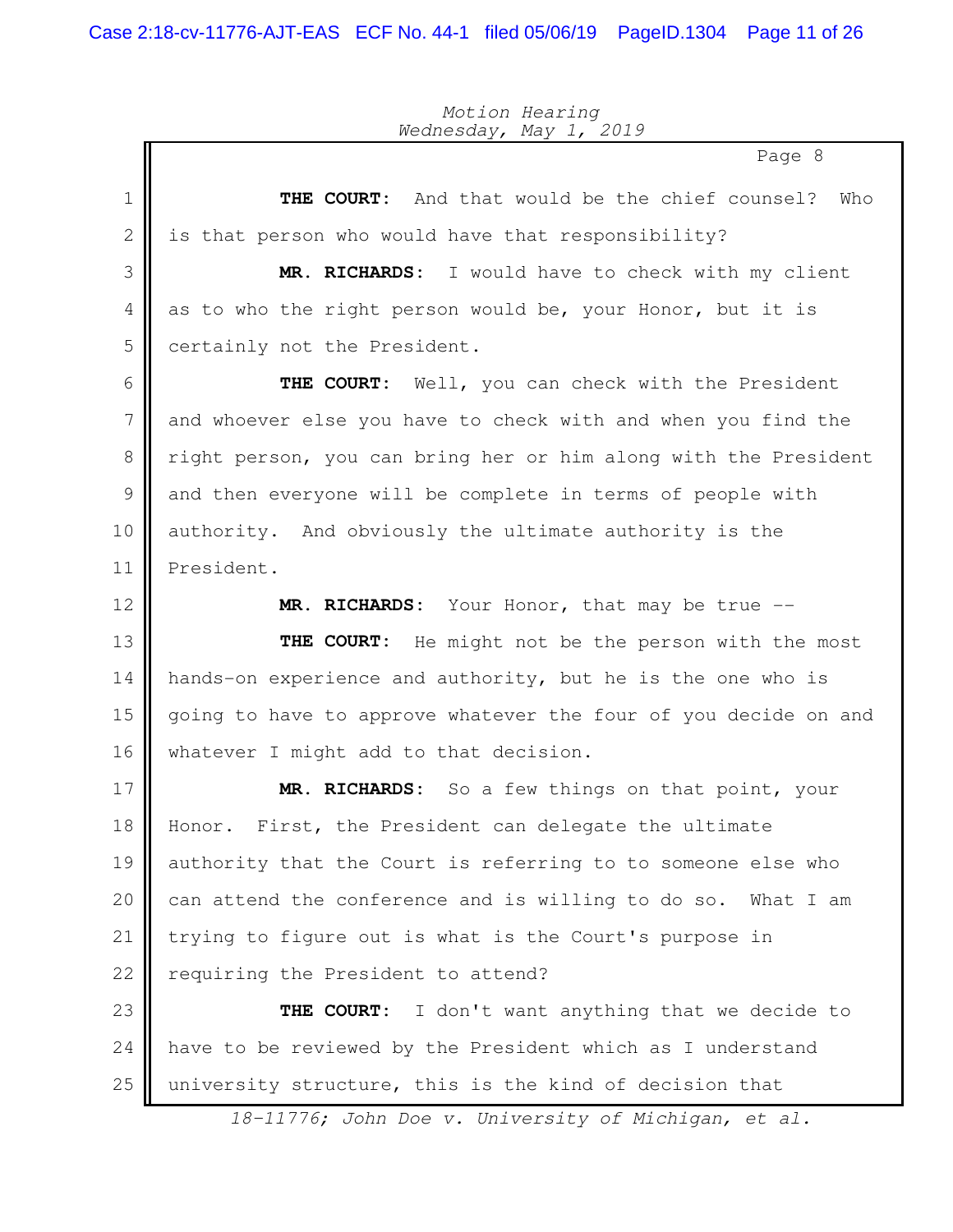Page 8 **THE COURT:** And that would be the chief counsel? Who is that person who would have that responsibility? **MR. RICHARDS:** I would have to check with my client as to who the right person would be, your Honor, but it is certainly not the President. **THE COURT:** Well, you can check with the President and whoever else you have to check with and when you find the right person, you can bring her or him along with the President and then everyone will be complete in terms of people with authority. And obviously the ultimate authority is the President. **MR. RICHARDS:** Your Honor, that may be true -- **THE COURT:** He might not be the person with the most hands-on experience and authority, but he is the one who is going to have to approve whatever the four of you decide on and whatever I might add to that decision. **MR. RICHARDS:** So a few things on that point, your Honor. First, the President can delegate the ultimate authority that the Court is referring to to someone else who can attend the conference and is willing to do so. What I am trying to figure out is what is the Court's purpose in requiring the President to attend? **THE COURT:** I don't want anything that we decide to have to be reviewed by the President which as I understand university structure, this is the kind of decision that 1 2 3 4 5 6 7 8 9 10 11 12 13 14 15 16 17 18 19 20 21 22 23 24 25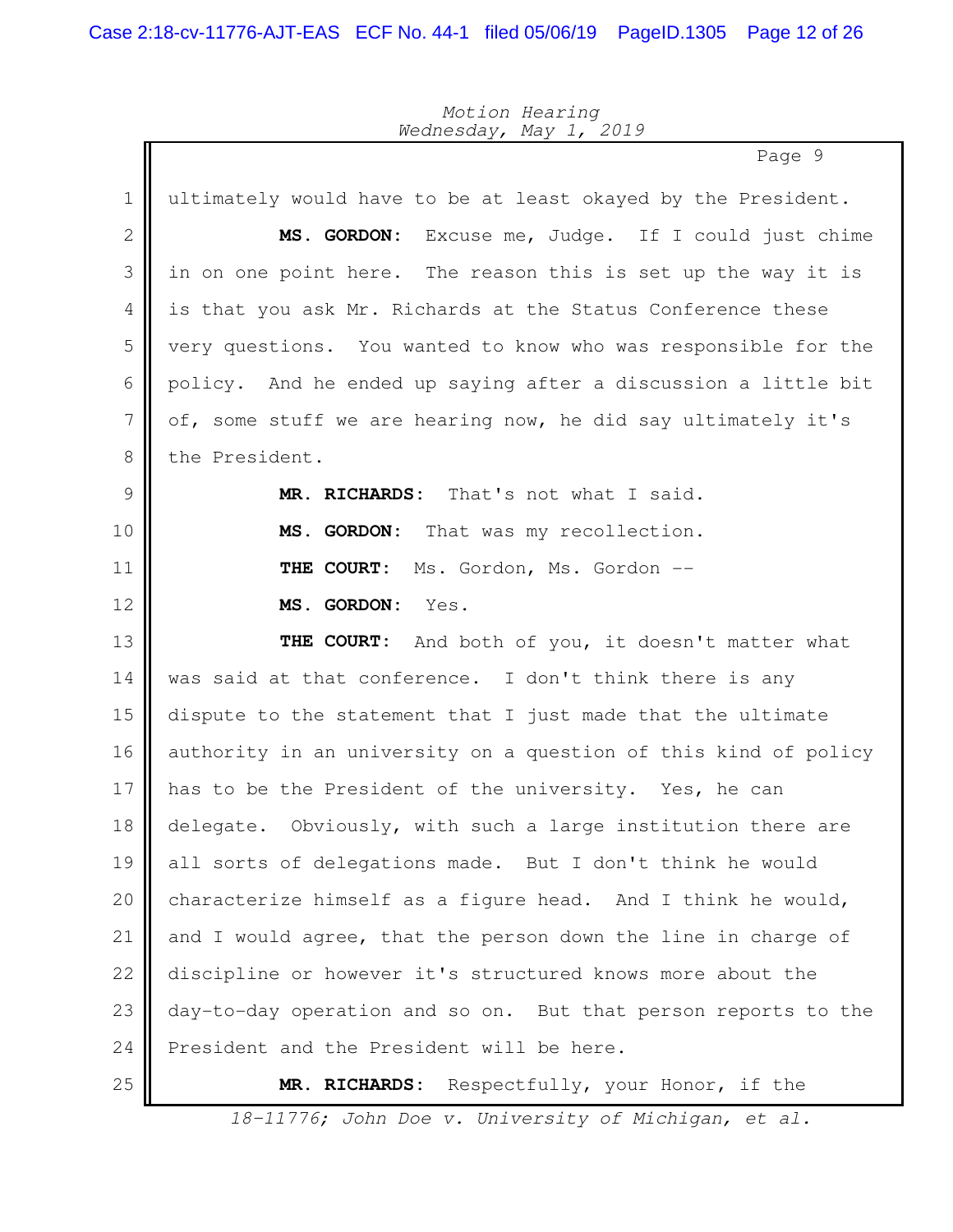Page 9 ultimately would have to be at least okayed by the President. **MS. GORDON:** Excuse me, Judge. If I could just chime in on one point here. The reason this is set up the way it is is that you ask Mr. Richards at the Status Conference these very questions. You wanted to know who was responsible for the policy. And he ended up saying after a discussion a little bit of, some stuff we are hearing now, he did say ultimately it's the President. **MR. RICHARDS:** That's not what I said. **MS. GORDON:** That was my recollection. **THE COURT:** Ms. Gordon, Ms. Gordon -- **MS. GORDON:** Yes. **THE COURT:** And both of you, it doesn't matter what was said at that conference. I don't think there is any dispute to the statement that I just made that the ultimate authority in an university on a question of this kind of policy has to be the President of the university. Yes, he can delegate. Obviously, with such a large institution there are all sorts of delegations made. But I don't think he would characterize himself as a figure head. And I think he would, and I would agree, that the person down the line in charge of discipline or however it's structured knows more about the day-to-day operation and so on. But that person reports to the President and the President will be here. **MR. RICHARDS:** Respectfully, your Honor, if the 1 2 3 4 5 6 7 8 9 10 11 12 13 14 15 16 17 18 19 20 21 22 23 24 25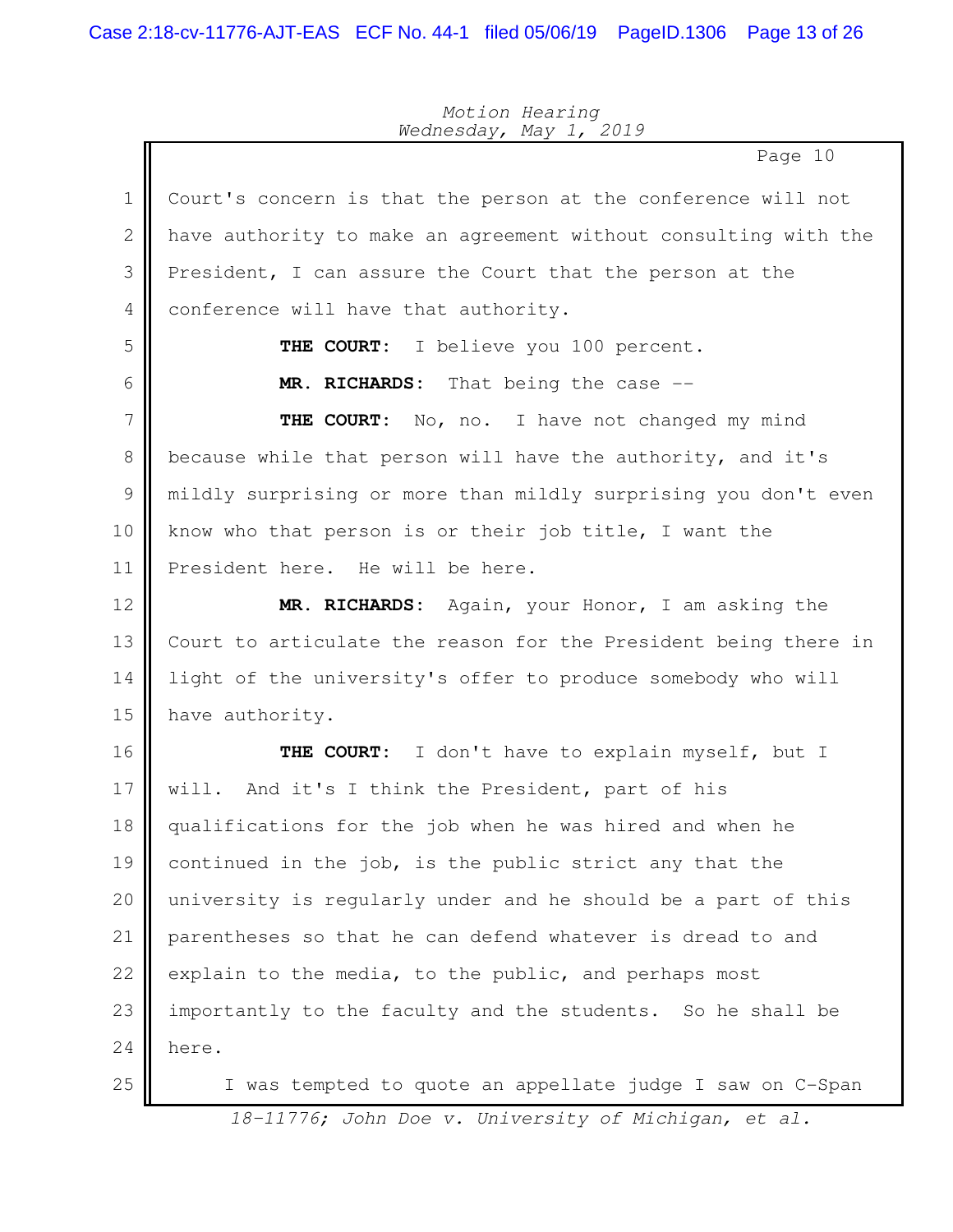Page 10 Court's concern is that the person at the conference will not have authority to make an agreement without consulting with the President, I can assure the Court that the person at the conference will have that authority. **THE COURT:** I believe you 100 percent. **MR. RICHARDS:** That being the case -- **THE COURT:** No, no. I have not changed my mind because while that person will have the authority, and it's mildly surprising or more than mildly surprising you don't even know who that person is or their job title, I want the President here. He will be here. **MR. RICHARDS:** Again, your Honor, I am asking the Court to articulate the reason for the President being there in light of the university's offer to produce somebody who will have authority. **THE COURT:** I don't have to explain myself, but I will. And it's I think the President, part of his qualifications for the job when he was hired and when he continued in the job, is the public strict any that the university is regularly under and he should be a part of this parentheses so that he can defend whatever is dread to and explain to the media, to the public, and perhaps most importantly to the faculty and the students. So he shall be here. I was tempted to quote an appellate judge I saw on C-Span 1 2 3 4 5 6 7 8 9 10 11 12 13 14 15 16 17 18 19 20 21 22 23 24 25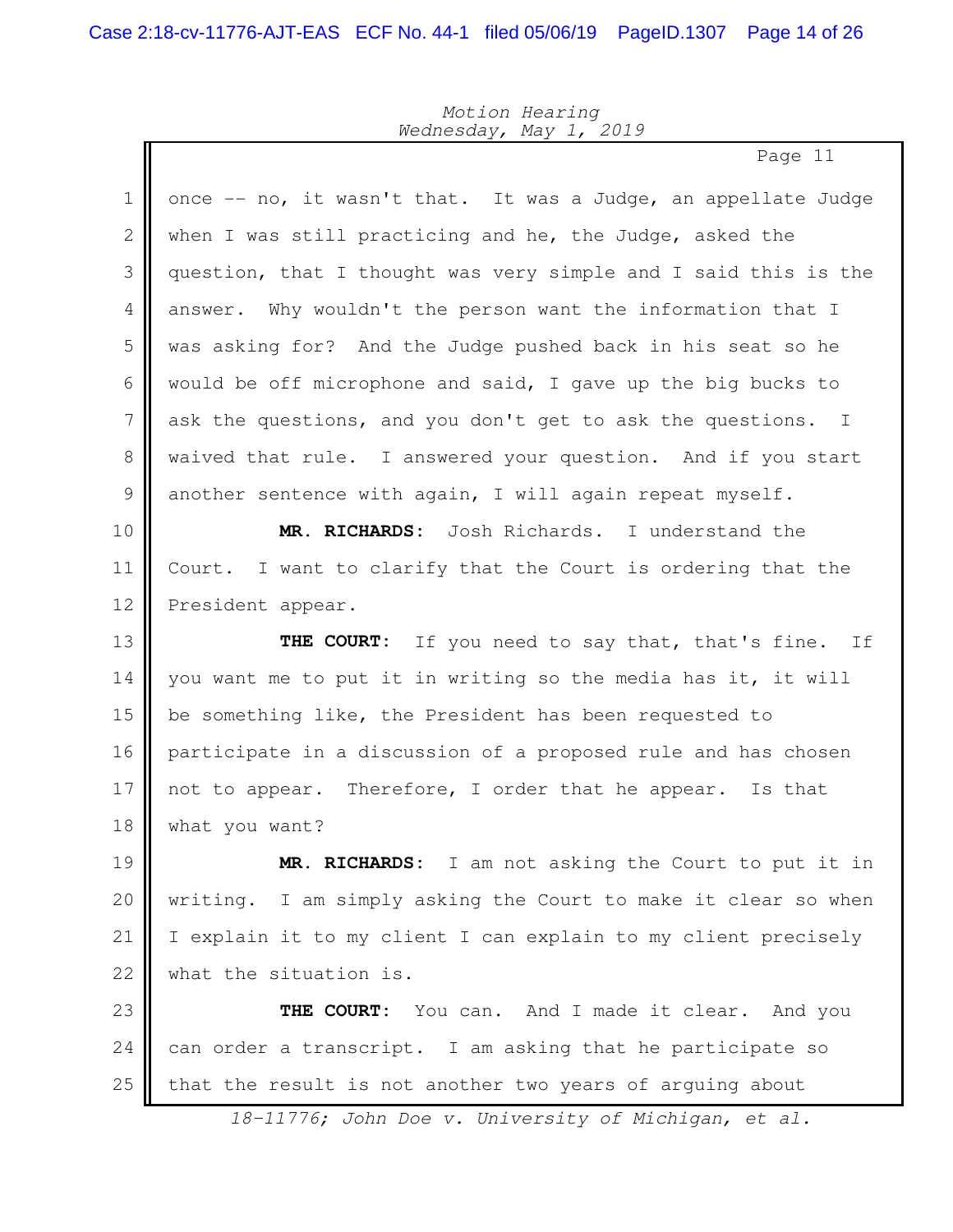$\mathbf{r}$ 

## *Motion Hearing Wednesday, May 1, 2019*

Page 11

| $\mathbf 1$   | once -- no, it wasn't that. It was a Judge, an appellate Judge    |
|---------------|-------------------------------------------------------------------|
| $\mathbf 2$   | when I was still practicing and he, the Judge, asked the          |
| 3             | question, that I thought was very simple and I said this is the   |
| 4             | answer. Why wouldn't the person want the information that I       |
| 5             | was asking for? And the Judge pushed back in his seat so he       |
| 6             | would be off microphone and said, I gave up the big bucks to      |
| 7             | ask the questions, and you don't get to ask the questions. I      |
| $\,8\,$       | waived that rule. I answered your question. And if you start      |
| $\mathcal{G}$ | another sentence with again, I will again repeat myself.          |
| 10            | MR. RICHARDS: Josh Richards. I understand the                     |
| 11            | Court. I want to clarify that the Court is ordering that the      |
| 12            | President appear.                                                 |
| 13            | THE COURT: If you need to say that, that's fine. If               |
| 14            | you want me to put it in writing so the media has it, it will     |
| 15            | be something like, the President has been requested to            |
| 16            | participate in a discussion of a proposed rule and has chosen     |
| 17            | not to appear. Therefore, I order that he appear. Is that         |
| 18            | what you want?                                                    |
| 19            | RICHARDS: I am not asking the Court to put it in<br>MR.           |
| 20            | I am simply asking the Court to make it clear so when<br>writing. |
| 21            | I explain it to my client I can explain to my client precisely    |
| 22            | what the situation is.                                            |
| 23            | You can. And I made it clear. And you<br>THE COURT:               |
| 24            | can order a transcript. I am asking that he participate so        |
| 25            | that the result is not another two years of arguing about         |
|               |                                                                   |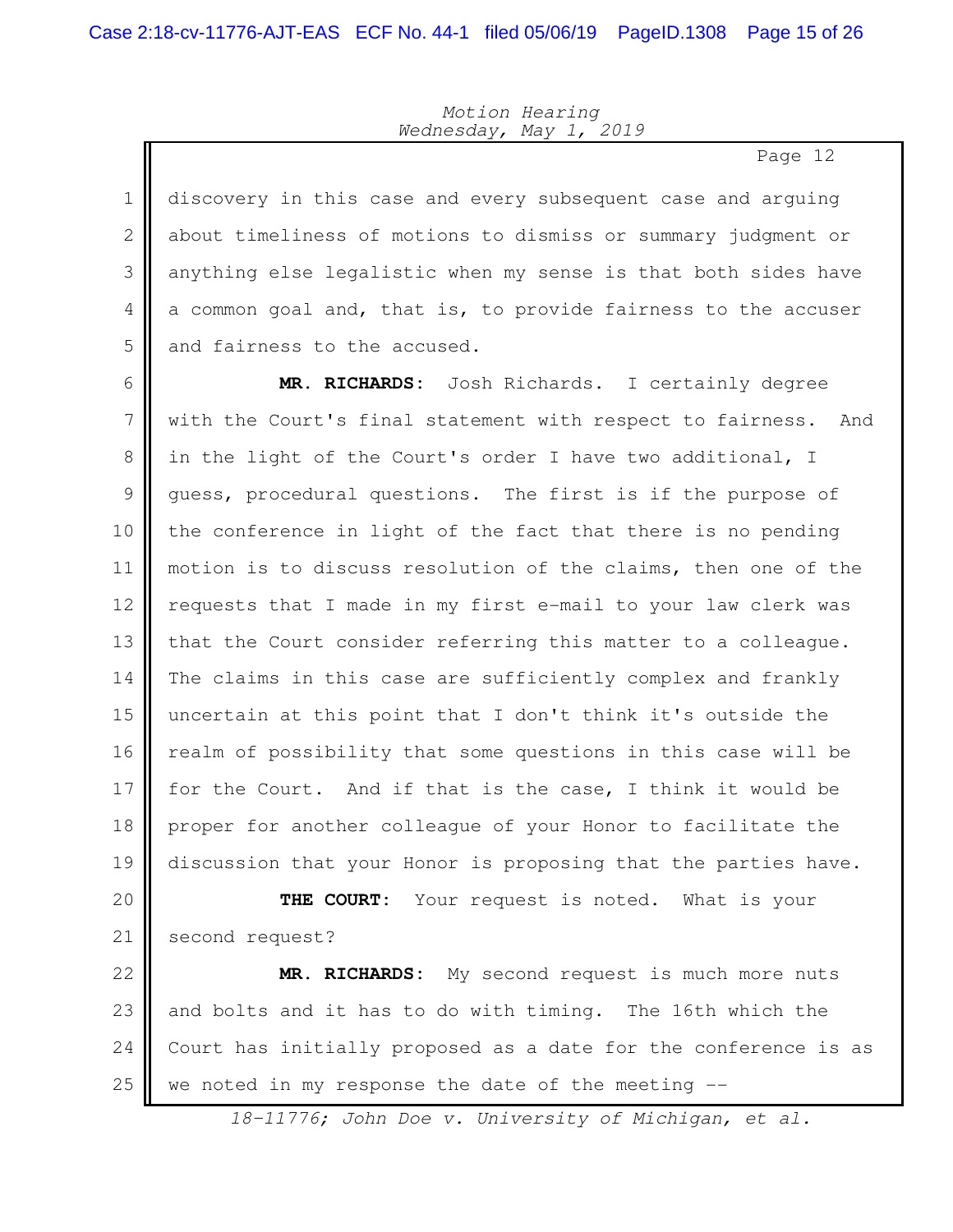Page 12

discovery in this case and every subsequent case and arguing about timeliness of motions to dismiss or summary judgment or anything else legalistic when my sense is that both sides have a common goal and, that is, to provide fairness to the accuser and fairness to the accused. 1 2 3 4 5

**MR. RICHARDS:** Josh Richards. I certainly degree with the Court's final statement with respect to fairness. And in the light of the Court's order I have two additional, I guess, procedural questions. The first is if the purpose of the conference in light of the fact that there is no pending motion is to discuss resolution of the claims, then one of the requests that I made in my first e-mail to your law clerk was that the Court consider referring this matter to a colleague. The claims in this case are sufficiently complex and frankly uncertain at this point that I don't think it's outside the realm of possibility that some questions in this case will be for the Court. And if that is the case, I think it would be proper for another colleague of your Honor to facilitate the discussion that your Honor is proposing that the parties have. **THE COURT:** Your request is noted. What is your 6 7 8 9 10 11 12 13 14 15 16 17 18 19 20

second request? 21

**MR. RICHARDS:** My second request is much more nuts and bolts and it has to do with timing. The 16th which the Court has initially proposed as a date for the conference is as we noted in my response the date of the meeting --22 23 24 25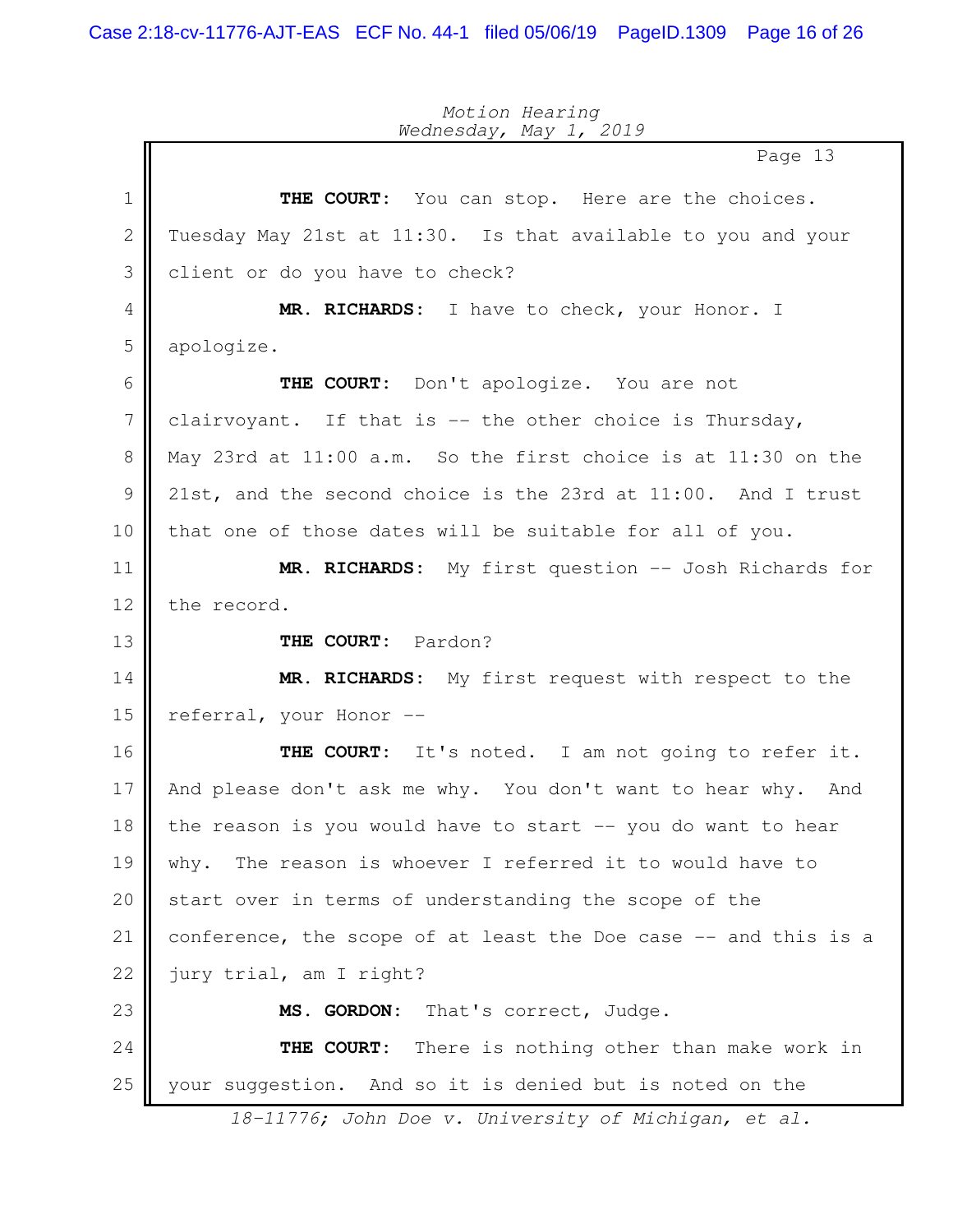Page 13 **THE COURT:** You can stop. Here are the choices. Tuesday May 21st at 11:30. Is that available to you and your client or do you have to check? **MR. RICHARDS:** I have to check, your Honor. I apologize. **THE COURT:** Don't apologize. You are not clairvoyant. If that is -- the other choice is Thursday, May 23rd at 11:00 a.m. So the first choice is at 11:30 on the 21st, and the second choice is the 23rd at 11:00. And I trust that one of those dates will be suitable for all of you. **MR. RICHARDS:** My first question -- Josh Richards for the record. **THE COURT:** Pardon? **MR. RICHARDS:** My first request with respect to the referral, your Honor -- **THE COURT:** It's noted. I am not going to refer it. And please don't ask me why. You don't want to hear why. And the reason is you would have to start -- you do want to hear why. The reason is whoever I referred it to would have to start over in terms of understanding the scope of the conference, the scope of at least the Doe case -- and this is a jury trial, am I right? **MS. GORDON:** That's correct, Judge. **THE COURT:** There is nothing other than make work in your suggestion. And so it is denied but is noted on the 1 2 3 4 5 6 7 8 9 10 11 12 13 14 15 16 17 18 19 20 21 22 23 24 25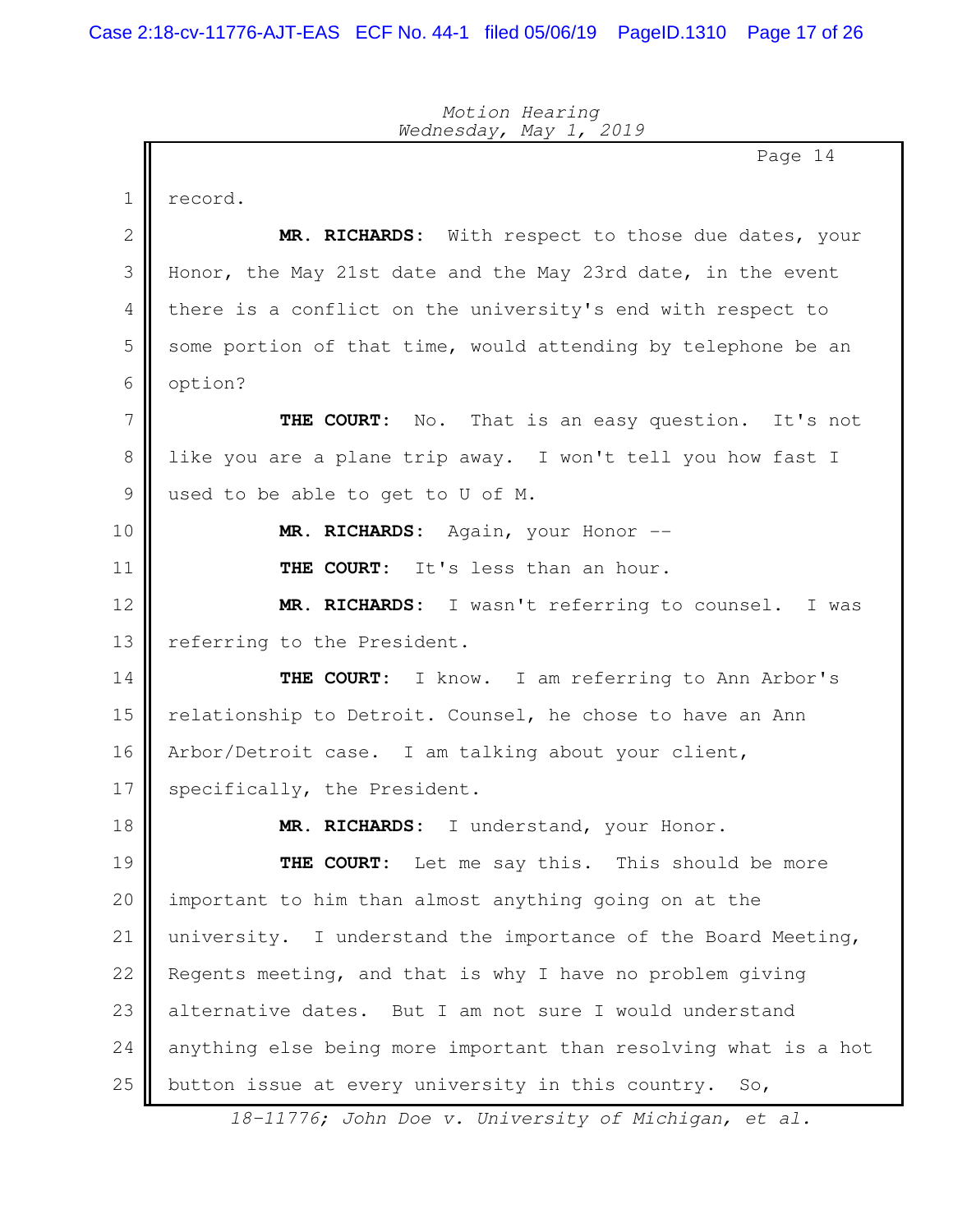Page 14 record. **MR. RICHARDS:** With respect to those due dates, your Honor, the May 21st date and the May 23rd date, in the event there is a conflict on the university's end with respect to some portion of that time, would attending by telephone be an option? **THE COURT:** No. That is an easy question. It's not like you are a plane trip away. I won't tell you how fast I used to be able to get to U of M. **MR. RICHARDS:** Again, your Honor -- **THE COURT:** It's less than an hour. **MR. RICHARDS:** I wasn't referring to counsel. I was referring to the President. **THE COURT:** I know. I am referring to Ann Arbor's relationship to Detroit. Counsel, he chose to have an Ann Arbor/Detroit case. I am talking about your client, specifically, the President. **MR. RICHARDS:** I understand, your Honor. **THE COURT:** Let me say this. This should be more important to him than almost anything going on at the university. I understand the importance of the Board Meeting, Regents meeting, and that is why I have no problem giving alternative dates. But I am not sure I would understand anything else being more important than resolving what is a hot button issue at every university in this country. So, 1 2 3 4 5 6 7 8 9 10 11 12 13 14 15 16 17 18 19 20 21 22 23 24 25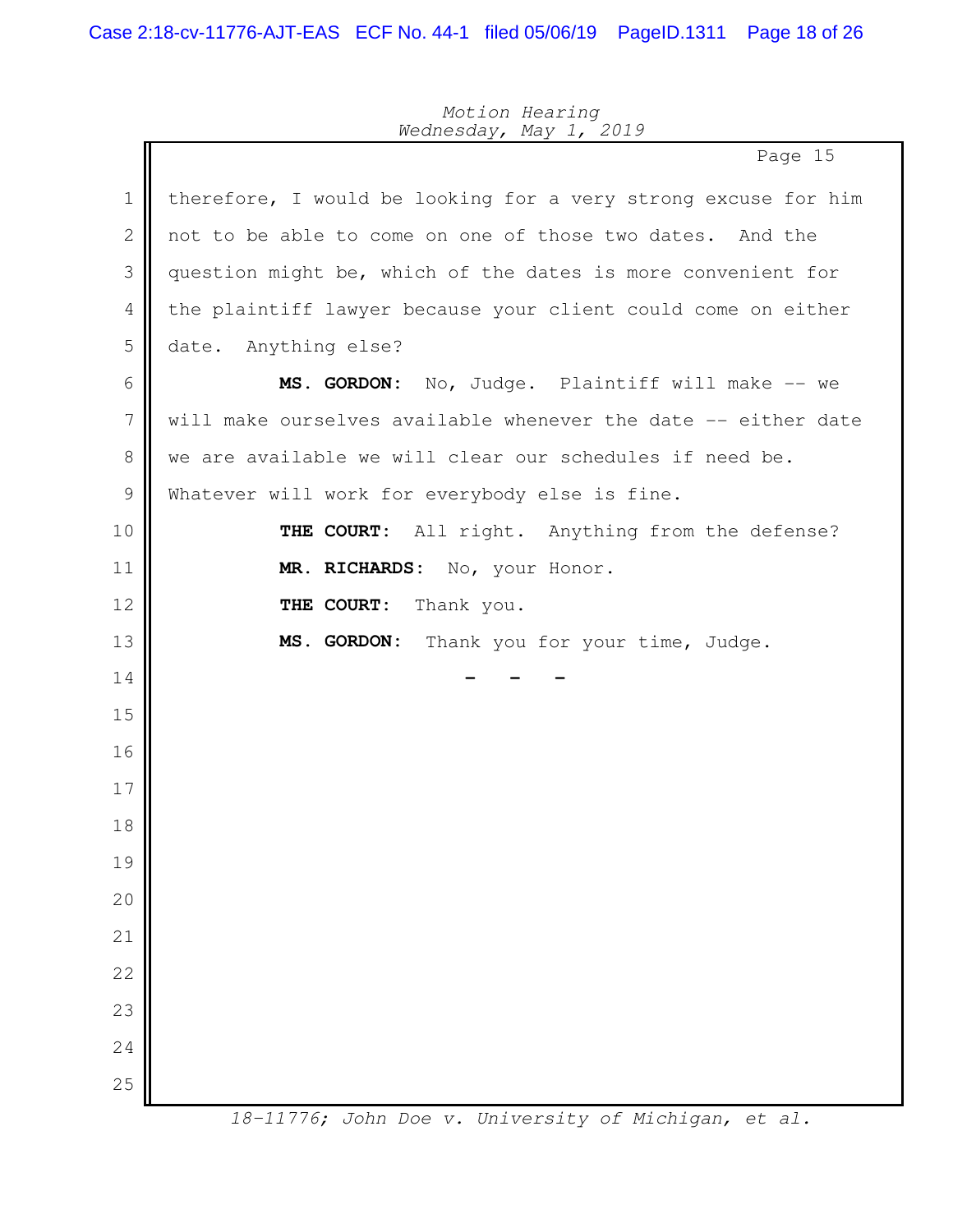|                | Page 15                                                        |
|----------------|----------------------------------------------------------------|
| $\mathbf{1}$   | therefore, I would be looking for a very strong excuse for him |
| $\mathbf{2}$   | not to be able to come on one of those two dates. And the      |
| 3              | question might be, which of the dates is more convenient for   |
| 4              | the plaintiff lawyer because your client could come on either  |
| 5              | date.<br>Anything else?                                        |
| 6              | MS. GORDON: No, Judge. Plaintiff will make -- we               |
| $\overline{7}$ | will make ourselves available whenever the date -- either date |
| 8              | we are available we will clear our schedules if need be.       |
| $\mathcal{G}$  | Whatever will work for everybody else is fine.                 |
| 10             | All right. Anything from the defense?<br>THE COURT:            |
| 11             | MR. RICHARDS: No, your Honor.                                  |
| 12             | THE COURT:<br>Thank you.                                       |
| 13             | MS. GORDON:<br>Thank you for your time, Judge.                 |
| 14             |                                                                |
| 15             |                                                                |
| 16             |                                                                |
| 17             |                                                                |
| 18             |                                                                |
| 19             |                                                                |
| 20             |                                                                |
| 21             |                                                                |
| 22             |                                                                |
| 23             |                                                                |
| 24             |                                                                |
| 25             |                                                                |
|                | 18-11776; John Doe v. University of Michigan, et al.           |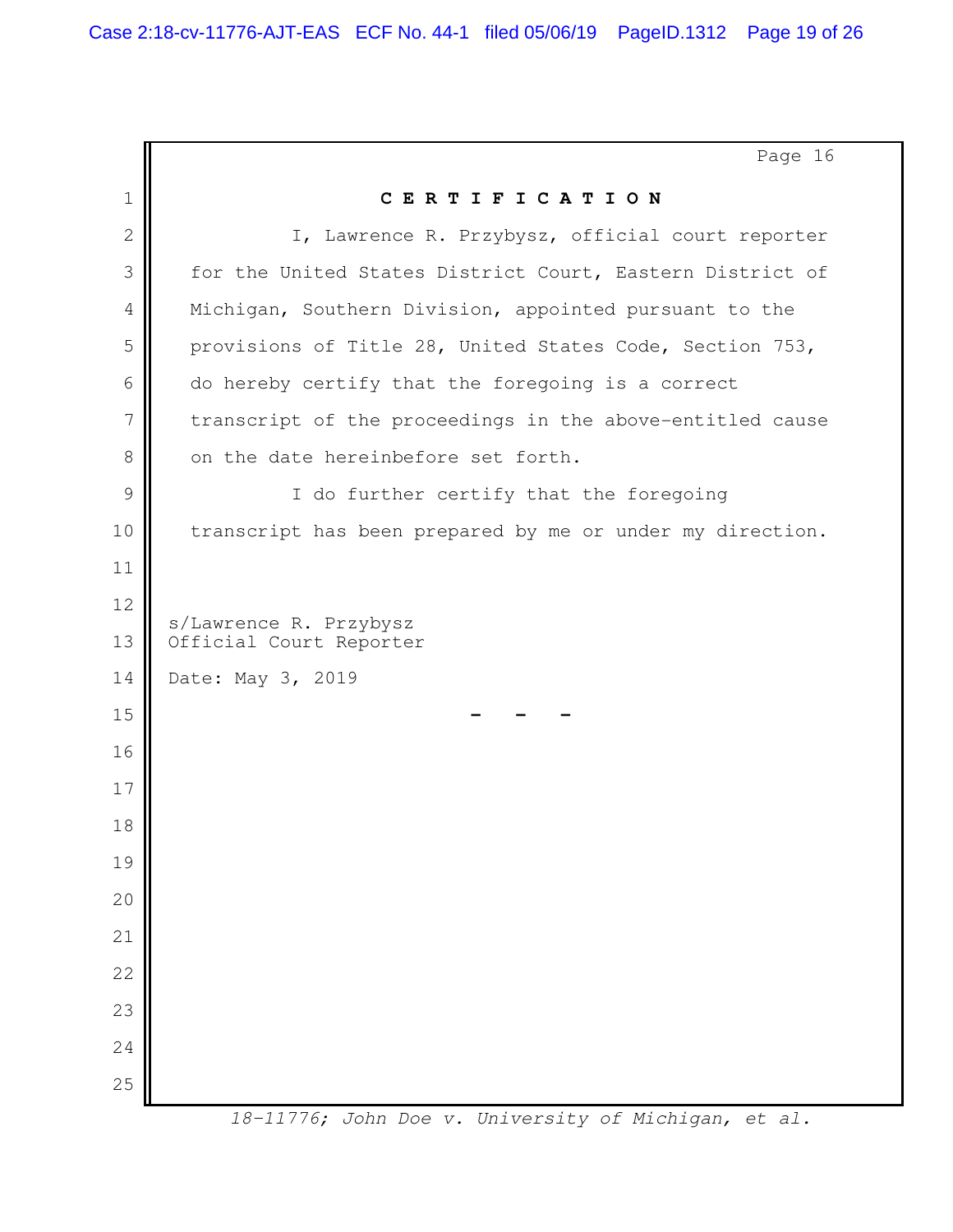|              | Page 16                                                   |
|--------------|-----------------------------------------------------------|
| $\mathbf 1$  | CERTIFICATION                                             |
| $\mathbf{2}$ | I, Lawrence R. Przybysz, official court reporter          |
| 3            | for the United States District Court, Eastern District of |
| 4            | Michigan, Southern Division, appointed pursuant to the    |
| 5            | provisions of Title 28, United States Code, Section 753,  |
| 6            | do hereby certify that the foregoing is a correct         |
| 7            | transcript of the proceedings in the above-entitled cause |
| 8            | on the date hereinbefore set forth.                       |
| 9            | I do further certify that the foregoing                   |
| 10           | transcript has been prepared by me or under my direction. |
| 11           |                                                           |
| 12           | s/Lawrence R. Przybysz                                    |
| 13           | Official Court Reporter                                   |
| 14           | Date: May 3, 2019                                         |
| 15           |                                                           |
| 16           |                                                           |
| 17           |                                                           |
| 18           |                                                           |
| 19           |                                                           |
| 20           |                                                           |
| 21           |                                                           |
| 22           |                                                           |
| 23           |                                                           |
| 24           |                                                           |
| 25           |                                                           |
|              | 18-11776; John Doe v. University of Michigan, et al.      |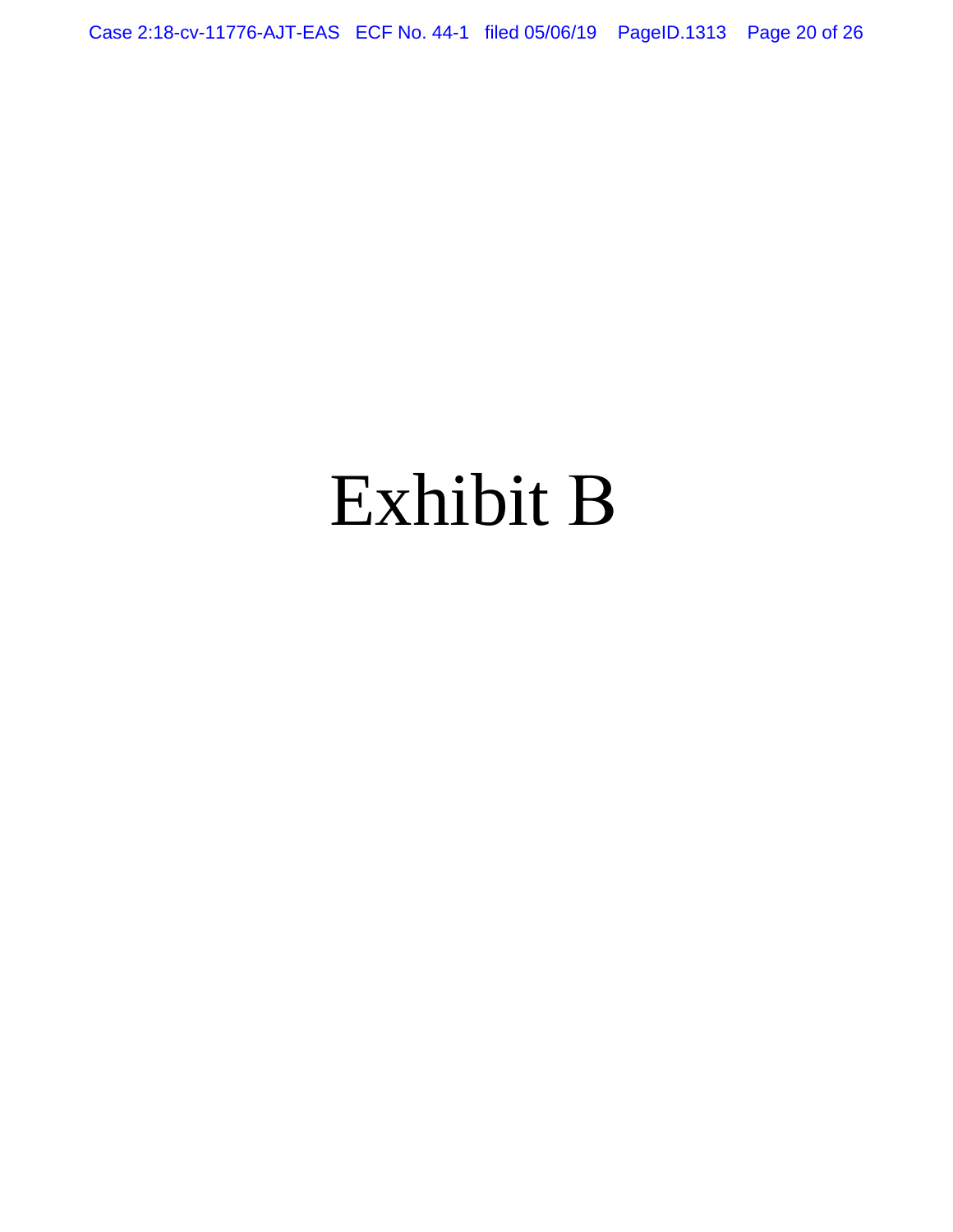Case 2:18-cv-11776-AJT-EAS ECF No. 44-1 filed 05/06/19 PageID.1313 Page 20 of 26

# Exhibit B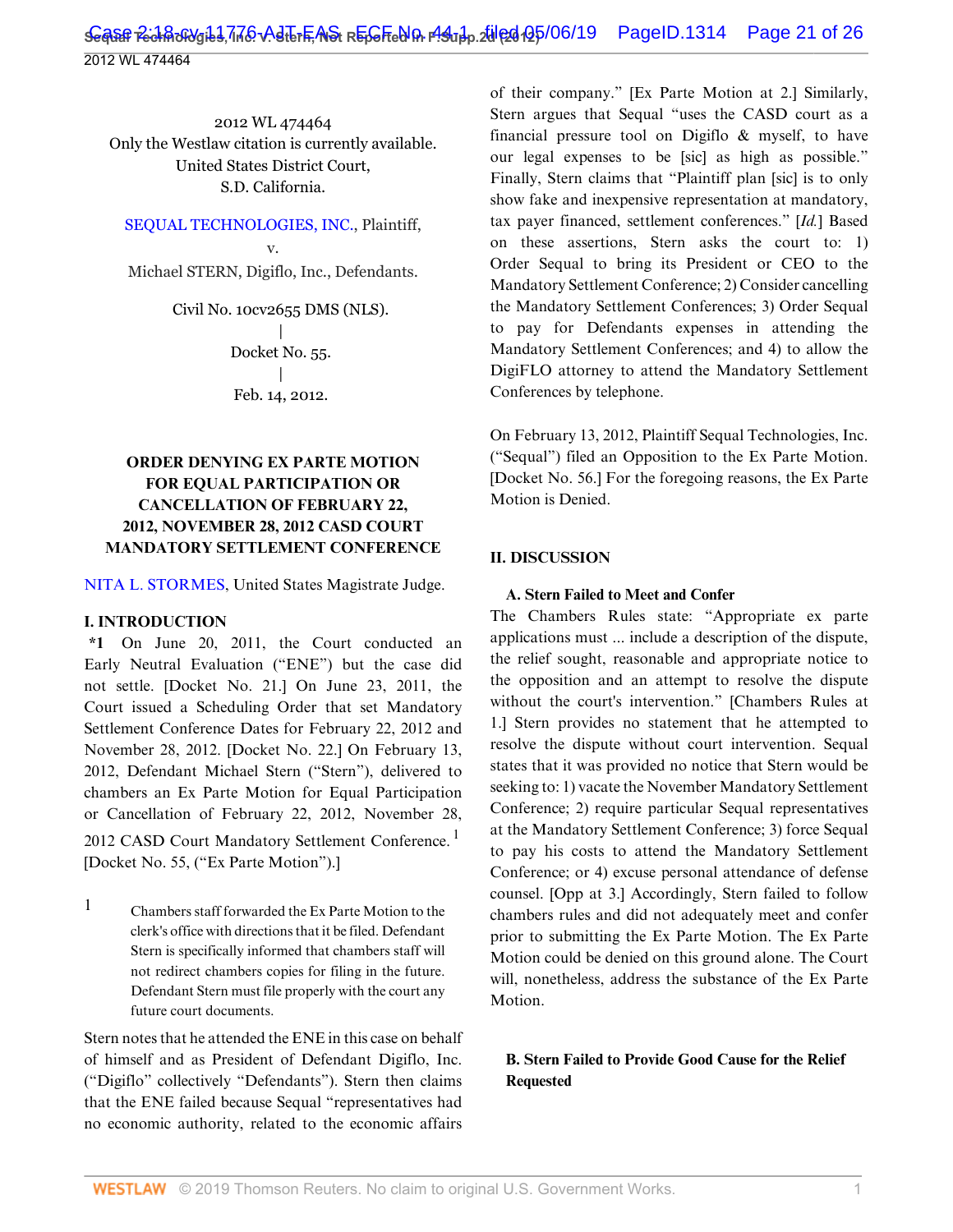2012 WL 474464 Only the Westlaw citation is currently available. United States District Court, S.D. California.

[SEQUAL TECHNOLOGIES, INC.](http://www.westlaw.com/Search/Results.html?query=advanced%3a+OAID(4297071719)&saveJuris=False&contentType=BUSINESS-INVESTIGATOR&startIndex=1&contextData=(sc.Default)&categoryPageUrl=Home%2fCompanyInvestigator&originationContext=document&vr=3.0&rs=cblt1.0&transitionType=DocumentItem), Plaintiff,

v. Michael STERN, Digiflo, Inc., Defendants.

> Civil No. 10cv2655 DMS (NLS). | Docket No. 55. | Feb. 14, 2012.

## **ORDER DENYING EX PARTE MOTION FOR EQUAL PARTICIPATION OR CANCELLATION OF FEBRUARY 22, 2012, NOVEMBER 28, 2012 CASD COURT MANDATORY SETTLEMENT CONFERENCE**

[NITA L. STORMES,](http://www.westlaw.com/Link/Document/FullText?findType=h&pubNum=176284&cite=0168869501&originatingDoc=I6967ebf4580311e1bd1192eddc2af8cc&refType=RQ&originationContext=document&vr=3.0&rs=cblt1.0&transitionType=DocumentItem&contextData=(sc.Default)) United States Magistrate Judge.

#### **I. INTRODUCTION**

**\*1** On June 20, 2011, the Court conducted an Early Neutral Evaluation ("ENE") but the case did not settle. [Docket No. 21.] On June 23, 2011, the Court issued a Scheduling Order that set Mandatory Settlement Conference Dates for February 22, 2012 and November 28, 2012. [Docket No. 22.] On February 13, 2012, Defendant Michael Stern ("Stern"), delivered to chambers an Ex Parte Motion for Equal Participation or Cancellation of February 22, 2012, November 28, 2012 CASD Court Mandatory Settlement Conference.<sup>1</sup> [Docket No. 55, ("Ex Parte Motion").]

 $1$  Chambers staff forwarded the Ex Parte Motion to the clerk's office with directions that it be filed. Defendant Stern is specifically informed that chambers staff will not redirect chambers copies for filing in the future. Defendant Stern must file properly with the court any future court documents.

Stern notes that he attended the ENE in this case on behalf of himself and as President of Defendant Digiflo, Inc. ("Digiflo" collectively "Defendants"). Stern then claims that the ENE failed because Sequal "representatives had no economic authority, related to the economic affairs

of their company." [Ex Parte Motion at 2.] Similarly, Stern argues that Sequal "uses the CASD court as a financial pressure tool on Digiflo & myself, to have our legal expenses to be [sic] as high as possible." Finally, Stern claims that "Plaintiff plan [sic] is to only show fake and inexpensive representation at mandatory, tax payer financed, settlement conferences." [*Id.*] Based on these assertions, Stern asks the court to: 1) Order Sequal to bring its President or CEO to the Mandatory Settlement Conference; 2) Consider cancelling the Mandatory Settlement Conferences; 3) Order Sequal to pay for Defendants expenses in attending the Mandatory Settlement Conferences; and 4) to allow the DigiFLO attorney to attend the Mandatory Settlement Conferences by telephone.

On February 13, 2012, Plaintiff Sequal Technologies, Inc. ("Sequal") filed an Opposition to the Ex Parte Motion. [Docket No. 56.] For the foregoing reasons, the Ex Parte Motion is Denied.

## **II. DISCUSSION**

#### **A. Stern Failed to Meet and Confer**

The Chambers Rules state: "Appropriate ex parte applications must ... include a description of the dispute, the relief sought, reasonable and appropriate notice to the opposition and an attempt to resolve the dispute without the court's intervention." [Chambers Rules at 1.] Stern provides no statement that he attempted to resolve the dispute without court intervention. Sequal states that it was provided no notice that Stern would be seeking to: 1) vacate the November Mandatory Settlement Conference; 2) require particular Sequal representatives at the Mandatory Settlement Conference; 3) force Sequal to pay his costs to attend the Mandatory Settlement Conference; or 4) excuse personal attendance of defense counsel. [Opp at 3.] Accordingly, Stern failed to follow chambers rules and did not adequately meet and confer prior to submitting the Ex Parte Motion. The Ex Parte Motion could be denied on this ground alone. The Court will, nonetheless, address the substance of the Ex Parte Motion.

#### **B. Stern Failed to Provide Good Cause for the Relief Requested**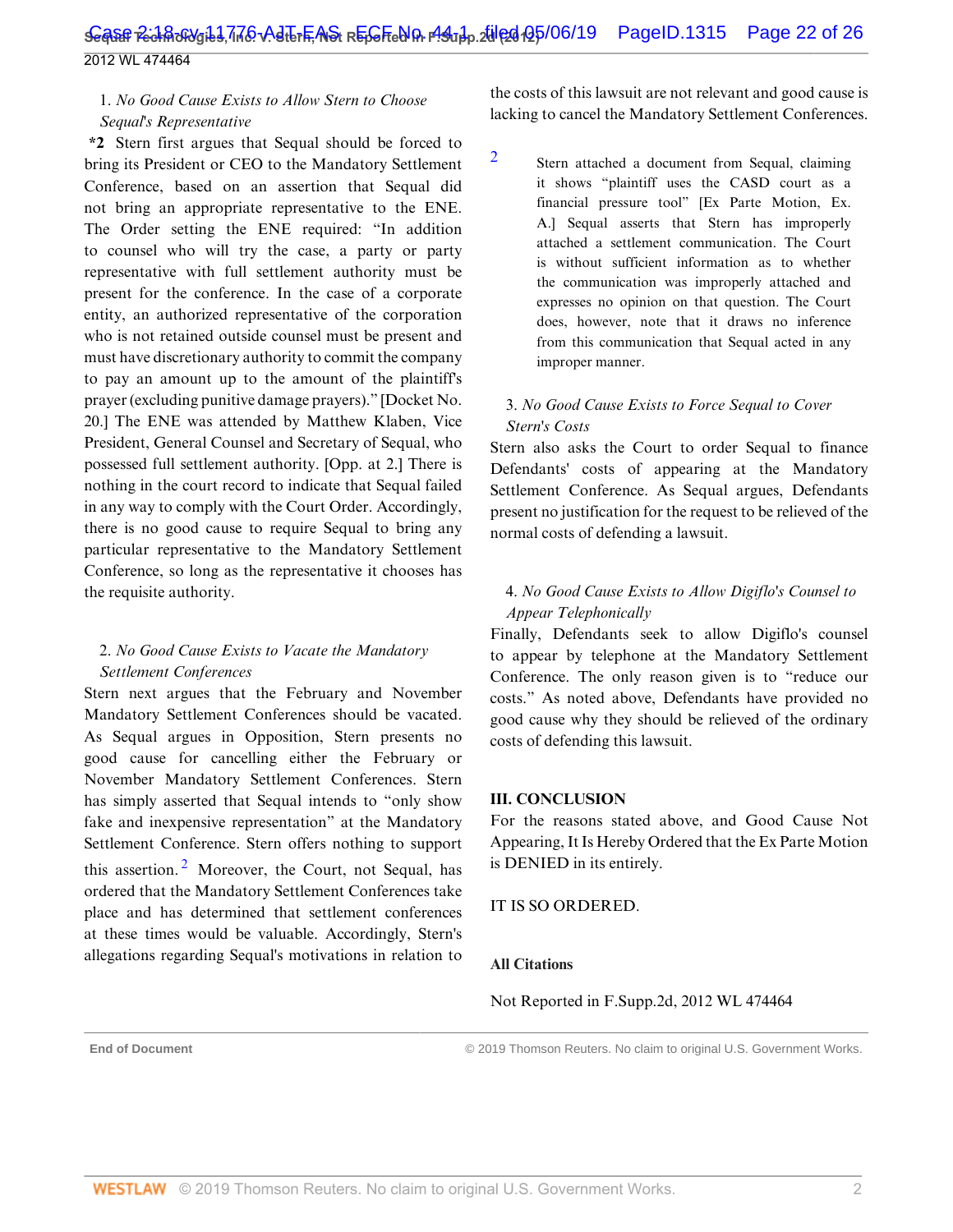## 1. *No Good Cause Exists to Allow Stern to Choose Sequal's Representative*

**\*2** Stern first argues that Sequal should be forced to bring its President or CEO to the Mandatory Settlement Conference, based on an assertion that Sequal did not bring an appropriate representative to the ENE. The Order setting the ENE required: "In addition to counsel who will try the case, a party or party representative with full settlement authority must be present for the conference. In the case of a corporate entity, an authorized representative of the corporation who is not retained outside counsel must be present and must have discretionary authority to commit the company to pay an amount up to the amount of the plaintiff's prayer (excluding punitive damage prayers)." [Docket No. 20.] The ENE was attended by Matthew Klaben, Vice President, General Counsel and Secretary of Sequal, who possessed full settlement authority. [Opp. at 2.] There is nothing in the court record to indicate that Sequal failed in any way to comply with the Court Order. Accordingly, there is no good cause to require Sequal to bring any particular representative to the Mandatory Settlement Conference, so long as the representative it chooses has the requisite authority.

## 2. *No Good Cause Exists to Vacate the Mandatory Settlement Conferences*

<span id="page-47-1"></span>Stern next argues that the February and November Mandatory Settlement Conferences should be vacated. As Sequal argues in Opposition, Stern presents no good cause for cancelling either the February or November Mandatory Settlement Conferences. Stern has simply asserted that Sequal intends to "only show fake and inexpensive representation" at the Mandatory Settlement Conference. Stern offers nothing to support this assertion.<sup>[2](#page-47-0)</sup> Moreover, the Court, not Sequal, has ordered that the Mandatory Settlement Conferences take place and has determined that settlement conferences at these times would be valuable. Accordingly, Stern's allegations regarding Sequal's motivations in relation to

the costs of this lawsuit are not relevant and good cause is lacking to cancel the Mandatory Settlement Conferences.

<span id="page-47-0"></span>[2](#page-47-1)

Stern attached a document from Sequal, claiming it shows "plaintiff uses the CASD court as a financial pressure tool" [Ex Parte Motion, Ex. A.] Sequal asserts that Stern has improperly attached a settlement communication. The Court is without sufficient information as to whether the communication was improperly attached and expresses no opinion on that question. The Court does, however, note that it draws no inference from this communication that Sequal acted in any improper manner.

## 3. *No Good Cause Exists to Force Sequal to Cover Stern's Costs*

Stern also asks the Court to order Sequal to finance Defendants' costs of appearing at the Mandatory Settlement Conference. As Sequal argues, Defendants present no justification for the request to be relieved of the normal costs of defending a lawsuit.

## 4. *No Good Cause Exists to Allow Digiflo's Counsel to Appear Telephonically*

Finally, Defendants seek to allow Digiflo's counsel to appear by telephone at the Mandatory Settlement Conference. The only reason given is to "reduce our costs." As noted above, Defendants have provided no good cause why they should be relieved of the ordinary costs of defending this lawsuit.

#### **III. CONCLUSION**

For the reasons stated above, and Good Cause Not Appearing, It Is Hereby Ordered that the Ex Parte Motion is DENIED in its entirely.

IT IS SO ORDERED.

#### **All Citations**

Not Reported in F.Supp.2d, 2012 WL 474464

**End of Document** © 2019 Thomson Reuters. No claim to original U.S. Government Works.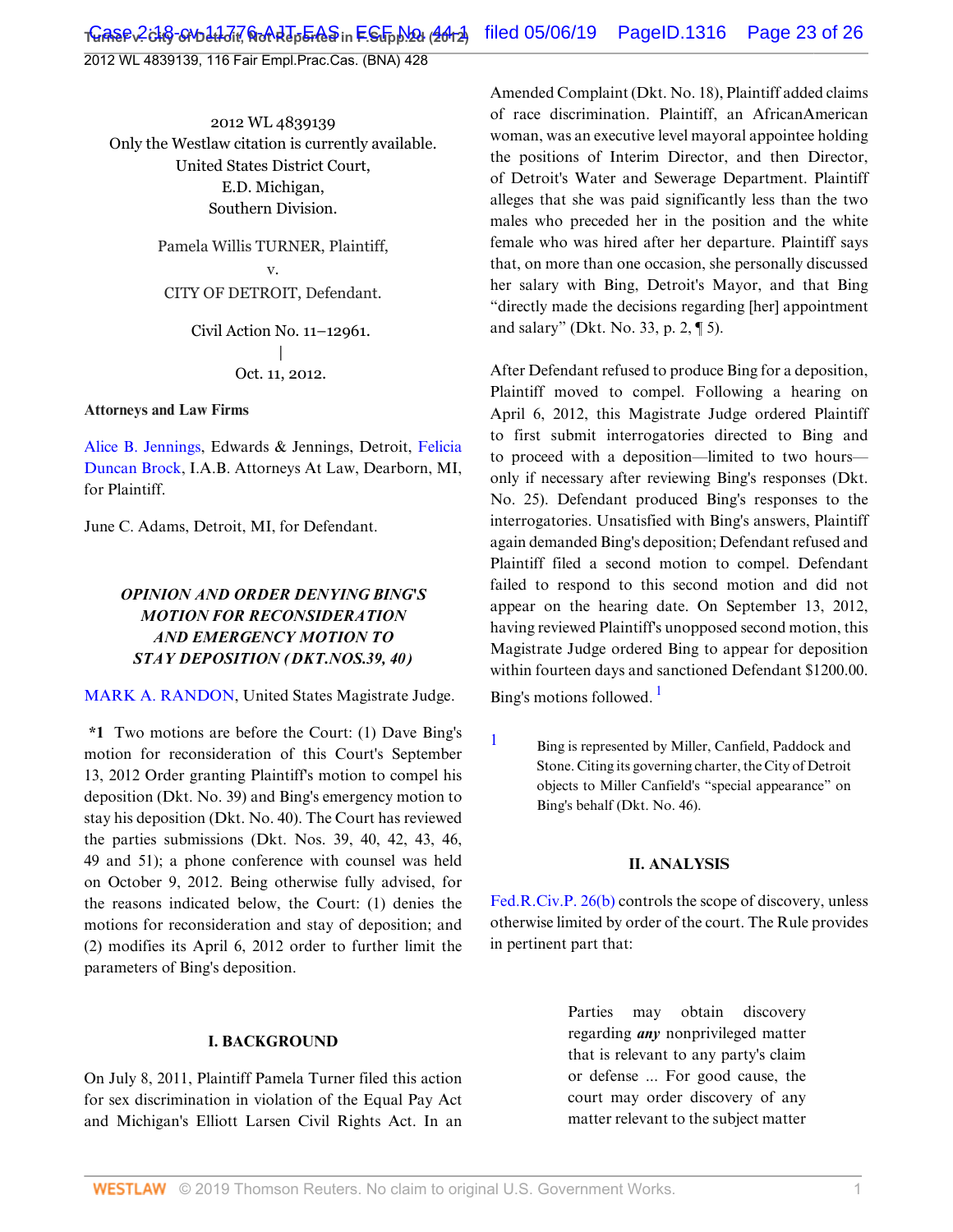2012 WL 4839139, 116 Fair Empl.Prac.Cas. (BNA) 428

2012 WL 4839139 Only the Westlaw citation is currently available. United States District Court, E.D. Michigan, Southern Division.

> Pamela Willis TURNER, Plaintiff, v. CITY OF DETROIT, Defendant.

> > Civil Action No. 11–12961. | Oct. 11, 2012.

#### **Attorneys and Law Firms**

[Alice B. Jennings](http://www.westlaw.com/Link/Document/FullText?findType=h&pubNum=176284&cite=0110295701&originatingDoc=I35ad3333146211e2b11ea85d0b248d27&refType=RQ&originationContext=document&vr=3.0&rs=cblt1.0&transitionType=DocumentItem&contextData=(sc.Default)), Edwards & Jennings, Detroit, [Felicia](http://www.westlaw.com/Link/Document/FullText?findType=h&pubNum=176284&cite=0358119301&originatingDoc=I35ad3333146211e2b11ea85d0b248d27&refType=RQ&originationContext=document&vr=3.0&rs=cblt1.0&transitionType=DocumentItem&contextData=(sc.Default)) [Duncan Brock,](http://www.westlaw.com/Link/Document/FullText?findType=h&pubNum=176284&cite=0358119301&originatingDoc=I35ad3333146211e2b11ea85d0b248d27&refType=RQ&originationContext=document&vr=3.0&rs=cblt1.0&transitionType=DocumentItem&contextData=(sc.Default)) I.A.B. Attorneys At Law, Dearborn, MI, for Plaintiff.

June C. Adams, Detroit, MI, for Defendant.

## *OPINION AND ORDER DENYING BING'S MOTION FOR RECONSIDERATION AND EMERGENCY MOTION TO STAY DEPOSITION (DKT.NOS.39, 40)*

[MARK A. RANDON,](http://www.westlaw.com/Link/Document/FullText?findType=h&pubNum=176284&cite=0391876401&originatingDoc=I35ad3333146211e2b11ea85d0b248d27&refType=RQ&originationContext=document&vr=3.0&rs=cblt1.0&transitionType=DocumentItem&contextData=(sc.Default)) United States Magistrate Judge.

**\*1** Two motions are before the Court: (1) Dave Bing's motion for reconsideration of this Court's September 13, 2012 Order granting Plaintiff's motion to compel his deposition (Dkt. No. 39) and Bing's emergency motion to stay his deposition (Dkt. No. 40). The Court has reviewed the parties submissions (Dkt. Nos. 39, 40, 42, 43, 46, 49 and 51); a phone conference with counsel was held on October 9, 2012. Being otherwise fully advised, for the reasons indicated below, the Court: (1) denies the motions for reconsideration and stay of deposition; and (2) modifies its April 6, 2012 order to further limit the parameters of Bing's deposition.

#### **I. BACKGROUND**

On July 8, 2011, Plaintiff Pamela Turner filed this action for sex discrimination in violation of the Equal Pay Act and Michigan's Elliott Larsen Civil Rights Act. In an Amended Complaint (Dkt. No. 18), Plaintiff added claims of race discrimination. Plaintiff, an AfricanAmerican woman, was an executive level mayoral appointee holding the positions of Interim Director, and then Director, of Detroit's Water and Sewerage Department. Plaintiff alleges that she was paid significantly less than the two males who preceded her in the position and the white female who was hired after her departure. Plaintiff says that, on more than one occasion, she personally discussed her salary with Bing, Detroit's Mayor, and that Bing "directly made the decisions regarding [her] appointment and salary" (Dkt. No. 33, p. 2, ¶ 5).

After Defendant refused to produce Bing for a deposition, Plaintiff moved to compel. Following a hearing on April 6, 2012, this Magistrate Judge ordered Plaintiff to first submit interrogatories directed to Bing and to proceed with a deposition—limited to two hours only if necessary after reviewing Bing's responses (Dkt. No. 25). Defendant produced Bing's responses to the interrogatories. Unsatisfied with Bing's answers, Plaintiff again demanded Bing's deposition; Defendant refused and Plaintiff filed a second motion to compel. Defendant failed to respond to this second motion and did not appear on the hearing date. On September 13, 2012, having reviewed Plaintiff's unopposed second motion, this Magistrate Judge ordered Bing to appear for deposition within fourteen days and sanctioned Defendant \$1200.00. Bing's motions followed.<sup>[1](#page-48-0)</sup>

<span id="page-48-1"></span><span id="page-48-0"></span>[1](#page-48-1) Bing is represented by Miller, Canfield, Paddock and Stone. Citing its governing charter, the City of Detroit objects to Miller Canfield's "special appearance" on Bing's behalf (Dkt. No. 46).

#### **II. ANALYSIS**

[Fed.R.Civ.P. 26\(b\)](http://www.westlaw.com/Link/Document/FullText?findType=L&pubNum=1004365&cite=USFRCPR26&originatingDoc=I35ad3333146211e2b11ea85d0b248d27&refType=LQ&originationContext=document&vr=3.0&rs=cblt1.0&transitionType=DocumentItem&contextData=(sc.Default)) controls the scope of discovery, unless otherwise limited by order of the court. The Rule provides in pertinent part that:

> Parties may obtain discovery regarding *any* nonprivileged matter that is relevant to any party's claim or defense ... For good cause, the court may order discovery of any matter relevant to the subject matter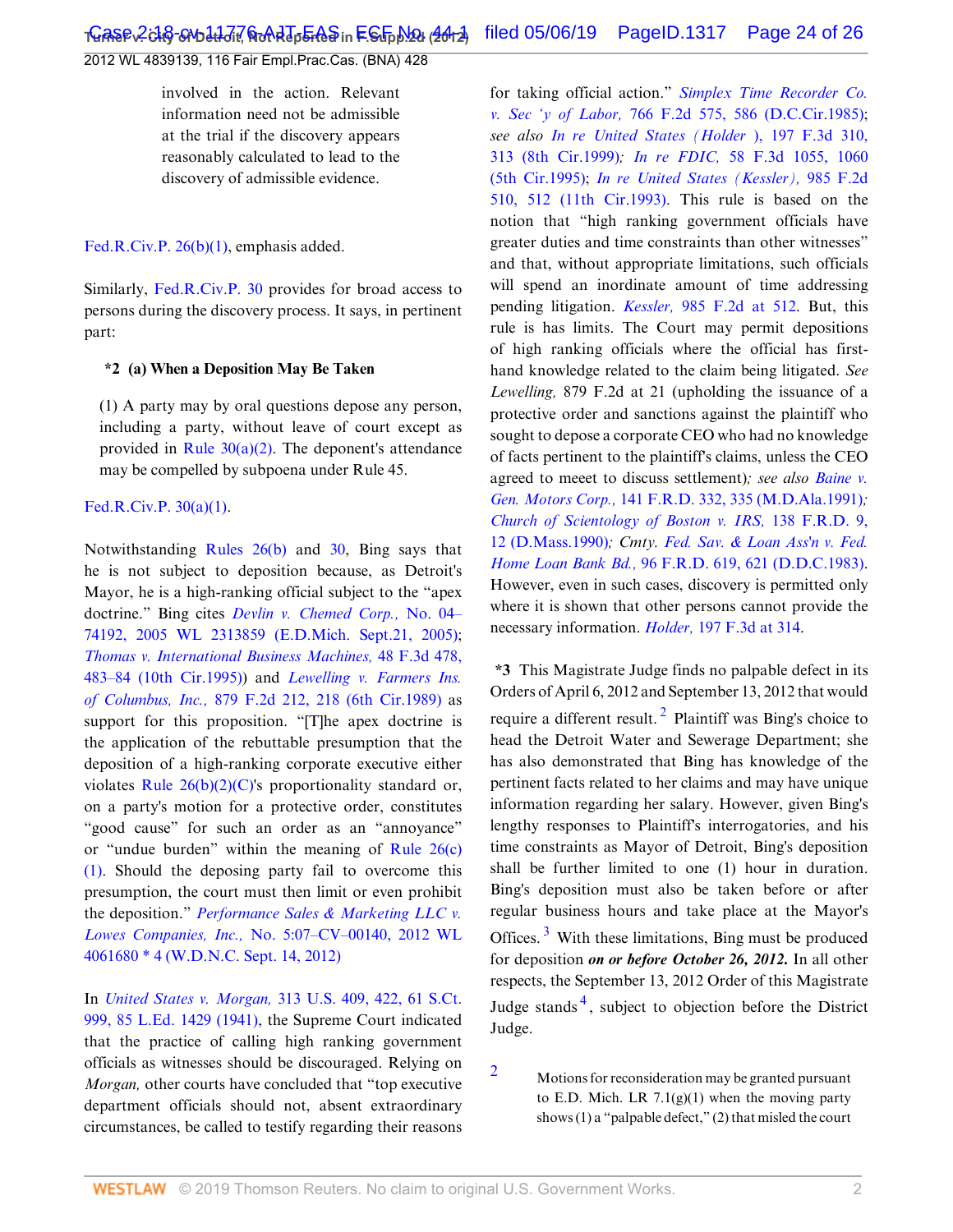2012 WL 4839139, 116 Fair Empl.Prac.Cas. (BNA) 428

involved in the action. Relevant information need not be admissible at the trial if the discovery appears reasonably calculated to lead to the discovery of admissible evidence.

[Fed.R.Civ.P. 26\(b\)\(1\)](http://www.westlaw.com/Link/Document/FullText?findType=L&pubNum=1004365&cite=USFRCPR26&originatingDoc=I35ad3333146211e2b11ea85d0b248d27&refType=LQ&originationContext=document&vr=3.0&rs=cblt1.0&transitionType=DocumentItem&contextData=(sc.Default)), emphasis added.

Similarly, [Fed.R.Civ.P. 30](http://www.westlaw.com/Link/Document/FullText?findType=L&pubNum=1004365&cite=USFRCPR30&originatingDoc=I35ad3333146211e2b11ea85d0b248d27&refType=LQ&originationContext=document&vr=3.0&rs=cblt1.0&transitionType=DocumentItem&contextData=(sc.Default)) provides for broad access to persons during the discovery process. It says, in pertinent part:

#### **\*2 (a) When a Deposition May Be Taken**

(1) A party may by oral questions depose any person, including a party, without leave of court except as provided in Rule  $30(a)(2)$ . The deponent's attendance may be compelled by subpoena under Rule 45.

#### [Fed.R.Civ.P. 30\(a\)\(1\).](http://www.westlaw.com/Link/Document/FullText?findType=L&pubNum=1004365&cite=USFRCPR30&originatingDoc=I35ad3333146211e2b11ea85d0b248d27&refType=LQ&originationContext=document&vr=3.0&rs=cblt1.0&transitionType=DocumentItem&contextData=(sc.Default))

Notwithstanding [Rules 26\(b\)](http://www.westlaw.com/Link/Document/FullText?findType=L&pubNum=1004365&cite=USFRCPR26&originatingDoc=I35ad3333146211e2b11ea85d0b248d27&refType=LQ&originationContext=document&vr=3.0&rs=cblt1.0&transitionType=DocumentItem&contextData=(sc.Default)) and [30](http://www.westlaw.com/Link/Document/FullText?findType=L&pubNum=1004365&cite=USFRCPR30&originatingDoc=I35ad3333146211e2b11ea85d0b248d27&refType=LQ&originationContext=document&vr=3.0&rs=cblt1.0&transitionType=DocumentItem&contextData=(sc.Default)), Bing says that he is not subject to deposition because, as Detroit's Mayor, he is a high-ranking official subject to the "apex doctrine." Bing cites *[Devlin v. Chemed Corp.,](http://www.westlaw.com/Link/Document/FullText?findType=Y&serNum=2007356200&pubNum=0000999&originatingDoc=I35ad3333146211e2b11ea85d0b248d27&refType=RP&originationContext=document&vr=3.0&rs=cblt1.0&transitionType=DocumentItem&contextData=(sc.Default))* No. 04– [74192, 2005 WL 2313859 \(E.D.Mich. Sept.21, 2005\)](http://www.westlaw.com/Link/Document/FullText?findType=Y&serNum=2007356200&pubNum=0000999&originatingDoc=I35ad3333146211e2b11ea85d0b248d27&refType=RP&originationContext=document&vr=3.0&rs=cblt1.0&transitionType=DocumentItem&contextData=(sc.Default)); *[Thomas v. International Business Machines,](http://www.westlaw.com/Link/Document/FullText?findType=Y&serNum=1995053061&pubNum=506&originatingDoc=I35ad3333146211e2b11ea85d0b248d27&refType=RP&fi=co_pp_sp_506_483&originationContext=document&vr=3.0&rs=cblt1.0&transitionType=DocumentItem&contextData=(sc.Default)#co_pp_sp_506_483)* 48 F.3d 478, [483–84 \(10th Cir.1995\)\)](http://www.westlaw.com/Link/Document/FullText?findType=Y&serNum=1995053061&pubNum=506&originatingDoc=I35ad3333146211e2b11ea85d0b248d27&refType=RP&fi=co_pp_sp_506_483&originationContext=document&vr=3.0&rs=cblt1.0&transitionType=DocumentItem&contextData=(sc.Default)#co_pp_sp_506_483) and *[Lewelling v. Farmers Ins.](http://www.westlaw.com/Link/Document/FullText?findType=Y&serNum=1989101477&pubNum=350&originatingDoc=I35ad3333146211e2b11ea85d0b248d27&refType=RP&fi=co_pp_sp_350_218&originationContext=document&vr=3.0&rs=cblt1.0&transitionType=DocumentItem&contextData=(sc.Default)#co_pp_sp_350_218) of Columbus, Inc.,* [879 F.2d 212, 218 \(6th Cir.1989\)](http://www.westlaw.com/Link/Document/FullText?findType=Y&serNum=1989101477&pubNum=350&originatingDoc=I35ad3333146211e2b11ea85d0b248d27&refType=RP&fi=co_pp_sp_350_218&originationContext=document&vr=3.0&rs=cblt1.0&transitionType=DocumentItem&contextData=(sc.Default)#co_pp_sp_350_218) as support for this proposition. "[T]he apex doctrine is the application of the rebuttable presumption that the deposition of a high-ranking corporate executive either violates Rule  $26(b)(2)(C)$ 's proportionality standard or, on a party's motion for a protective order, constitutes "good cause" for such an order as an "annoyance" or "undue burden" within the meaning of [Rule 26\(c\)](http://www.westlaw.com/Link/Document/FullText?findType=L&pubNum=1004365&cite=USFRCPR26&originatingDoc=I35ad3333146211e2b11ea85d0b248d27&refType=LQ&originationContext=document&vr=3.0&rs=cblt1.0&transitionType=DocumentItem&contextData=(sc.Default)) [\(1\).](http://www.westlaw.com/Link/Document/FullText?findType=L&pubNum=1004365&cite=USFRCPR26&originatingDoc=I35ad3333146211e2b11ea85d0b248d27&refType=LQ&originationContext=document&vr=3.0&rs=cblt1.0&transitionType=DocumentItem&contextData=(sc.Default)) Should the deposing party fail to overcome this presumption, the court must then limit or even prohibit the deposition." *[Performance Sales & Marketing LLC v.](http://www.westlaw.com/Link/Document/FullText?findType=Y&serNum=2028627867&pubNum=0000999&originatingDoc=I35ad3333146211e2b11ea85d0b248d27&refType=RP&originationContext=document&vr=3.0&rs=cblt1.0&transitionType=DocumentItem&contextData=(sc.Default)) Lowes Companies, Inc.,* [No. 5:07–CV–00140, 2012 WL](http://www.westlaw.com/Link/Document/FullText?findType=Y&serNum=2028627867&pubNum=0000999&originatingDoc=I35ad3333146211e2b11ea85d0b248d27&refType=RP&originationContext=document&vr=3.0&rs=cblt1.0&transitionType=DocumentItem&contextData=(sc.Default)) [4061680 \\* 4 \(W.D.N.C. Sept. 14, 2012\)](http://www.westlaw.com/Link/Document/FullText?findType=Y&serNum=2028627867&pubNum=0000999&originatingDoc=I35ad3333146211e2b11ea85d0b248d27&refType=RP&originationContext=document&vr=3.0&rs=cblt1.0&transitionType=DocumentItem&contextData=(sc.Default))

In *United States v. Morgan,* [313 U.S. 409, 422, 61 S.Ct.](http://www.westlaw.com/Link/Document/FullText?findType=Y&serNum=1941123452&pubNum=708&originatingDoc=I35ad3333146211e2b11ea85d0b248d27&refType=RP&originationContext=document&vr=3.0&rs=cblt1.0&transitionType=DocumentItem&contextData=(sc.Default)) [999, 85 L.Ed. 1429 \(1941\),](http://www.westlaw.com/Link/Document/FullText?findType=Y&serNum=1941123452&pubNum=708&originatingDoc=I35ad3333146211e2b11ea85d0b248d27&refType=RP&originationContext=document&vr=3.0&rs=cblt1.0&transitionType=DocumentItem&contextData=(sc.Default)) the Supreme Court indicated that the practice of calling high ranking government officials as witnesses should be discouraged. Relying on *Morgan,* other courts have concluded that "top executive department officials should not, absent extraordinary circumstances, be called to testify regarding their reasons for taking official action." *[Simplex Time Recorder Co.](http://www.westlaw.com/Link/Document/FullText?findType=Y&serNum=1985134232&pubNum=350&originatingDoc=I35ad3333146211e2b11ea85d0b248d27&refType=RP&fi=co_pp_sp_350_586&originationContext=document&vr=3.0&rs=cblt1.0&transitionType=DocumentItem&contextData=(sc.Default)#co_pp_sp_350_586) v. Sec 'y of Labor,* [766 F.2d 575, 586 \(D.C.Cir.1985\)](http://www.westlaw.com/Link/Document/FullText?findType=Y&serNum=1985134232&pubNum=350&originatingDoc=I35ad3333146211e2b11ea85d0b248d27&refType=RP&fi=co_pp_sp_350_586&originationContext=document&vr=3.0&rs=cblt1.0&transitionType=DocumentItem&contextData=(sc.Default)#co_pp_sp_350_586); *see also [In re United States \(Holder](http://www.westlaw.com/Link/Document/FullText?findType=Y&serNum=1999268816&pubNum=506&originatingDoc=I35ad3333146211e2b11ea85d0b248d27&refType=RP&fi=co_pp_sp_506_313&originationContext=document&vr=3.0&rs=cblt1.0&transitionType=DocumentItem&contextData=(sc.Default)#co_pp_sp_506_313)* ), 197 F.3d 310, [313 \(8th Cir.1999\)](http://www.westlaw.com/Link/Document/FullText?findType=Y&serNum=1999268816&pubNum=506&originatingDoc=I35ad3333146211e2b11ea85d0b248d27&refType=RP&fi=co_pp_sp_506_313&originationContext=document&vr=3.0&rs=cblt1.0&transitionType=DocumentItem&contextData=(sc.Default)#co_pp_sp_506_313)*; In re FDIC,* [58 F.3d 1055, 1060](http://www.westlaw.com/Link/Document/FullText?findType=Y&serNum=1995145921&pubNum=506&originatingDoc=I35ad3333146211e2b11ea85d0b248d27&refType=RP&fi=co_pp_sp_506_1060&originationContext=document&vr=3.0&rs=cblt1.0&transitionType=DocumentItem&contextData=(sc.Default)#co_pp_sp_506_1060) [\(5th Cir.1995\)](http://www.westlaw.com/Link/Document/FullText?findType=Y&serNum=1995145921&pubNum=506&originatingDoc=I35ad3333146211e2b11ea85d0b248d27&refType=RP&fi=co_pp_sp_506_1060&originationContext=document&vr=3.0&rs=cblt1.0&transitionType=DocumentItem&contextData=(sc.Default)#co_pp_sp_506_1060); *[In re United States \(Kessler\),](http://www.westlaw.com/Link/Document/FullText?findType=Y&serNum=1993055308&pubNum=350&originatingDoc=I35ad3333146211e2b11ea85d0b248d27&refType=RP&fi=co_pp_sp_350_512&originationContext=document&vr=3.0&rs=cblt1.0&transitionType=DocumentItem&contextData=(sc.Default)#co_pp_sp_350_512)* 985 F.2d [510, 512 \(11th Cir.1993\)](http://www.westlaw.com/Link/Document/FullText?findType=Y&serNum=1993055308&pubNum=350&originatingDoc=I35ad3333146211e2b11ea85d0b248d27&refType=RP&fi=co_pp_sp_350_512&originationContext=document&vr=3.0&rs=cblt1.0&transitionType=DocumentItem&contextData=(sc.Default)#co_pp_sp_350_512). This rule is based on the notion that "high ranking government officials have greater duties and time constraints than other witnesses" and that, without appropriate limitations, such officials will spend an inordinate amount of time addressing pending litigation. *Kessler,* [985 F.2d at 512.](http://www.westlaw.com/Link/Document/FullText?findType=Y&serNum=1993055308&pubNum=350&originatingDoc=I35ad3333146211e2b11ea85d0b248d27&refType=RP&fi=co_pp_sp_350_512&originationContext=document&vr=3.0&rs=cblt1.0&transitionType=DocumentItem&contextData=(sc.Default)#co_pp_sp_350_512) But, this rule is has limits. The Court may permit depositions of high ranking officials where the official has firsthand knowledge related to the claim being litigated. *See Lewelling,* 879 F.2d at 21 (upholding the issuance of a protective order and sanctions against the plaintiff who sought to depose a corporate CEO who had no knowledge of facts pertinent to the plaintiff's claims, unless the CEO agreed to meeet to discuss settlement)*; see also [Baine v.](http://www.westlaw.com/Link/Document/FullText?findType=Y&serNum=1992050548&pubNum=344&originatingDoc=I35ad3333146211e2b11ea85d0b248d27&refType=RP&fi=co_pp_sp_344_335&originationContext=document&vr=3.0&rs=cblt1.0&transitionType=DocumentItem&contextData=(sc.Default)#co_pp_sp_344_335) Gen. Motors Corp.,* [141 F.R.D. 332, 335 \(M.D.Ala.1991\)](http://www.westlaw.com/Link/Document/FullText?findType=Y&serNum=1992050548&pubNum=344&originatingDoc=I35ad3333146211e2b11ea85d0b248d27&refType=RP&fi=co_pp_sp_344_335&originationContext=document&vr=3.0&rs=cblt1.0&transitionType=DocumentItem&contextData=(sc.Default)#co_pp_sp_344_335)*; [Church of Scientology of Boston v. IRS,](http://www.westlaw.com/Link/Document/FullText?findType=Y&serNum=1991142498&pubNum=344&originatingDoc=I35ad3333146211e2b11ea85d0b248d27&refType=RP&fi=co_pp_sp_344_12&originationContext=document&vr=3.0&rs=cblt1.0&transitionType=DocumentItem&contextData=(sc.Default)#co_pp_sp_344_12)* 138 F.R.D. 9, [12 \(D.Mass.1990\)](http://www.westlaw.com/Link/Document/FullText?findType=Y&serNum=1991142498&pubNum=344&originatingDoc=I35ad3333146211e2b11ea85d0b248d27&refType=RP&fi=co_pp_sp_344_12&originationContext=document&vr=3.0&rs=cblt1.0&transitionType=DocumentItem&contextData=(sc.Default)#co_pp_sp_344_12)*; Cmty. [Fed. Sav. & Loan Ass'n v. Fed.](http://www.westlaw.com/Link/Document/FullText?findType=Y&serNum=1983107753&pubNum=344&originatingDoc=I35ad3333146211e2b11ea85d0b248d27&refType=RP&fi=co_pp_sp_344_621&originationContext=document&vr=3.0&rs=cblt1.0&transitionType=DocumentItem&contextData=(sc.Default)#co_pp_sp_344_621) Home Loan Bank Bd.,* [96 F.R.D. 619, 621 \(D.D.C.1983\)](http://www.westlaw.com/Link/Document/FullText?findType=Y&serNum=1983107753&pubNum=344&originatingDoc=I35ad3333146211e2b11ea85d0b248d27&refType=RP&fi=co_pp_sp_344_621&originationContext=document&vr=3.0&rs=cblt1.0&transitionType=DocumentItem&contextData=(sc.Default)#co_pp_sp_344_621). However, even in such cases, discovery is permitted only where it is shown that other persons cannot provide the necessary information. *Holder,* [197 F.3d at 314](http://www.westlaw.com/Link/Document/FullText?findType=Y&serNum=1999268816&pubNum=506&originatingDoc=I35ad3333146211e2b11ea85d0b248d27&refType=RP&fi=co_pp_sp_506_314&originationContext=document&vr=3.0&rs=cblt1.0&transitionType=DocumentItem&contextData=(sc.Default)#co_pp_sp_506_314).

<span id="page-49-1"></span>**\*3** This Magistrate Judge finds no palpable defect in its Orders of April 6, 2012 and September 13, 2012 that would require a different result.<sup>[2](#page-49-0)</sup> Plaintiff was Bing's choice to head the Detroit Water and Sewerage Department; she has also demonstrated that Bing has knowledge of the pertinent facts related to her claims and may have unique information regarding her salary. However, given Bing's lengthy responses to Plaintiff's interrogatories, and his time constraints as Mayor of Detroit, Bing's deposition shall be further limited to one (1) hour in duration. Bing's deposition must also be taken before or after regular business hours and take place at the Mayor's Offices.<sup>[3](#page-50-0)</sup> With these limitations, Bing must be produced for deposition *on or before October 26, 2012.* In all other respects, the September 13, 2012 Order of this Magistrate Judge stands<sup>[4](#page-50-1)</sup>, subject to objection before the District Judge.

<span id="page-49-3"></span><span id="page-49-2"></span><span id="page-49-0"></span>[2](#page-49-1) Motions for reconsideration may be granted pursuant to E.D. Mich. LR  $7.1(g)(1)$  when the moving party shows (1) a "palpable defect," (2) that misled the court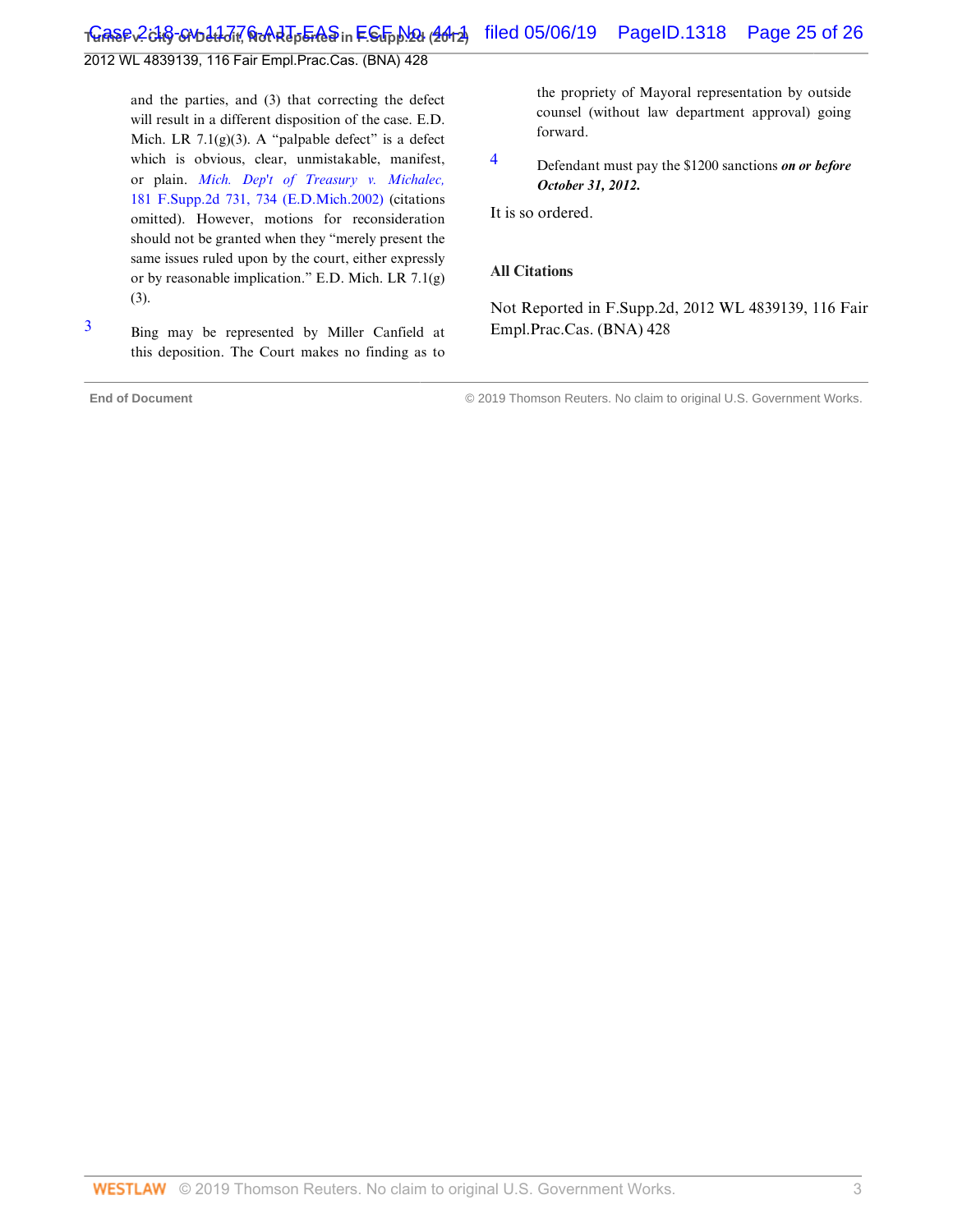2012 WL 4839139, 116 Fair Empl.Prac.Cas. (BNA) 428

and the parties, and (3) that correcting the defect will result in a different disposition of the case. E.D. Mich. LR  $7.1(g)(3)$ . A "palpable defect" is a defect which is obvious, clear, unmistakable, manifest, or plain. *[Mich. Dep't of Treasury v. Michalec,](http://www.westlaw.com/Link/Document/FullText?findType=Y&serNum=2002089888&pubNum=4637&originatingDoc=I35ad3333146211e2b11ea85d0b248d27&refType=RP&fi=co_pp_sp_4637_734&originationContext=document&vr=3.0&rs=cblt1.0&transitionType=DocumentItem&contextData=(sc.Default)#co_pp_sp_4637_734)* [181 F.Supp.2d 731, 734 \(E.D.Mich.2002\)](http://www.westlaw.com/Link/Document/FullText?findType=Y&serNum=2002089888&pubNum=4637&originatingDoc=I35ad3333146211e2b11ea85d0b248d27&refType=RP&fi=co_pp_sp_4637_734&originationContext=document&vr=3.0&rs=cblt1.0&transitionType=DocumentItem&contextData=(sc.Default)#co_pp_sp_4637_734) (citations omitted). However, motions for reconsideration should not be granted when they "merely present the same issues ruled upon by the court, either expressly or by reasonable implication." E.D. Mich. LR 7.1(g) (3).

<span id="page-50-0"></span>[3](#page-49-2) Bing may be represented by Miller Canfield at this deposition. The Court makes no finding as to

**End of Document** © 2019 Thomson Reuters. No claim to original U.S. Government Works.

the propriety of Mayoral representation by outside counsel (without law department approval) going forward.

<span id="page-50-1"></span>[4](#page-49-3) Defendant must pay the \$1200 sanctions *on or before October 31, 2012.*

It is so ordered.

#### **All Citations**

Not Reported in F.Supp.2d, 2012 WL 4839139, 116 Fair Empl.Prac.Cas. (BNA) 428